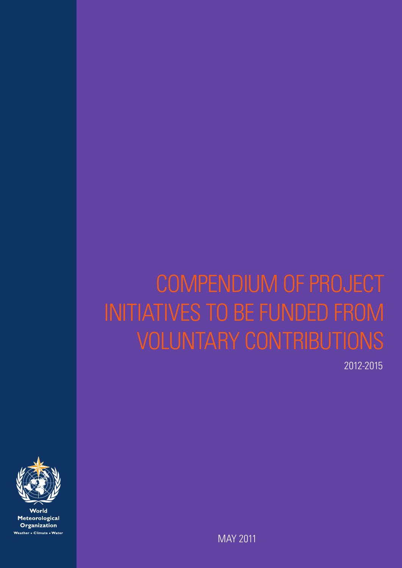# COMPENDIUM OF PROJECT INITIATIVES TO BE FUNDED FROM VOLUNTARY CONTRIBUTIONS

2012-2015



World Meteorological Organization Weather . Climate . Water

MAY 2011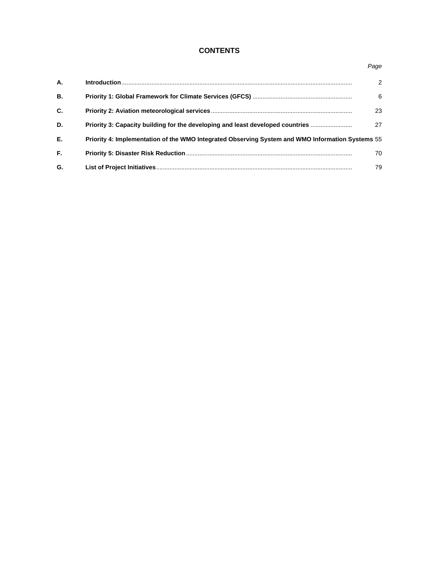# **CONTENTS**

| А.        |                                                                                                  | $\mathcal{P}$ |
|-----------|--------------------------------------------------------------------------------------------------|---------------|
| <b>B.</b> |                                                                                                  | 6             |
| C.        |                                                                                                  | 23            |
| D.        | Priority 3: Capacity building for the developing and least developed countries                   | 27            |
| Е.        | Priority 4: Implementation of the WMO Integrated Observing System and WMO Information Systems 55 |               |
| F.        |                                                                                                  | 70            |
| G.        |                                                                                                  | 79            |

#### *Page*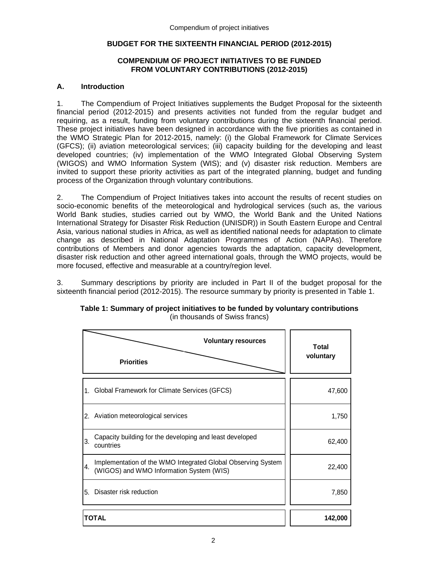# **BUDGET FOR THE SIXTEENTH FINANCIAL PERIOD (2012-2015)**

# **COMPENDIUM OF PROJECT INITIATIVES TO BE FUNDED FROM VOLUNTARY CONTRIBUTIONS (2012-2015)**

# **A. Introduction**

1. The Compendium of Project Initiatives supplements the Budget Proposal for the sixteenth financial period (2012-2015) and presents activities not funded from the regular budget and requiring, as a result, funding from voluntary contributions during the sixteenth financial period. These project initiatives have been designed in accordance with the five priorities as contained in the WMO Strategic Plan for 2012-2015, namely: (i) the Global Framework for Climate Services (GFCS); (ii) aviation meteorological services; (iii) capacity building for the developing and least developed countries; (iv) implementation of the WMO Integrated Global Observing System (WIGOS) and WMO Information System (WIS); and (v) disaster risk reduction. Members are invited to support these priority activities as part of the integrated planning, budget and funding process of the Organization through voluntary contributions.

2. The Compendium of Project Initiatives takes into account the results of recent studies on socio-economic benefits of the meteorological and hydrological services (such as, the various World Bank studies, studies carried out by WMO, the World Bank and the United Nations International Strategy for Disaster Risk Reduction (UNISDR)) in South Eastern Europe and Central Asia, various national studies in Africa, as well as identified national needs for adaptation to climate change as described in National Adaptation Programmes of Action (NAPAs). Therefore contributions of Members and donor agencies towards the adaptation, capacity development, disaster risk reduction and other agreed international goals, through the WMO projects, would be more focused, effective and measurable at a country/region level.

3. Summary descriptions by priority are included in Part II of the budget proposal for the sixteenth financial period (2012-2015). The resource summary by priority is presented in Table 1.

| <b>Priorities</b>                                                           | <b>Total</b><br>voluntary                                    |         |
|-----------------------------------------------------------------------------|--------------------------------------------------------------|---------|
| Global Framework for Climate Services (GFCS)<br>1.                          |                                                              | 47,600  |
| 2. Aviation meteorological services                                         |                                                              | 1,750   |
| Capacity building for the developing and least developed<br>3.<br>countries |                                                              | 62,400  |
| 4.<br>(WIGOS) and WMO Information System (WIS)                              | Implementation of the WMO Integrated Global Observing System | 22,400  |
| Disaster risk reduction<br>5.                                               |                                                              | 7,850   |
| <b>TOTAL</b>                                                                |                                                              | 142,000 |

#### **Table 1: Summary of project initiatives to be funded by voluntary contributions**  (in thousands of Swiss francs)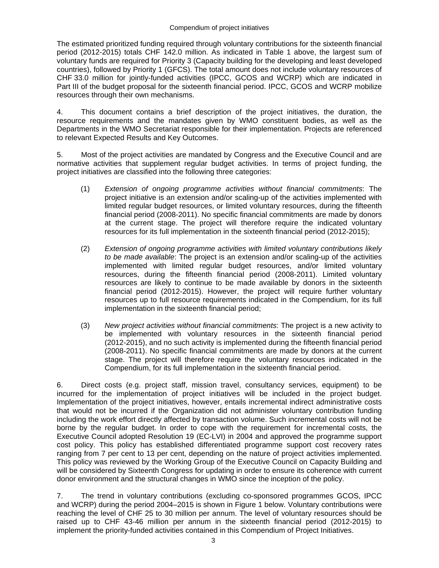#### Compendium of project initiatives

The estimated prioritized funding required through voluntary contributions for the sixteenth financial period (2012-2015) totals CHF 142.0 million. As indicated in Table 1 above, the largest sum of voluntary funds are required for Priority 3 (Capacity building for the developing and least developed countries), followed by Priority 1 (GFCS). The total amount does not include voluntary resources of CHF 33.0 million for jointly-funded activities (IPCC, GCOS and WCRP) which are indicated in Part III of the budget proposal for the sixteenth financial period. IPCC, GCOS and WCRP mobilize resources through their own mechanisms.

4. This document contains a brief description of the project initiatives, the duration, the resource requirements and the mandates given by WMO constituent bodies, as well as the Departments in the WMO Secretariat responsible for their implementation. Projects are referenced to relevant Expected Results and Key Outcomes.

5. Most of the project activities are mandated by Congress and the Executive Council and are normative activities that supplement regular budget activities. In terms of project funding, the project initiatives are classified into the following three categories:

- (1) *Extension of ongoing programme activities without financial commitments*: The project initiative is an extension and/or scaling-up of the activities implemented with limited regular budget resources, or limited voluntary resources, during the fifteenth financial period (2008-2011). No specific financial commitments are made by donors at the current stage. The project will therefore require the indicated voluntary resources for its full implementation in the sixteenth financial period (2012-2015);
- (2) *Extension of ongoing programme activities with limited voluntary contributions likely to be made available*: The project is an extension and/or scaling-up of the activities implemented with limited regular budget resources, and/or limited voluntary resources, during the fifteenth financial period (2008-2011). Limited voluntary resources are likely to continue to be made available by donors in the sixteenth financial period (2012-2015). However, the project will require further voluntary resources up to full resource requirements indicated in the Compendium, for its full implementation in the sixteenth financial period;
- (3) *New project activities without financial commitments*: The project is a new activity to be implemented with voluntary resources in the sixteenth financial period (2012-2015), and no such activity is implemented during the fifteenth financial period (2008-2011). No specific financial commitments are made by donors at the current stage. The project will therefore require the voluntary resources indicated in the Compendium, for its full implementation in the sixteenth financial period.

6. Direct costs (e.g. project staff, mission travel, consultancy services, equipment) to be incurred for the implementation of project initiatives will be included in the project budget. Implementation of the project initiatives, however, entails incremental indirect administrative costs that would not be incurred if the Organization did not administer voluntary contribution funding including the work effort directly affected by transaction volume. Such incremental costs will not be borne by the regular budget. In order to cope with the requirement for incremental costs, the Executive Council adopted Resolution 19 (EC-LVI) in 2004 and approved the programme support cost policy. This policy has established differentiated programme support cost recovery rates ranging from 7 per cent to 13 per cent, depending on the nature of project activities implemented. This policy was reviewed by the Working Group of the Executive Council on Capacity Building and will be considered by Sixteenth Congress for updating in order to ensure its coherence with current donor environment and the structural changes in WMO since the inception of the policy.

7. The trend in voluntary contributions (excluding co-sponsored programmes GCOS, IPCC and WCRP) during the period 2004–2015 is shown in Figure 1 below. Voluntary contributions were reaching the level of CHF 25 to 30 million per annum. The level of voluntary resources should be raised up to CHF 43-46 million per annum in the sixteenth financial period (2012-2015) to implement the priority-funded activities contained in this Compendium of Project Initiatives.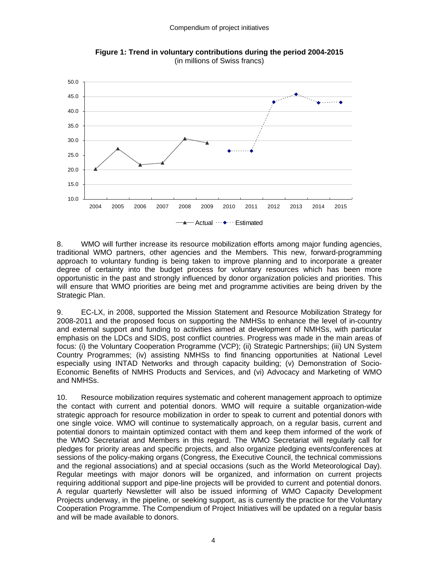

**Figure 1: Trend in voluntary contributions during the period 2004-2015**  (in millions of Swiss francs)

8. WMO will further increase its resource mobilization efforts among major funding agencies, traditional WMO partners, other agencies and the Members. This new, forward-programming approach to voluntary funding is being taken to improve planning and to incorporate a greater degree of certainty into the budget process for voluntary resources which has been more opportunistic in the past and strongly influenced by donor organization policies and priorities. This will ensure that WMO priorities are being met and programme activities are being driven by the Strategic Plan.

9. EC-LX, in 2008, supported the Mission Statement and Resource Mobilization Strategy for 2008-2011 and the proposed focus on supporting the NMHSs to enhance the level of in-country and external support and funding to activities aimed at development of NMHSs, with particular emphasis on the LDCs and SIDS, post conflict countries. Progress was made in the main areas of focus: (i) the Voluntary Cooperation Programme (VCP); (ii) Strategic Partnerships; (iii) UN System Country Programmes; (iv) assisting NMHSs to find financing opportunities at National Level especially using INTAD Networks and through capacity building; (v) Demonstration of Socio-Economic Benefits of NMHS Products and Services, and (vi) Advocacy and Marketing of WMO and NMHSs.

10. Resource mobilization requires systematic and coherent management approach to optimize the contact with current and potential donors. WMO will require a suitable organization-wide strategic approach for resource mobilization in order to speak to current and potential donors with one single voice. WMO will continue to systematically approach, on a regular basis, current and potential donors to maintain optimized contact with them and keep them informed of the work of the WMO Secretariat and Members in this regard. The WMO Secretariat will regularly call for pledges for priority areas and specific projects, and also organize pledging events/conferences at sessions of the policy-making organs (Congress, the Executive Council, the technical commissions and the regional associations) and at special occasions (such as the World Meteorological Day). Regular meetings with major donors will be organized, and information on current projects requiring additional support and pipe-line projects will be provided to current and potential donors. A regular quarterly Newsletter will also be issued informing of WMO Capacity Development Projects underway, in the pipeline, or seeking support, as is currently the practice for the Voluntary Cooperation Programme. The Compendium of Project Initiatives will be updated on a regular basis and will be made available to donors.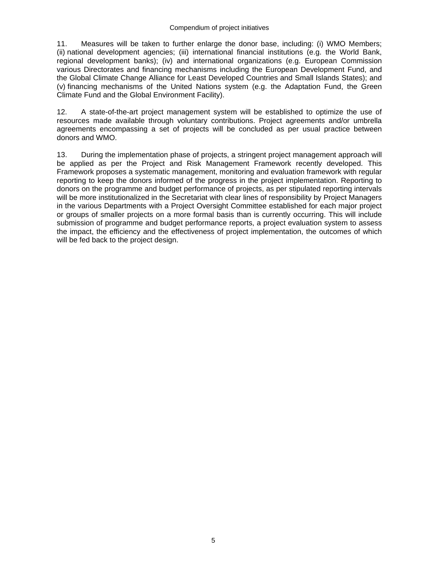#### Compendium of project initiatives

11. Measures will be taken to further enlarge the donor base, including: (i) WMO Members; (ii) national development agencies; (iii) international financial institutions (e.g. the World Bank, regional development banks); (iv) and international organizations (e.g. European Commission various Directorates and financing mechanisms including the European Development Fund, and the Global Climate Change Alliance for Least Developed Countries and Small Islands States); and (v) financing mechanisms of the United Nations system (e.g. the Adaptation Fund, the Green Climate Fund and the Global Environment Facility).

12. A state-of-the-art project management system will be established to optimize the use of resources made available through voluntary contributions. Project agreements and/or umbrella agreements encompassing a set of projects will be concluded as per usual practice between donors and WMO.

13. During the implementation phase of projects, a stringent project management approach will be applied as per the Project and Risk Management Framework recently developed. This Framework proposes a systematic management, monitoring and evaluation framework with regular reporting to keep the donors informed of the progress in the project implementation. Reporting to donors on the programme and budget performance of projects, as per stipulated reporting intervals will be more institutionalized in the Secretariat with clear lines of responsibility by Project Managers in the various Departments with a Project Oversight Committee established for each major project or groups of smaller projects on a more formal basis than is currently occurring. This will include submission of programme and budget performance reports, a project evaluation system to assess the impact, the efficiency and the effectiveness of project implementation, the outcomes of which will be fed back to the project design.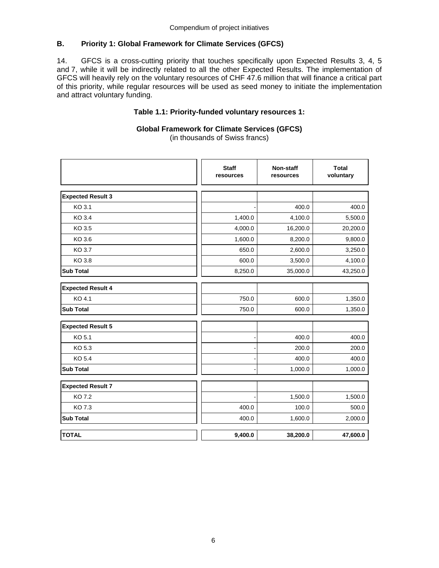# **B. Priority 1: Global Framework for Climate Services (GFCS)**

14. GFCS is a cross-cutting priority that touches specifically upon Expected Results 3, 4, 5 and 7, while it will be indirectly related to all the other Expected Results. The implementation of GFCS will heavily rely on the voluntary resources of CHF 47.6 million that will finance a critical part of this priority, while regular resources will be used as seed money to initiate the implementation and attract voluntary funding.

# **Table 1.1: Priority-funded voluntary resources 1:**

#### **Global Framework for Climate Services (GFCS)**  (in thousands of Swiss francs)

**Expected Result 3** KO 3.1 **400.0 1**  $\begin{bmatrix} 1 & 1 & 400.0 & 400.0 \end{bmatrix}$  400.0 KO 3.4 **1,400.0** 1,400.0 **4,100.0** 5,500.0 KO 3.5  $\vert\,\vert$  4,000.0  $\vert$  16,200.0  $\vert$  20,200.0  $\vert$  20,200.0 KO 3.6 **1,600.0**  $\begin{bmatrix} 1 & 1,600.0 & 8,200.0 & 9,800.0 \end{bmatrix}$ KO 3.7 650.0  $\begin{vmatrix} 1 & 650.0 & 2,600.0 & 3,250.0 \end{vmatrix}$ KO 3.8 600.0  $\begin{vmatrix} 1 & 600.0 & 3,500.0 & 4,100.0 \end{vmatrix}$ **Sub Total** 8,250.0 35,000.0 43,250.0 43,250.0 43,250.0 43,250.0 43,250.0 50 43,250.0 43,250.0 43,250.0 43,250.0 **Expected Result 4** KO 4.1  $\begin{array}{|c|c|c|c|c|c|}\hline \text{KO 4.1} & \text{50.0} & \text{500.0} & \text{500.0} \ \hline \end{array}$ **Sub Total** 750.0 **1,350.0** 1,350.0 **1,350.0 Expected Result 5** KO 5.1 - 400.0 400.0 KO 5.3  $\begin{vmatrix} 1 & 200.0 & 200.0 \end{vmatrix}$  200.0 200.0 KO 5.4  $\blacksquare$  400.0  $\blacksquare$  400.0  $\blacksquare$  400.0 400.0 400.0 400.0 400.0 400.0 400.0 400.0 400.0 400.0 400.0 400.0 400.0 400.0 400.0 400.0 400.0 400.0 400.0 400.0 400.0 400.0 400.0 400.0 400.0 400.0 400.0 400.0 400.0 400.0 4 ا ـ 1,000.0 1,000.0 1,000.0 1,000.0 يا ـ 1,000.0 1,000.0 1,000.0 با المسافحة التي تعدد المسافحة التي تعدد التي ت **Expected Result 7** KO 7.2 - 1,500.0 1,500.0 KO 7.3 600.0  $\begin{vmatrix} 1 & 400.0 & 100.0 & 500.0 \end{vmatrix}$ **Sub Total** 400.0 1,600.0 2,000.0 **TOTAL 9,400.0 38,200.0 47,600.0 Staff resources Non-staff resources Total voluntary**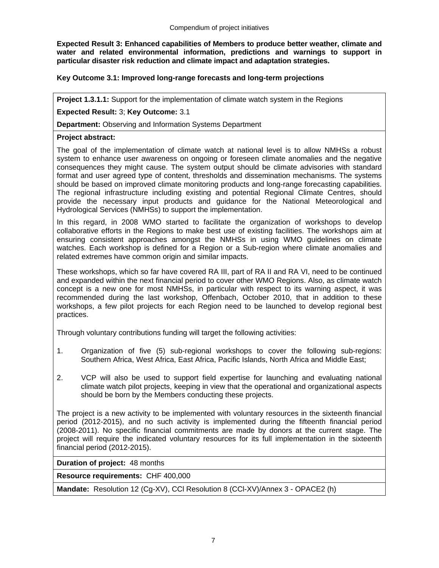**Expected Result 3: Enhanced capabilities of Members to produce better weather, climate and water and related environmental information, predictions and warnings to support in particular disaster risk reduction and climate impact and adaptation strategies.** 

## **Key Outcome 3.1: Improved long-range forecasts and long-term projections**

**Project 1.3.1.1:** Support for the implementation of climate watch system in the Regions

**Expected Result:** 3; **Key Outcome:** 3.1

**Department:** Observing and Information Systems Department

#### **Project abstract:**

The goal of the implementation of climate watch at national level is to allow NMHSs a robust system to enhance user awareness on ongoing or foreseen climate anomalies and the negative consequences they might cause. The system output should be climate advisories with standard format and user agreed type of content, thresholds and dissemination mechanisms. The systems should be based on improved climate monitoring products and long-range forecasting capabilities. The regional infrastructure including existing and potential Regional Climate Centres, should provide the necessary input products and guidance for the National Meteorological and Hydrological Services (NMHSs) to support the implementation.

In this regard, in 2008 WMO started to facilitate the organization of workshops to develop collaborative efforts in the Regions to make best use of existing facilities. The workshops aim at ensuring consistent approaches amongst the NMHSs in using WMO guidelines on climate watches. Each workshop is defined for a Region or a Sub-region where climate anomalies and related extremes have common origin and similar impacts.

These workshops, which so far have covered RA III, part of RA II and RA VI, need to be continued and expanded within the next financial period to cover other WMO Regions. Also, as climate watch concept is a new one for most NMHSs, in particular with respect to its warning aspect, it was recommended during the last workshop, Offenbach, October 2010, that in addition to these workshops, a few pilot projects for each Region need to be launched to develop regional best practices.

Through voluntary contributions funding will target the following activities:

- 1. Organization of five (5) sub-regional workshops to cover the following sub-regions: Southern Africa, West Africa, East Africa, Pacific Islands, North Africa and Middle East;
- 2. VCP will also be used to support field expertise for launching and evaluating national climate watch pilot projects, keeping in view that the operational and organizational aspects should be born by the Members conducting these projects.

The project is a new activity to be implemented with voluntary resources in the sixteenth financial period (2012-2015), and no such activity is implemented during the fifteenth financial period (2008-2011). No specific financial commitments are made by donors at the current stage. The project will require the indicated voluntary resources for its full implementation in the sixteenth financial period (2012-2015).

**Duration of project:** 48 months

**Resource requirements:** CHF 400,000

**Mandate:** Resolution 12 (Cg-XV), CCl Resolution 8 (CCl-XV)/Annex 3 - OPACE2 (h)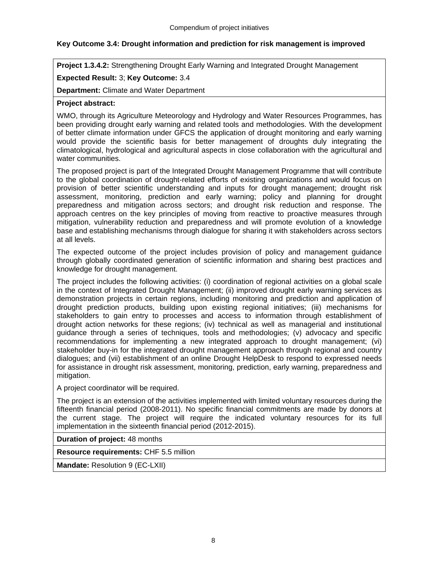# **Key Outcome 3.4: Drought information and prediction for risk management is improved**

**Project 1.3.4.2:** Strengthening Drought Early Warning and Integrated Drought Management

# **Expected Result:** 3; **Key Outcome:** 3.4

**Department:** Climate and Water Department

# **Project abstract:**

WMO, through its Agriculture Meteorology and Hydrology and Water Resources Programmes, has been providing drought early warning and related tools and methodologies. With the development of better climate information under GFCS the application of drought monitoring and early warning would provide the scientific basis for better management of droughts duly integrating the climatological, hydrological and agricultural aspects in close collaboration with the agricultural and water communities.

The proposed project is part of the Integrated Drought Management Programme that will contribute to the global coordination of drought-related efforts of existing organizations and would focus on provision of better scientific understanding and inputs for drought management; drought risk assessment, monitoring, prediction and early warning; policy and planning for drought preparedness and mitigation across sectors; and drought risk reduction and response. The approach centres on the key principles of moving from reactive to proactive measures through mitigation, vulnerability reduction and preparedness and will promote evolution of a knowledge base and establishing mechanisms through dialogue for sharing it with stakeholders across sectors at all levels.

The expected outcome of the project includes provision of policy and management guidance through globally coordinated generation of scientific information and sharing best practices and knowledge for drought management.

The project includes the following activities: (i) coordination of regional activities on a global scale in the context of Integrated Drought Management; (ii) improved drought early warning services as demonstration projects in certain regions, including monitoring and prediction and application of drought prediction products, building upon existing regional initiatives; (iii) mechanisms for stakeholders to gain entry to processes and access to information through establishment of drought action networks for these regions; (iv) technical as well as managerial and institutional guidance through a series of techniques, tools and methodologies; (v) advocacy and specific recommendations for implementing a new integrated approach to drought management; (vi) stakeholder buy-in for the integrated drought management approach through regional and country dialogues; and (vii) establishment of an online Drought HelpDesk to respond to expressed needs for assistance in drought risk assessment, monitoring, prediction, early warning, preparedness and mitigation.

A project coordinator will be required.

The project is an extension of the activities implemented with limited voluntary resources during the fifteenth financial period (2008-2011). No specific financial commitments are made by donors at the current stage. The project will require the indicated voluntary resources for its full implementation in the sixteenth financial period (2012-2015).

# **Duration of project:** 48 months

**Resource requirements:** CHF 5.5 million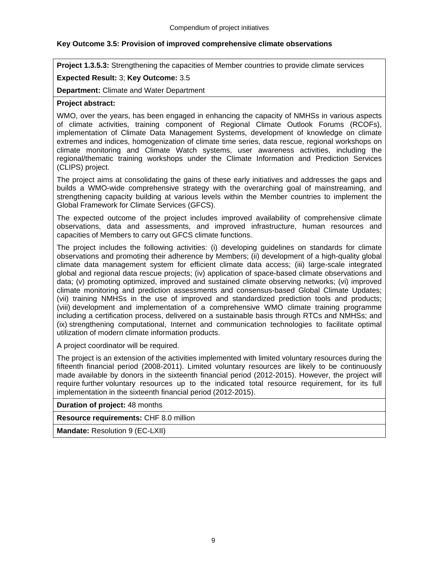# **Key Outcome 3.5: Provision of improved comprehensive climate observations**

**Project 1.3.5.3:** Strengthening the capacities of Member countries to provide climate services

## **Expected Result:** 3; **Key Outcome:** 3.5

**Department:** Climate and Water Department

## **Project abstract:**

WMO, over the years, has been engaged in enhancing the capacity of NMHSs in various aspects of climate activities, training component of Regional Climate Outlook Forums (RCOFs), implementation of Climate Data Management Systems, development of knowledge on climate extremes and indices, homogenization of climate time series, data rescue, regional workshops on climate monitoring and Climate Watch systems, user awareness activities, including the regional/thematic training workshops under the Climate Information and Prediction Services (CLIPS) project.

The project aims at consolidating the gains of these early initiatives and addresses the gaps and builds a WMO-wide comprehensive strategy with the overarching goal of mainstreaming, and strengthening capacity building at various levels within the Member countries to implement the Global Framework for Climate Services (GFCS).

The expected outcome of the project includes improved availability of comprehensive climate observations, data and assessments, and improved infrastructure, human resources and capacities of Members to carry out GFCS climate functions.

The project includes the following activities: (i) developing guidelines on standards for climate observations and promoting their adherence by Members; (ii) development of a high-quality global climate data management system for efficient climate data access; (iii) large-scale integrated global and regional data rescue projects; (iv) application of space-based climate observations and data; (v) promoting optimized, improved and sustained climate observing networks; (vi) improved climate monitoring and prediction assessments and consensus-based Global Climate Updates; (vii) training NMHSs in the use of improved and standardized prediction tools and products; (viii) development and implementation of a comprehensive WMO climate training programme including a certification process, delivered on a sustainable basis through RTCs and NMHSs; and (ix) strengthening computational, Internet and communication technologies to facilitate optimal utilization of modern climate information products.

A project coordinator will be required.

The project is an extension of the activities implemented with limited voluntary resources during the fifteenth financial period (2008-2011). Limited voluntary resources are likely to be continuously made available by donors in the sixteenth financial period (2012-2015). However, the project will require further voluntary resources up to the indicated total resource requirement, for its full implementation in the sixteenth financial period (2012-2015).

**Duration of project:** 48 months

**Resource requirements:** CHF 8.0 million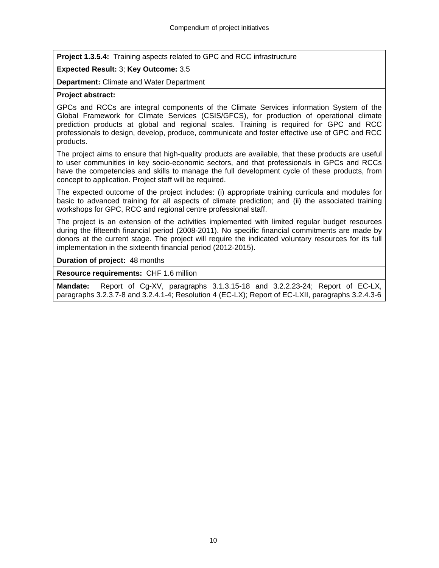**Project 1.3.5.4:** Training aspects related to GPC and RCC infrastructure

# **Expected Result:** 3; **Key Outcome:** 3.5

**Department:** Climate and Water Department

# **Project abstract:**

GPCs and RCCs are integral components of the Climate Services information System of the Global Framework for Climate Services (CSIS/GFCS), for production of operational climate prediction products at global and regional scales. Training is required for GPC and RCC professionals to design, develop, produce, communicate and foster effective use of GPC and RCC products.

The project aims to ensure that high-quality products are available, that these products are useful to user communities in key socio-economic sectors, and that professionals in GPCs and RCCs have the competencies and skills to manage the full development cycle of these products, from concept to application. Project staff will be required.

The expected outcome of the project includes: (i) appropriate training curricula and modules for basic to advanced training for all aspects of climate prediction; and (ii) the associated training workshops for GPC, RCC and regional centre professional staff.

The project is an extension of the activities implemented with limited regular budget resources during the fifteenth financial period (2008-2011). No specific financial commitments are made by donors at the current stage. The project will require the indicated voluntary resources for its full implementation in the sixteenth financial period (2012-2015).

**Duration of project:** 48 months

**Resource requirements:** CHF 1.6 million

**Mandate:** Report of Cg-XV, paragraphs 3.1.3.15-18 and 3.2.2.23-24; Report of EC-LX, paragraphs 3.2.3.7-8 and 3.2.4.1-4; Resolution 4 (EC-LX); Report of EC-LXII, paragraphs 3.2.4.3-6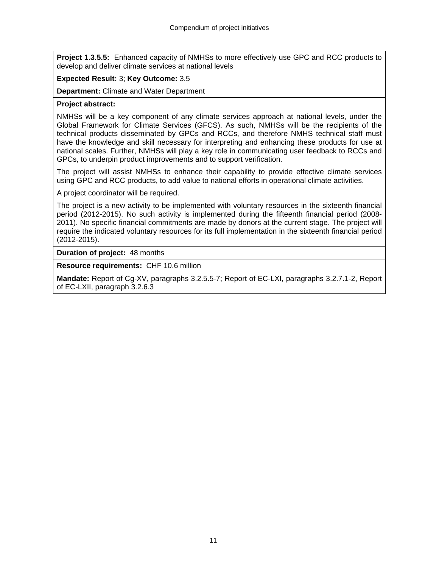**Project 1.3.5.5:** Enhanced capacity of NMHSs to more effectively use GPC and RCC products to develop and deliver climate services at national levels

# **Expected Result:** 3; **Key Outcome:** 3.5

**Department:** Climate and Water Department

## **Project abstract:**

NMHSs will be a key component of any climate services approach at national levels, under the Global Framework for Climate Services (GFCS). As such, NMHSs will be the recipients of the technical products disseminated by GPCs and RCCs, and therefore NMHS technical staff must have the knowledge and skill necessary for interpreting and enhancing these products for use at national scales. Further, NMHSs will play a key role in communicating user feedback to RCCs and GPCs, to underpin product improvements and to support verification.

The project will assist NMHSs to enhance their capability to provide effective climate services using GPC and RCC products, to add value to national efforts in operational climate activities.

A project coordinator will be required.

The project is a new activity to be implemented with voluntary resources in the sixteenth financial period (2012-2015). No such activity is implemented during the fifteenth financial period (2008- 2011). No specific financial commitments are made by donors at the current stage. The project will require the indicated voluntary resources for its full implementation in the sixteenth financial period (2012-2015).

**Duration of project:** 48 months

**Resource requirements:** CHF 10.6 million

**Mandate:** Report of Cg-XV, paragraphs 3.2.5.5-7; Report of EC-LXI, paragraphs 3.2.7.1-2, Report of EC-LXII, paragraph 3.2.6.3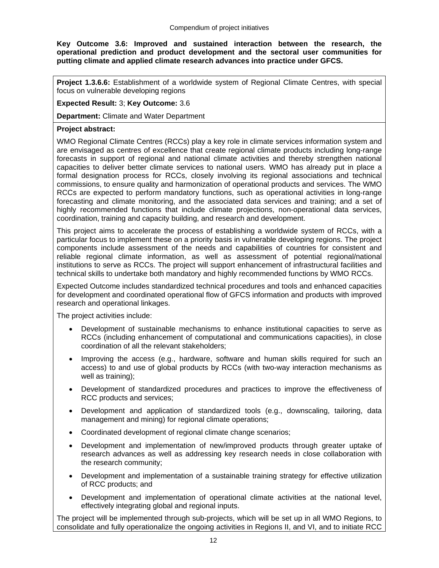**Key Outcome 3.6: Improved and sustained interaction between the research, the operational prediction and product development and the sectoral user communities for putting climate and applied climate research advances into practice under GFCS.** 

**Project 1.3.6.6:** Establishment of a worldwide system of Regional Climate Centres, with special focus on vulnerable developing regions

**Expected Result:** 3; **Key Outcome:** 3.6

**Department:** Climate and Water Department

# **Project abstract:**

WMO Regional Climate Centres (RCCs) play a key role in climate services information system and are envisaged as centres of excellence that create regional climate products including long-range forecasts in support of regional and national climate activities and thereby strengthen national capacities to deliver better climate services to national users. WMO has already put in place a formal designation process for RCCs, closely involving its regional associations and technical commissions, to ensure quality and harmonization of operational products and services. The WMO RCCs are expected to perform mandatory functions, such as operational activities in long-range forecasting and climate monitoring, and the associated data services and training; and a set of highly recommended functions that include climate projections, non-operational data services, coordination, training and capacity building, and research and development.

This project aims to accelerate the process of establishing a worldwide system of RCCs, with a particular focus to implement these on a priority basis in vulnerable developing regions. The project components include assessment of the needs and capabilities of countries for consistent and reliable regional climate information, as well as assessment of potential regional/national institutions to serve as RCCs. The project will support enhancement of infrastructural facilities and technical skills to undertake both mandatory and highly recommended functions by WMO RCCs.

Expected Outcome includes standardized technical procedures and tools and enhanced capacities for development and coordinated operational flow of GFCS information and products with improved research and operational linkages.

The project activities include:

- Development of sustainable mechanisms to enhance institutional capacities to serve as RCCs (including enhancement of computational and communications capacities), in close coordination of all the relevant stakeholders;
- Improving the access (e.g., hardware, software and human skills required for such an access) to and use of global products by RCCs (with two-way interaction mechanisms as well as training);
- Development of standardized procedures and practices to improve the effectiveness of RCC products and services;
- Development and application of standardized tools (e.g., downscaling, tailoring, data management and mining) for regional climate operations;
- Coordinated development of regional climate change scenarios;
- Development and implementation of new/improved products through greater uptake of research advances as well as addressing key research needs in close collaboration with the research community;
- Development and implementation of a sustainable training strategy for effective utilization of RCC products; and
- Development and implementation of operational climate activities at the national level, effectively integrating global and regional inputs.

The project will be implemented through sub-projects, which will be set up in all WMO Regions, to consolidate and fully operationalize the ongoing activities in Regions II, and VI, and to initiate RCC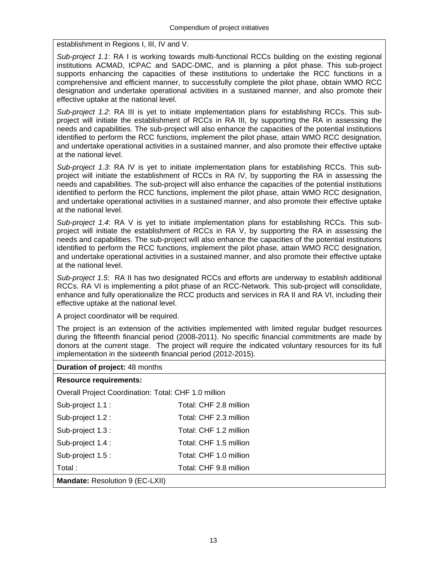establishment in Regions I, III, IV and V.

*Sub-project 1.1*: RA I is working towards multi-functional RCCs building on the existing regional institutions ACMAD, ICPAC and SADC-DMC, and is planning a pilot phase. This sub-project supports enhancing the capacities of these institutions to undertake the RCC functions in a comprehensive and efficient manner, to successfully complete the pilot phase, obtain WMO RCC designation and undertake operational activities in a sustained manner, and also promote their effective uptake at the national level.

*Sub-project 1.2*: RA III is yet to initiate implementation plans for establishing RCCs. This subproject will initiate the establishment of RCCs in RA III, by supporting the RA in assessing the needs and capabilities. The sub-project will also enhance the capacities of the potential institutions identified to perform the RCC functions, implement the pilot phase, attain WMO RCC designation, and undertake operational activities in a sustained manner, and also promote their effective uptake at the national level.

*Sub-project 1.3*: RA IV is yet to initiate implementation plans for establishing RCCs. This subproject will initiate the establishment of RCCs in RA IV, by supporting the RA in assessing the needs and capabilities. The sub-project will also enhance the capacities of the potential institutions identified to perform the RCC functions, implement the pilot phase, attain WMO RCC designation, and undertake operational activities in a sustained manner, and also promote their effective uptake at the national level.

*Sub-project 1.4*: RA V is yet to initiate implementation plans for establishing RCCs. This subproject will initiate the establishment of RCCs in RA V, by supporting the RA in assessing the needs and capabilities. The sub-project will also enhance the capacities of the potential institutions identified to perform the RCC functions, implement the pilot phase, attain WMO RCC designation, and undertake operational activities in a sustained manner, and also promote their effective uptake at the national level.

*Sub-project 1.5*: RA II has two designated RCCs and efforts are underway to establish additional RCCs. RA VI is implementing a pilot phase of an RCC-Network. This sub-project will consolidate, enhance and fully operationalize the RCC products and services in RA II and RA VI, including their effective uptake at the national level.

A project coordinator will be required.

The project is an extension of the activities implemented with limited regular budget resources during the fifteenth financial period (2008-2011). No specific financial commitments are made by donors at the current stage. The project will require the indicated voluntary resources for its full implementation in the sixteenth financial period (2012-2015).

#### **Duration of project:** 48 months

# **Resource requirements:**

Overall Project Coordination: Total: CHF 1.0 million

| Total:            | Total: CHF 9.8 million |
|-------------------|------------------------|
| Sub-project 1.5 : | Total: CHF 1.0 million |
| Sub-project 1.4 : | Total: CHF 1.5 million |
| Sub-project 1.3 : | Total: CHF 1.2 million |
| Sub-project 1.2 : | Total: CHF 2.3 million |
| Sub-project 1.1 : | Total: CHF 2.8 million |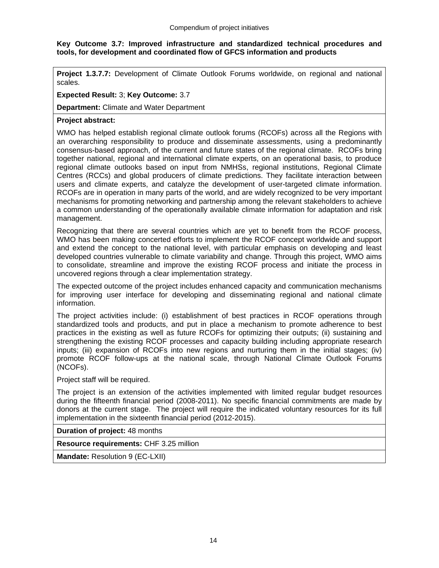# **Key Outcome 3.7: Improved infrastructure and standardized technical procedures and tools, for development and coordinated flow of GFCS information and products**

**Project 1.3.7.7:** Development of Climate Outlook Forums worldwide, on regional and national scales.

## **Expected Result:** 3; **Key Outcome:** 3.7

**Department:** Climate and Water Department

# **Project abstract:**

WMO has helped establish regional climate outlook forums (RCOFs) across all the Regions with an overarching responsibility to produce and disseminate assessments, using a predominantly consensus-based approach, of the current and future states of the regional climate. RCOFs bring together national, regional and international climate experts, on an operational basis, to produce regional climate outlooks based on input from NMHSs, regional institutions, Regional Climate Centres (RCCs) and global producers of climate predictions. They facilitate interaction between users and climate experts, and catalyze the development of user-targeted climate information. RCOFs are in operation in many parts of the world, and are widely recognized to be very important mechanisms for promoting networking and partnership among the relevant stakeholders to achieve a common understanding of the operationally available climate information for adaptation and risk management.

Recognizing that there are several countries which are yet to benefit from the RCOF process, WMO has been making concerted efforts to implement the RCOF concept worldwide and support and extend the concept to the national level, with particular emphasis on developing and least developed countries vulnerable to climate variability and change. Through this project, WMO aims to consolidate, streamline and improve the existing RCOF process and initiate the process in uncovered regions through a clear implementation strategy.

The expected outcome of the project includes enhanced capacity and communication mechanisms for improving user interface for developing and disseminating regional and national climate information.

The project activities include: (i) establishment of best practices in RCOF operations through standardized tools and products, and put in place a mechanism to promote adherence to best practices in the existing as well as future RCOFs for optimizing their outputs; (ii) sustaining and strengthening the existing RCOF processes and capacity building including appropriate research inputs; (iii) expansion of RCOFs into new regions and nurturing them in the initial stages; (iv) promote RCOF follow-ups at the national scale, through National Climate Outlook Forums (NCOFs).

Project staff will be required.

The project is an extension of the activities implemented with limited regular budget resources during the fifteenth financial period (2008-2011). No specific financial commitments are made by donors at the current stage. The project will require the indicated voluntary resources for its full implementation in the sixteenth financial period (2012-2015).

**Duration of project:** 48 months

**Resource requirements:** CHF 3.25 million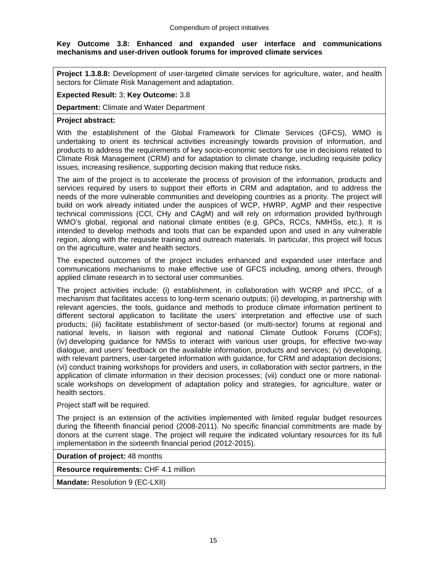## **Key Outcome 3.8: Enhanced and expanded user interface and communications mechanisms and user-driven outlook forums for improved climate services**

**Project 1.3.8.8:** Development of user-targeted climate services for agriculture, water, and health sectors for Climate Risk Management and adaptation.

## **Expected Result:** 3; **Key Outcome:** 3.8

**Department:** Climate and Water Department

## **Project abstract:**

With the establishment of the Global Framework for Climate Services (GFCS), WMO is undertaking to orient its technical activities increasingly towards provision of information, and products to address the requirements of key socio-economic sectors for use in decisions related to Climate Risk Management (CRM) and for adaptation to climate change, including requisite policy issues, increasing resilience, supporting decision making that reduce risks.

The aim of the project is to accelerate the process of provision of the information, products and services required by users to support their efforts in CRM and adaptation, and to address the needs of the more vulnerable communities and developing countries as a priority. The project will build on work already initiated under the auspices of WCP, HWRP, AgMP and their respective technical commissions (CCl, CHy and CAgM) and will rely on information provided by/through WMO's global, regional and national climate entities (e.g. GPCs, RCCs, NMHSs, etc.). It is intended to develop methods and tools that can be expanded upon and used in any vulnerable region, along with the requisite training and outreach materials. In particular, this project will focus on the agriculture, water and health sectors.

The expected outcomes of the project includes enhanced and expanded user interface and communications mechanisms to make effective use of GFCS including, among others, through applied climate research in to sectoral user communities.

The project activities include: (i) establishment, in collaboration with WCRP and IPCC, of a mechanism that facilitates access to long-term scenario outputs; (ii) developing, in partnership with relevant agencies, the tools, guidance and methods to produce climate information pertinent to different sectoral application to facilitate the users' interpretation and effective use of such products; (iii) facilitate establishment of sector-based (or multi-sector) forums at regional and national levels, in liaison with regional and national Climate Outlook Forums (COFs); (iv) developing guidance for NMSs to interact with various user groups, for effective two-way dialogue, and users' feedback on the available information, products and services; (v) developing, with relevant partners, user-targeted information with guidance, for CRM and adaptation decisions; (vi) conduct training workshops for providers and users, in collaboration with sector partners, in the application of climate information in their decision processes; (vii) conduct one or more nationalscale workshops on development of adaptation policy and strategies, for agriculture, water or health sectors.

Project staff will be required.

The project is an extension of the activities implemented with limited regular budget resources during the fifteenth financial period (2008-2011). No specific financial commitments are made by donors at the current stage. The project will require the indicated voluntary resources for its full implementation in the sixteenth financial period (2012-2015).

**Duration of project:** 48 months

**Resource requirements:** CHF 4.1 million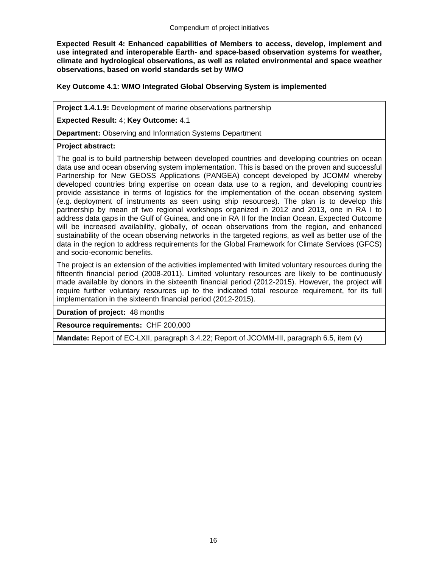**Expected Result 4: Enhanced capabilities of Members to access, develop, implement and use integrated and interoperable Earth- and space-based observation systems for weather, climate and hydrological observations, as well as related environmental and space weather observations, based on world standards set by WMO** 

# **Key Outcome 4.1: WMO Integrated Global Observing System is implemented**

**Project 1.4.1.9:** Development of marine observations partnership

**Expected Result:** 4; **Key Outcome:** 4.1

**Department:** Observing and Information Systems Department

# **Project abstract:**

The goal is to build partnership between developed countries and developing countries on ocean data use and ocean observing system implementation. This is based on the proven and successful Partnership for New GEOSS Applications (PANGEA) concept developed by JCOMM whereby developed countries bring expertise on ocean data use to a region, and developing countries provide assistance in terms of logistics for the implementation of the ocean observing system (e.g. deployment of instruments as seen using ship resources). The plan is to develop this partnership by mean of two regional workshops organized in 2012 and 2013, one in RA I to address data gaps in the Gulf of Guinea, and one in RA II for the Indian Ocean. Expected Outcome will be increased availability, globally, of ocean observations from the region, and enhanced sustainability of the ocean observing networks in the targeted regions, as well as better use of the data in the region to address requirements for the Global Framework for Climate Services (GFCS) and socio-economic benefits.

The project is an extension of the activities implemented with limited voluntary resources during the fifteenth financial period (2008-2011). Limited voluntary resources are likely to be continuously made available by donors in the sixteenth financial period (2012-2015). However, the project will require further voluntary resources up to the indicated total resource requirement, for its full implementation in the sixteenth financial period (2012-2015).

**Duration of project:** 48 months

**Resource requirements:** CHF 200,000

**Mandate:** Report of EC-LXII, paragraph 3.4.22; Report of JCOMM-III, paragraph 6.5, item (v)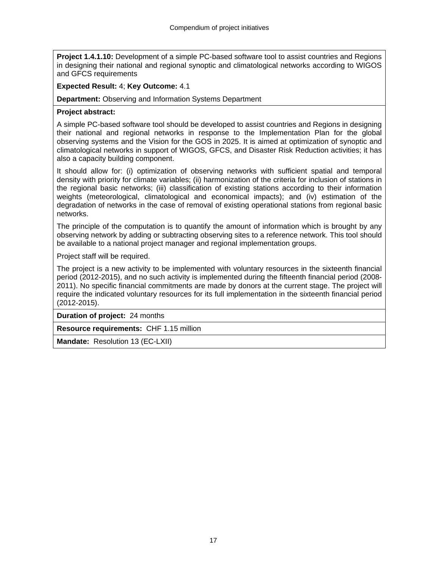**Project 1.4.1.10:** Development of a simple PC-based software tool to assist countries and Regions in designing their national and regional synoptic and climatological networks according to WIGOS and GFCS requirements

# **Expected Result:** 4; **Key Outcome:** 4.1

**Department:** Observing and Information Systems Department

# **Project abstract:**

A simple PC-based software tool should be developed to assist countries and Regions in designing their national and regional networks in response to the Implementation Plan for the global observing systems and the Vision for the GOS in 2025. It is aimed at optimization of synoptic and climatological networks in support of WIGOS, GFCS, and Disaster Risk Reduction activities; it has also a capacity building component.

It should allow for: (i) optimization of observing networks with sufficient spatial and temporal density with priority for climate variables; (ii) harmonization of the criteria for inclusion of stations in the regional basic networks; (iii) classification of existing stations according to their information weights (meteorological, climatological and economical impacts); and (iv) estimation of the degradation of networks in the case of removal of existing operational stations from regional basic networks.

The principle of the computation is to quantify the amount of information which is brought by any observing network by adding or subtracting observing sites to a reference network. This tool should be available to a national project manager and regional implementation groups.

Project staff will be required.

The project is a new activity to be implemented with voluntary resources in the sixteenth financial period (2012-2015), and no such activity is implemented during the fifteenth financial period (2008- 2011). No specific financial commitments are made by donors at the current stage. The project will require the indicated voluntary resources for its full implementation in the sixteenth financial period (2012-2015).

**Duration of project:** 24 months

**Resource requirements:** CHF 1.15 million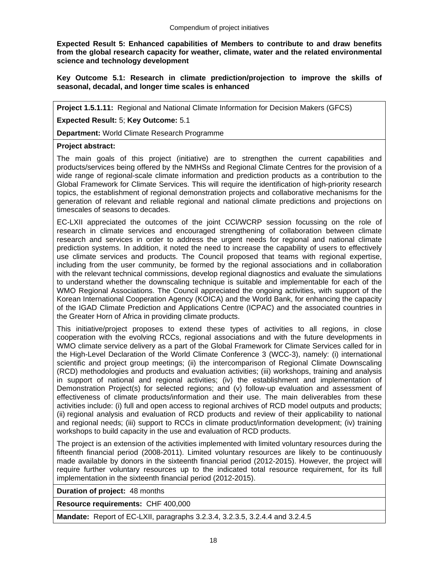**Expected Result 5: Enhanced capabilities of Members to contribute to and draw benefits from the global research capacity for weather, climate, water and the related environmental science and technology development** 

**Key Outcome 5.1: Research in climate prediction/projection to improve the skills of seasonal, decadal, and longer time scales is enhanced** 

**Project 1.5.1.11:** Regional and National Climate Information for Decision Makers (GFCS)

**Expected Result:** 5; **Key Outcome:** 5.1

**Department:** World Climate Research Programme

#### **Project abstract:**

The main goals of this project (initiative) are to strengthen the current capabilities and products/services being offered by the NMHSs and Regional Climate Centres for the provision of a wide range of regional-scale climate information and prediction products as a contribution to the Global Framework for Climate Services. This will require the identification of high-priority research topics, the establishment of regional demonstration projects and collaborative mechanisms for the generation of relevant and reliable regional and national climate predictions and projections on timescales of seasons to decades.

EC-LXII appreciated the outcomes of the joint CCl/WCRP session focussing on the role of research in climate services and encouraged strengthening of collaboration between climate research and services in order to address the urgent needs for regional and national climate prediction systems. In addition, it noted the need to increase the capability of users to effectively use climate services and products. The Council proposed that teams with regional expertise, including from the user community, be formed by the regional associations and in collaboration with the relevant technical commissions, develop regional diagnostics and evaluate the simulations to understand whether the downscaling technique is suitable and implementable for each of the WMO Regional Associations. The Council appreciated the ongoing activities, with support of the Korean International Cooperation Agency (KOICA) and the World Bank, for enhancing the capacity of the IGAD Climate Prediction and Applications Centre (ICPAC) and the associated countries in the Greater Horn of Africa in providing climate products.

This initiative/project proposes to extend these types of activities to all regions, in close cooperation with the evolving RCCs, regional associations and with the future developments in WMO climate service delivery as a part of the Global Framework for Climate Services called for in the High-Level Declaration of the World Climate Conference 3 (WCC-3), namely: (i) international scientific and project group meetings; (ii) the intercomparison of Regional Climate Downscaling (RCD) methodologies and products and evaluation activities; (iii) workshops, training and analysis in support of national and regional activities; (iv) the establishment and implementation of Demonstration Project(s) for selected regions; and (v) follow-up evaluation and assessment of effectiveness of climate products/information and their use. The main deliverables from these activities include: (i) full and open access to regional archives of RCD model outputs and products; (ii) regional analysis and evaluation of RCD products and review of their applicability to national and regional needs; (iii) support to RCCs in climate product/information development; (iv) training workshops to build capacity in the use and evaluation of RCD products.

The project is an extension of the activities implemented with limited voluntary resources during the fifteenth financial period (2008-2011). Limited voluntary resources are likely to be continuously made available by donors in the sixteenth financial period (2012-2015). However, the project will require further voluntary resources up to the indicated total resource requirement, for its full implementation in the sixteenth financial period (2012-2015).

**Duration of project:** 48 months

**Resource requirements:** CHF 400,000

**Mandate:** Report of EC-LXII, paragraphs 3.2.3.4, 3.2.3.5, 3.2.4.4 and 3.2.4.5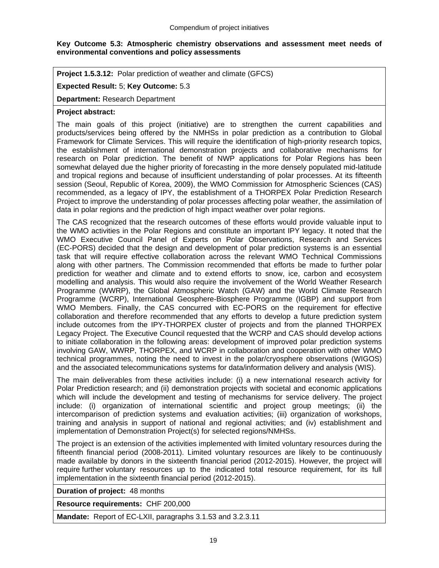# **Key Outcome 5.3: Atmospheric chemistry observations and assessment meet needs of environmental conventions and policy assessments**

**Project 1.5.3.12:** Polar prediction of weather and climate (GFCS)

# **Expected Result:** 5; **Key Outcome:** 5.3

**Department:** Research Department

# **Project abstract:**

The main goals of this project (initiative) are to strengthen the current capabilities and products/services being offered by the NMHSs in polar prediction as a contribution to Global Framework for Climate Services. This will require the identification of high-priority research topics, the establishment of international demonstration projects and collaborative mechanisms for research on Polar prediction. The benefit of NWP applications for Polar Regions has been somewhat delayed due the higher priority of forecasting in the more densely populated mid-latitude and tropical regions and because of insufficient understanding of polar processes. At its fifteenth session (Seoul, Republic of Korea, 2009), the WMO Commission for Atmospheric Sciences (CAS) recommended, as a legacy of IPY, the establishment of a THORPEX Polar Prediction Research Project to improve the understanding of polar processes affecting polar weather, the assimilation of data in polar regions and the prediction of high impact weather over polar regions.

The CAS recognized that the research outcomes of these efforts would provide valuable input to the WMO activities in the Polar Regions and constitute an important IPY legacy. It noted that the WMO Executive Council Panel of Experts on Polar Observations, Research and Services (EC-PORS) decided that the design and development of polar prediction systems is an essential task that will require effective collaboration across the relevant WMO Technical Commissions along with other partners. The Commission recommended that efforts be made to further polar prediction for weather and climate and to extend efforts to snow, ice, carbon and ecosystem modelling and analysis. This would also require the involvement of the World Weather Research Programme (WWRP), the Global Atmospheric Watch (GAW) and the World Climate Research Programme (WCRP), International Geosphere-Biosphere Programme (IGBP) and support from WMO Members. Finally, the CAS concurred with EC-PORS on the requirement for effective collaboration and therefore recommended that any efforts to develop a future prediction system include outcomes from the IPY-THORPEX cluster of projects and from the planned THORPEX Legacy Project. The Executive Council requested that the WCRP and CAS should develop actions to initiate collaboration in the following areas: development of improved polar prediction systems involving GAW, WWRP, THORPEX, and WCRP in collaboration and cooperation with other WMO technical programmes, noting the need to invest in the polar/cryosphere observations (WIGOS) and the associated telecommunications systems for data/information delivery and analysis (WIS).

The main deliverables from these activities include: (i) a new international research activity for Polar Prediction research; and (ii) demonstration projects with societal and economic applications which will include the development and testing of mechanisms for service delivery. The project include: (i) organization of international scientific and project group meetings; (ii) the intercomparison of prediction systems and evaluation activities; (iii) organization of workshops, training and analysis in support of national and regional activities; and (iv) establishment and implementation of Demonstration Project(s) for selected regions/NMHSs.

The project is an extension of the activities implemented with limited voluntary resources during the fifteenth financial period (2008-2011). Limited voluntary resources are likely to be continuously made available by donors in the sixteenth financial period (2012-2015). However, the project will require further voluntary resources up to the indicated total resource requirement, for its full implementation in the sixteenth financial period (2012-2015).

**Duration of project:** 48 months

**Resource requirements:** CHF 200,000

**Mandate:** Report of EC-LXII, paragraphs 3.1.53 and 3.2.3.11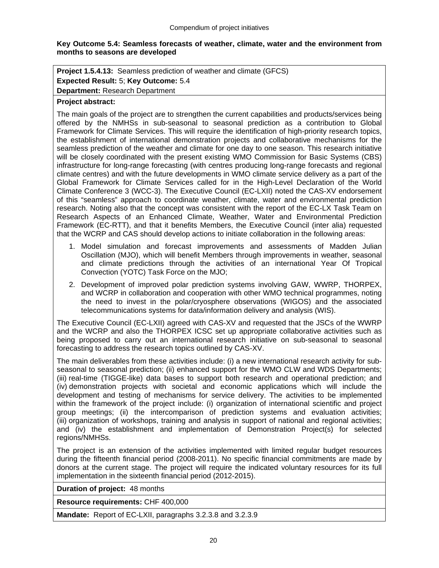# **Key Outcome 5.4: Seamless forecasts of weather, climate, water and the environment from months to seasons are developed**

**Project 1.5.4.13:** Seamless prediction of weather and climate (GFCS) **Expected Result:** 5; **Key Outcome:** 5.4 **Department:** Research Department

## **Project abstract:**

The main goals of the project are to strengthen the current capabilities and products/services being offered by the NMHSs in sub-seasonal to seasonal prediction as a contribution to Global Framework for Climate Services. This will require the identification of high-priority research topics, the establishment of international demonstration projects and collaborative mechanisms for the seamless prediction of the weather and climate for one day to one season. This research initiative will be closely coordinated with the present existing WMO Commission for Basic Systems (CBS) infrastructure for long-range forecasting (with centres producing long-range forecasts and regional climate centres) and with the future developments in WMO climate service delivery as a part of the Global Framework for Climate Services called for in the High-Level Declaration of the World Climate Conference 3 (WCC-3). The Executive Council (EC-LXII) noted the CAS-XV endorsement of this "seamless" approach to coordinate weather, climate, water and environmental prediction research. Noting also that the concept was consistent with the report of the EC-LX Task Team on Research Aspects of an Enhanced Climate, Weather, Water and Environmental Prediction Framework (EC-RTT), and that it benefits Members, the Executive Council (inter alia) requested that the WCRP and CAS should develop actions to initiate collaboration in the following areas:

- 1. Model simulation and forecast improvements and assessments of Madden Julian Oscillation (MJO), which will benefit Members through improvements in weather, seasonal and climate predictions through the activities of an international Year Of Tropical Convection (YOTC) Task Force on the MJO;
- 2. Development of improved polar prediction systems involving GAW, WWRP, THORPEX, and WCRP in collaboration and cooperation with other WMO technical programmes, noting the need to invest in the polar/cryosphere observations (WIGOS) and the associated telecommunications systems for data/information delivery and analysis (WIS).

The Executive Council (EC-LXII) agreed with CAS-XV and requested that the JSCs of the WWRP and the WCRP and also the THORPEX ICSC set up appropriate collaborative activities such as being proposed to carry out an international research initiative on sub-seasonal to seasonal forecasting to address the research topics outlined by CAS-XV.

The main deliverables from these activities include: (i) a new international research activity for subseasonal to seasonal prediction; (ii) enhanced support for the WMO CLW and WDS Departments; (iii) real-time (TIGGE-like) data bases to support both research and operational prediction; and (iv) demonstration projects with societal and economic applications which will include the development and testing of mechanisms for service delivery. The activities to be implemented within the framework of the project include: (i) organization of international scientific and project group meetings; (ii) the intercomparison of prediction systems and evaluation activities; (iii) organization of workshops, training and analysis in support of national and regional activities; and (iv) the establishment and implementation of Demonstration Project(s) for selected regions/NMHSs.

The project is an extension of the activities implemented with limited regular budget resources during the fifteenth financial period (2008-2011). No specific financial commitments are made by donors at the current stage. The project will require the indicated voluntary resources for its full implementation in the sixteenth financial period (2012-2015).

**Duration of project:** 48 months

**Resource requirements:** CHF 400,000

**Mandate:** Report of EC-LXII, paragraphs 3.2.3.8 and 3.2.3.9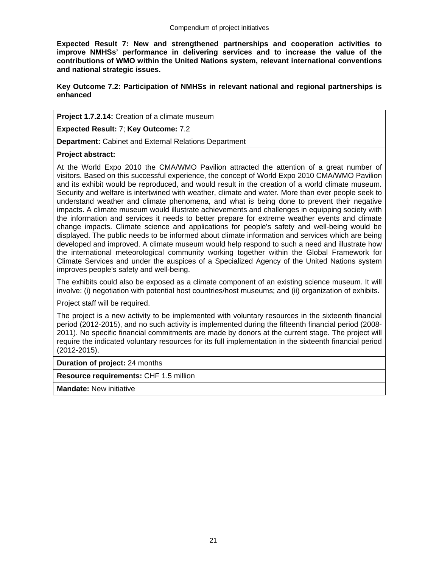**Expected Result 7: New and strengthened partnerships and cooperation activities to improve NMHSs' performance in delivering services and to increase the value of the contributions of WMO within the United Nations system, relevant international conventions and national strategic issues.** 

**Key Outcome 7.2: Participation of NMHSs in relevant national and regional partnerships is enhanced** 

**Project 1.7.2.14:** Creation of a climate museum

**Expected Result:** 7; **Key Outcome:** 7.2

**Department:** Cabinet and External Relations Department

**Project abstract:**

At the World Expo 2010 the CMA/WMO Pavilion attracted the attention of a great number of visitors. Based on this successful experience, the concept of World Expo 2010 CMA/WMO Pavilion and its exhibit would be reproduced, and would result in the creation of a world climate museum. Security and welfare is intertwined with weather, climate and water. More than ever people seek to understand weather and climate phenomena, and what is being done to prevent their negative impacts. A climate museum would illustrate achievements and challenges in equipping society with the information and services it needs to better prepare for extreme weather events and climate change impacts. Climate science and applications for people's safety and well-being would be displayed. The public needs to be informed about climate information and services which are being developed and improved. A climate museum would help respond to such a need and illustrate how the international meteorological community working together within the Global Framework for Climate Services and under the auspices of a Specialized Agency of the United Nations system improves people's safety and well-being.

The exhibits could also be exposed as a climate component of an existing science museum. It will involve: (i) negotiation with potential host countries/host museums; and (ii) organization of exhibits.

Project staff will be required.

The project is a new activity to be implemented with voluntary resources in the sixteenth financial period (2012-2015), and no such activity is implemented during the fifteenth financial period (2008- 2011). No specific financial commitments are made by donors at the current stage. The project will require the indicated voluntary resources for its full implementation in the sixteenth financial period (2012-2015).

**Duration of project:** 24 months

**Resource requirements:** CHF 1.5 million

**Mandate:** New initiative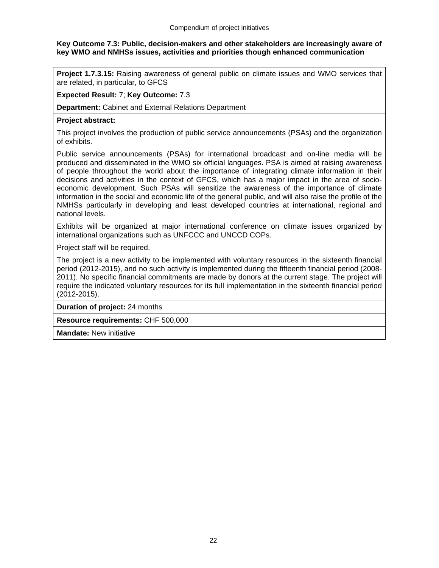# **Key Outcome 7.3: Public, decision-makers and other stakeholders are increasingly aware of key WMO and NMHSs issues, activities and priorities though enhanced communication**

**Project 1.7.3.15:** Raising awareness of general public on climate issues and WMO services that are related, in particular, to GFCS

**Expected Result:** 7; **Key Outcome:** 7.3

**Department:** Cabinet and External Relations Department

## **Project abstract:**

This project involves the production of public service announcements (PSAs) and the organization of exhibits.

Public service announcements (PSAs) for international broadcast and on-line media will be produced and disseminated in the WMO six official languages. PSA is aimed at raising awareness of people throughout the world about the importance of integrating climate information in their decisions and activities in the context of GFCS, which has a major impact in the area of socioeconomic development. Such PSAs will sensitize the awareness of the importance of climate information in the social and economic life of the general public, and will also raise the profile of the NMHSs particularly in developing and least developed countries at international, regional and national levels.

Exhibits will be organized at major international conference on climate issues organized by international organizations such as UNFCCC and UNCCD COPs.

Project staff will be required.

The project is a new activity to be implemented with voluntary resources in the sixteenth financial period (2012-2015), and no such activity is implemented during the fifteenth financial period (2008- 2011). No specific financial commitments are made by donors at the current stage. The project will require the indicated voluntary resources for its full implementation in the sixteenth financial period (2012-2015).

**Duration of project:** 24 months

**Resource requirements:** CHF 500,000

**Mandate:** New initiative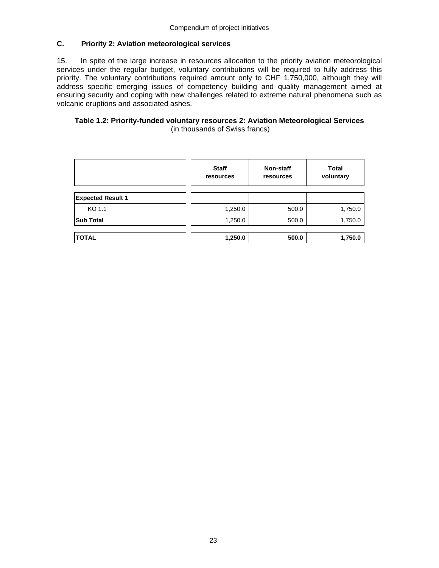# **C. Priority 2: Aviation meteorological services**

15. In spite of the large increase in resources allocation to the priority aviation meteorological services under the regular budget, voluntary contributions will be required to fully address this priority. The voluntary contributions required amount only to CHF 1,750,000, although they will address specific emerging issues of competency building and quality management aimed at ensuring security and coping with new challenges related to extreme natural phenomena such as volcanic eruptions and associated ashes.

## **Table 1.2: Priority-funded voluntary resources 2: Aviation Meteorological Services**  (in thousands of Swiss francs)

|                          | <b>Staff</b><br>resources | <b>Non-staff</b><br>resources | Total<br>voluntary |
|--------------------------|---------------------------|-------------------------------|--------------------|
| <b>Expected Result 1</b> |                           |                               |                    |
| KO 1.1                   | 1,250.0                   | 500.0                         | 1,750.0            |
| <b>Sub Total</b>         | 1,250.0                   | 500.0                         | 1,750.0            |
|                          |                           |                               |                    |
| <b>TOTAL</b>             | 1,250.0                   | 500.0                         | 1,750.0            |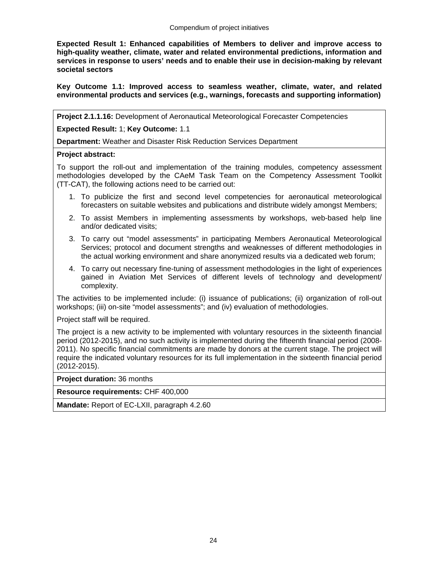**Expected Result 1: Enhanced capabilities of Members to deliver and improve access to high-quality weather, climate, water and related environmental predictions, information and services in response to users' needs and to enable their use in decision-making by relevant societal sectors** 

**Key Outcome 1.1: Improved access to seamless weather, climate, water, and related environmental products and services (e.g., warnings, forecasts and supporting information)** 

**Project 2.1.1.16:** Development of Aeronautical Meteorological Forecaster Competencies

**Expected Result:** 1; **Key Outcome:** 1.1

**Department:** Weather and Disaster Risk Reduction Services Department

## **Project abstract:**

To support the roll-out and implementation of the training modules, competency assessment methodologies developed by the CAeM Task Team on the Competency Assessment Toolkit (TT-CAT), the following actions need to be carried out:

- 1. To publicize the first and second level competencies for aeronautical meteorological forecasters on suitable websites and publications and distribute widely amongst Members;
- 2. To assist Members in implementing assessments by workshops, web-based help line and/or dedicated visits;
- 3. To carry out "model assessments" in participating Members Aeronautical Meteorological Services; protocol and document strengths and weaknesses of different methodologies in the actual working environment and share anonymized results via a dedicated web forum;
- 4. To carry out necessary fine-tuning of assessment methodologies in the light of experiences gained in Aviation Met Services of different levels of technology and development/ complexity.

The activities to be implemented include: (i) issuance of publications; (ii) organization of roll-out workshops; (iii) on-site "model assessments"; and (iv) evaluation of methodologies.

Project staff will be required.

The project is a new activity to be implemented with voluntary resources in the sixteenth financial period (2012-2015), and no such activity is implemented during the fifteenth financial period (2008- 2011). No specific financial commitments are made by donors at the current stage. The project will require the indicated voluntary resources for its full implementation in the sixteenth financial period (2012-2015).

**Project duration:** 36 months

**Resource requirements:** CHF 400,000

**Mandate:** Report of EC-LXII, paragraph 4.2.60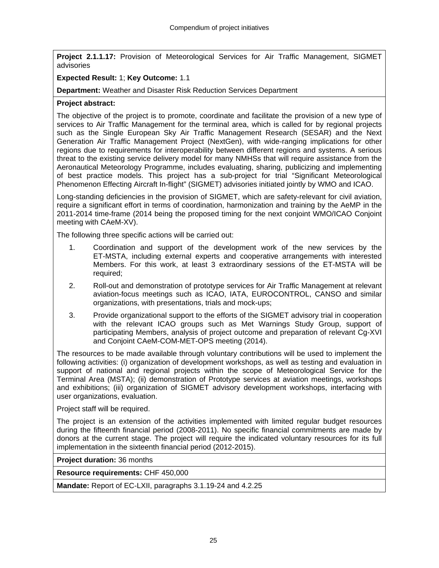**Project 2.1.1.17:** Provision of Meteorological Services for Air Traffic Management, SIGMET advisories

# **Expected Result:** 1; **Key Outcome:** 1.1

**Department:** Weather and Disaster Risk Reduction Services Department

# **Project abstract:**

The objective of the project is to promote, coordinate and facilitate the provision of a new type of services to Air Traffic Management for the terminal area, which is called for by regional projects such as the Single European Sky Air Traffic Management Research (SESAR) and the Next Generation Air Traffic Management Project (NextGen), with wide-ranging implications for other regions due to requirements for interoperability between different regions and systems. A serious threat to the existing service delivery model for many NMHSs that will require assistance from the Aeronautical Meteorology Programme, includes evaluating, sharing, publicizing and implementing of best practice models. This project has a sub-project for trial "Significant Meteorological Phenomenon Effecting Aircraft In-flight" (SIGMET) advisories initiated jointly by WMO and ICAO.

Long-standing deficiencies in the provision of SIGMET, which are safety-relevant for civil aviation, require a significant effort in terms of coordination, harmonization and training by the AeMP in the 2011-2014 time-frame (2014 being the proposed timing for the next conjoint WMO/ICAO Conjoint meeting with CAeM-XV).

The following three specific actions will be carried out:

- 1. Coordination and support of the development work of the new services by the ET-MSTA, including external experts and cooperative arrangements with interested Members. For this work, at least 3 extraordinary sessions of the ET-MSTA will be required;
- 2. Roll-out and demonstration of prototype services for Air Traffic Management at relevant aviation-focus meetings such as ICAO, IATA, EUROCONTROL, CANSO and similar organizations, with presentations, trials and mock-ups;
- 3. Provide organizational support to the efforts of the SIGMET advisory trial in cooperation with the relevant ICAO groups such as Met Warnings Study Group, support of participating Members, analysis of project outcome and preparation of relevant Cg-XVI and Conjoint CAeM-COM-MET-OPS meeting (2014).

The resources to be made available through voluntary contributions will be used to implement the following activities: (i) organization of development workshops, as well as testing and evaluation in support of national and regional projects within the scope of Meteorological Service for the Terminal Area (MSTA); (ii) demonstration of Prototype services at aviation meetings, workshops and exhibitions; (iii) organization of SIGMET advisory development workshops, interfacing with user organizations, evaluation.

# Project staff will be required.

The project is an extension of the activities implemented with limited regular budget resources during the fifteenth financial period (2008-2011). No specific financial commitments are made by donors at the current stage. The project will require the indicated voluntary resources for its full implementation in the sixteenth financial period (2012-2015).

**Project duration:** 36 months

**Resource requirements:** CHF 450,000

**Mandate:** Report of EC-LXII, paragraphs 3.1.19-24 and 4.2.25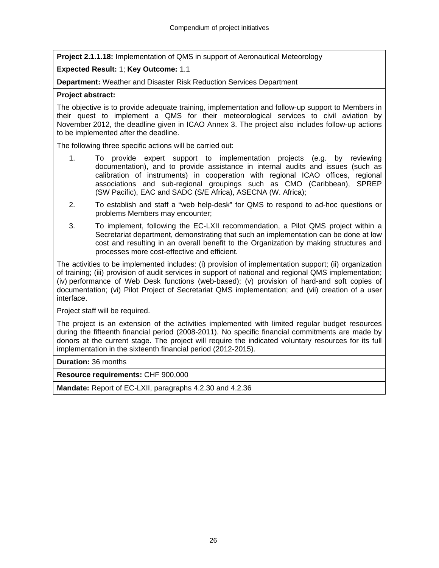**Project 2.1.1.18:** Implementation of QMS in support of Aeronautical Meteorology

# **Expected Result:** 1; **Key Outcome:** 1.1

**Department:** Weather and Disaster Risk Reduction Services Department

# **Project abstract:**

The objective is to provide adequate training, implementation and follow-up support to Members in their quest to implement a QMS for their meteorological services to civil aviation by November 2012, the deadline given in ICAO Annex 3. The project also includes follow-up actions to be implemented after the deadline.

The following three specific actions will be carried out:

- 1. To provide expert support to implementation projects (e.g. by reviewing documentation), and to provide assistance in internal audits and issues (such as calibration of instruments) in cooperation with regional ICAO offices, regional associations and sub-regional groupings such as CMO (Caribbean), SPREP (SW Pacific), EAC and SADC (S/E Africa), ASECNA (W. Africa);
- 2. To establish and staff a "web help-desk" for QMS to respond to ad-hoc questions or problems Members may encounter;
- 3. To implement, following the EC-LXII recommendation, a Pilot QMS project within a Secretariat department, demonstrating that such an implementation can be done at low cost and resulting in an overall benefit to the Organization by making structures and processes more cost-effective and efficient.

The activities to be implemented includes: (i) provision of implementation support; (ii) organization of training; (iii) provision of audit services in support of national and regional QMS implementation; (iv) performance of Web Desk functions (web-based); (v) provision of hard-and soft copies of documentation; (vi) Pilot Project of Secretariat QMS implementation; and (vii) creation of a user interface.

Project staff will be required.

The project is an extension of the activities implemented with limited regular budget resources during the fifteenth financial period (2008-2011). No specific financial commitments are made by donors at the current stage. The project will require the indicated voluntary resources for its full implementation in the sixteenth financial period (2012-2015).

**Duration:** 36 months

**Resource requirements:** CHF 900,000

**Mandate:** Report of EC-LXII, paragraphs 4.2.30 and 4.2.36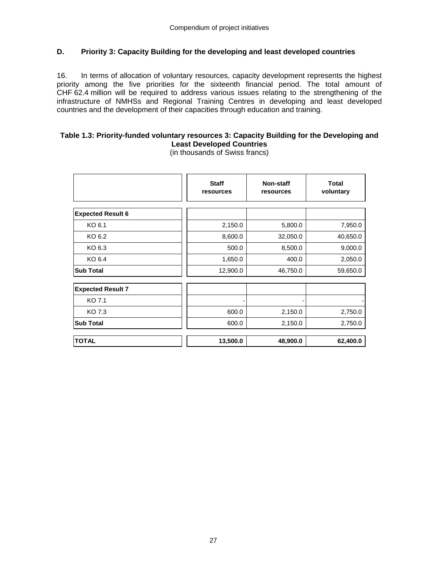# **D. Priority 3: Capacity Building for the developing and least developed countries**

16. In terms of allocation of voluntary resources, capacity development represents the highest priority among the five priorities for the sixteenth financial period. The total amount of CHF 62.4 million will be required to address various issues relating to the strengthening of the infrastructure of NMHSs and Regional Training Centres in developing and least developed countries and the development of their capacities through education and training.

# **Table 1.3: Priority-funded voluntary resources 3: Capacity Building for the Developing and Least Developed Countries**

(in thousands of Swiss francs)

|                          | <b>Staff</b><br>resources | Non-staff<br>resources | <b>Total</b><br>voluntary |
|--------------------------|---------------------------|------------------------|---------------------------|
| <b>Expected Result 6</b> |                           |                        |                           |
| KO 6.1                   | 2,150.0                   | 5,800.0                | 7,950.0                   |
| KO 6.2                   | 8,600.0                   | 32,050.0               | 40,650.0                  |
| KO 6.3                   | 500.0                     | 8,500.0                | 9,000.0                   |
| KO 6.4                   | 1,650.0                   | 400.0                  | 2,050.0                   |
| <b>Sub Total</b>         | 12,900.0                  | 46,750.0               | 59,650.0                  |
| <b>Expected Result 7</b> |                           |                        |                           |
| KO 7.1                   |                           |                        |                           |
| KO 7.3                   | 600.0                     | 2,150.0                | 2,750.0                   |
| <b>Sub Total</b>         | 600.0                     | 2,150.0                | 2,750.0                   |
| <b>TOTAL</b>             | 13,500.0                  | 48,900.0               | 62,400.0                  |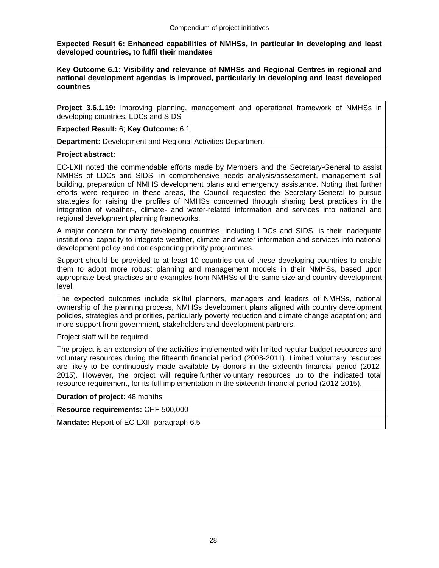**Expected Result 6: Enhanced capabilities of NMHSs, in particular in developing and least developed countries, to fulfil their mandates** 

**Key Outcome 6.1: Visibility and relevance of NMHSs and Regional Centres in regional and national development agendas is improved, particularly in developing and least developed countries** 

**Project 3.6.1.19:** Improving planning, management and operational framework of NMHSs in developing countries, LDCs and SIDS

**Expected Result:** 6; **Key Outcome:** 6.1

**Department:** Development and Regional Activities Department

#### **Project abstract:**

EC-LXII noted the commendable efforts made by Members and the Secretary-General to assist NMHSs of LDCs and SIDS, in comprehensive needs analysis/assessment, management skill building, preparation of NMHS development plans and emergency assistance. Noting that further efforts were required in these areas, the Council requested the Secretary-General to pursue strategies for raising the profiles of NMHSs concerned through sharing best practices in the integration of weather-, climate- and water-related information and services into national and regional development planning frameworks.

A major concern for many developing countries, including LDCs and SIDS, is their inadequate institutional capacity to integrate weather, climate and water information and services into national development policy and corresponding priority programmes.

Support should be provided to at least 10 countries out of these developing countries to enable them to adopt more robust planning and management models in their NMHSs, based upon appropriate best practises and examples from NMHSs of the same size and country development level.

The expected outcomes include skilful planners, managers and leaders of NMHSs, national ownership of the planning process, NMHSs development plans aligned with country development policies, strategies and priorities, particularly poverty reduction and climate change adaptation; and more support from government, stakeholders and development partners.

Project staff will be required.

The project is an extension of the activities implemented with limited regular budget resources and voluntary resources during the fifteenth financial period (2008-2011). Limited voluntary resources are likely to be continuously made available by donors in the sixteenth financial period (2012- 2015). However, the project will require further voluntary resources up to the indicated total resource requirement, for its full implementation in the sixteenth financial period (2012-2015).

**Duration of project:** 48 months

**Resource requirements:** CHF 500,000

**Mandate:** Report of EC-LXII, paragraph 6.5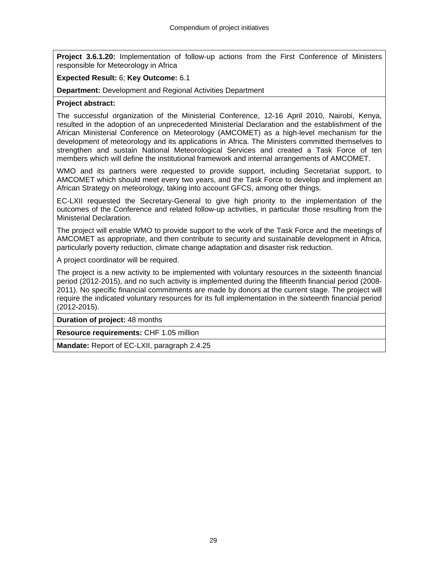**Project 3.6.1.20:** Implementation of follow-up actions from the First Conference of Ministers responsible for Meteorology in Africa

# **Expected Result:** 6; **Key Outcome:** 6.1

**Department:** Development and Regional Activities Department

## **Project abstract:**

The successful organization of the Ministerial Conference, 12-16 April 2010, Nairobi, Kenya, resulted in the adoption of an unprecedented Ministerial Declaration and the establishment of the African Ministerial Conference on Meteorology (AMCOMET) as a high-level mechanism for the development of meteorology and its applications in Africa. The Ministers committed themselves to strengthen and sustain National Meteorological Services and created a Task Force of ten members which will define the institutional framework and internal arrangements of AMCOMET.

WMO and its partners were requested to provide support, including Secretariat support, to AMCOMET which should meet every two years, and the Task Force to develop and implement an African Strategy on meteorology, taking into account GFCS, among other things.

EC-LXII requested the Secretary-General to give high priority to the implementation of the outcomes of the Conference and related follow-up activities, in particular those resulting from the Ministerial Declaration.

The project will enable WMO to provide support to the work of the Task Force and the meetings of AMCOMET as appropriate, and then contribute to security and sustainable development in Africa, particularly poverty reduction, climate change adaptation and disaster risk reduction.

A project coordinator will be required.

The project is a new activity to be implemented with voluntary resources in the sixteenth financial period (2012-2015), and no such activity is implemented during the fifteenth financial period (2008- 2011). No specific financial commitments are made by donors at the current stage. The project will require the indicated voluntary resources for its full implementation in the sixteenth financial period (2012-2015).

**Duration of project:** 48 months

**Resource requirements:** CHF 1.05 million

**Mandate:** Report of EC-LXII, paragraph 2.4.25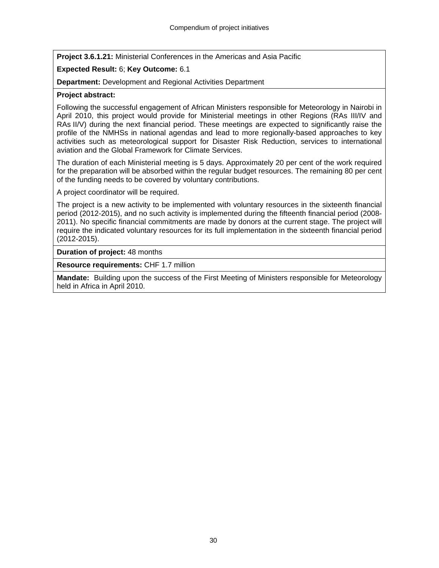**Project 3.6.1.21:** Ministerial Conferences in the Americas and Asia Pacific

# **Expected Result:** 6; **Key Outcome:** 6.1

**Department:** Development and Regional Activities Department

# **Project abstract:**

Following the successful engagement of African Ministers responsible for Meteorology in Nairobi in April 2010, this project would provide for Ministerial meetings in other Regions (RAs III/IV and RAs II/V) during the next financial period. These meetings are expected to significantly raise the profile of the NMHSs in national agendas and lead to more regionally-based approaches to key activities such as meteorological support for Disaster Risk Reduction, services to international aviation and the Global Framework for Climate Services.

The duration of each Ministerial meeting is 5 days. Approximately 20 per cent of the work required for the preparation will be absorbed within the regular budget resources. The remaining 80 per cent of the funding needs to be covered by voluntary contributions.

A project coordinator will be required.

The project is a new activity to be implemented with voluntary resources in the sixteenth financial period (2012-2015), and no such activity is implemented during the fifteenth financial period (2008- 2011). No specific financial commitments are made by donors at the current stage. The project will require the indicated voluntary resources for its full implementation in the sixteenth financial period (2012-2015).

**Duration of project:** 48 months

**Resource requirements:** CHF 1.7 million

**Mandate:** Building upon the success of the First Meeting of Ministers responsible for Meteorology held in Africa in April 2010.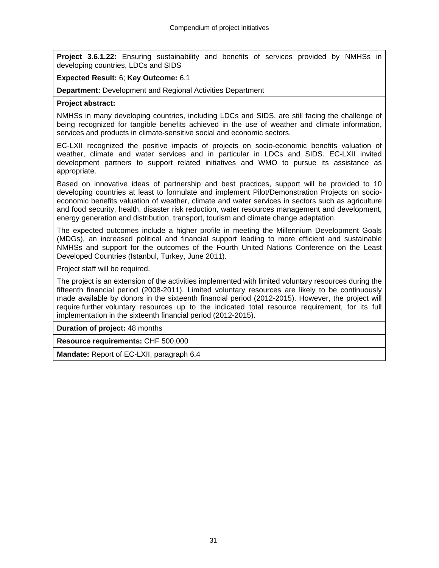**Project 3.6.1.22:** Ensuring sustainability and benefits of services provided by NMHSs in developing countries, LDCs and SIDS

## **Expected Result:** 6; **Key Outcome:** 6.1

**Department:** Development and Regional Activities Department

## **Project abstract:**

NMHSs in many developing countries, including LDCs and SIDS, are still facing the challenge of being recognized for tangible benefits achieved in the use of weather and climate information, services and products in climate-sensitive social and economic sectors.

EC-LXII recognized the positive impacts of projects on socio-economic benefits valuation of weather, climate and water services and in particular in LDCs and SIDS. EC-LXII invited development partners to support related initiatives and WMO to pursue its assistance as appropriate.

Based on innovative ideas of partnership and best practices, support will be provided to 10 developing countries at least to formulate and implement Pilot/Demonstration Projects on socioeconomic benefits valuation of weather, climate and water services in sectors such as agriculture and food security, health, disaster risk reduction, water resources management and development, energy generation and distribution, transport, tourism and climate change adaptation.

The expected outcomes include a higher profile in meeting the Millennium Development Goals (MDGs), an increased political and financial support leading to more efficient and sustainable NMHSs and support for the outcomes of the Fourth United Nations Conference on the Least Developed Countries (Istanbul, Turkey, June 2011).

Project staff will be required.

The project is an extension of the activities implemented with limited voluntary resources during the fifteenth financial period (2008-2011). Limited voluntary resources are likely to be continuously made available by donors in the sixteenth financial period (2012-2015). However, the project will require further voluntary resources up to the indicated total resource requirement, for its full implementation in the sixteenth financial period (2012-2015).

**Duration of project:** 48 months

**Resource requirements:** CHF 500,000

**Mandate:** Report of EC-LXII, paragraph 6.4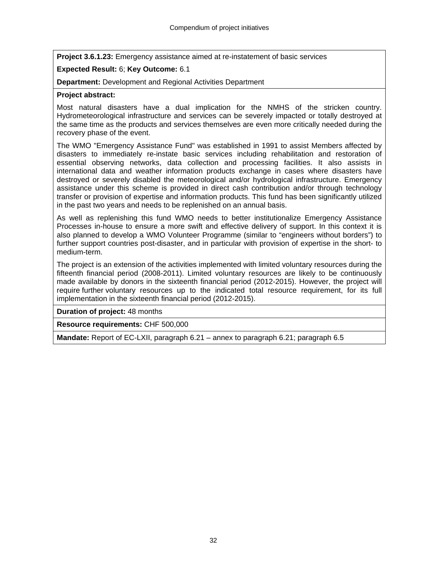**Project 3.6.1.23:** Emergency assistance aimed at re-instatement of basic services

# **Expected Result:** 6; **Key Outcome:** 6.1

**Department:** Development and Regional Activities Department

# **Project abstract:**

Most natural disasters have a dual implication for the NMHS of the stricken country. Hydrometeorological infrastructure and services can be severely impacted or totally destroyed at the same time as the products and services themselves are even more critically needed during the recovery phase of the event.

The WMO "Emergency Assistance Fund" was established in 1991 to assist Members affected by disasters to immediately re-instate basic services including rehabilitation and restoration of essential observing networks, data collection and processing facilities. It also assists in international data and weather information products exchange in cases where disasters have destroyed or severely disabled the meteorological and/or hydrological infrastructure. Emergency assistance under this scheme is provided in direct cash contribution and/or through technology transfer or provision of expertise and information products. This fund has been significantly utilized in the past two years and needs to be replenished on an annual basis.

As well as replenishing this fund WMO needs to better institutionalize Emergency Assistance Processes in-house to ensure a more swift and effective delivery of support. In this context it is also planned to develop a WMO Volunteer Programme (similar to "engineers without borders") to further support countries post-disaster, and in particular with provision of expertise in the short- to medium-term.

The project is an extension of the activities implemented with limited voluntary resources during the fifteenth financial period (2008-2011). Limited voluntary resources are likely to be continuously made available by donors in the sixteenth financial period (2012-2015). However, the project will require further voluntary resources up to the indicated total resource requirement, for its full implementation in the sixteenth financial period (2012-2015).

**Duration of project:** 48 months

**Resource requirements:** CHF 500,000

**Mandate:** Report of EC-LXII, paragraph 6.21 – annex to paragraph 6.21; paragraph 6.5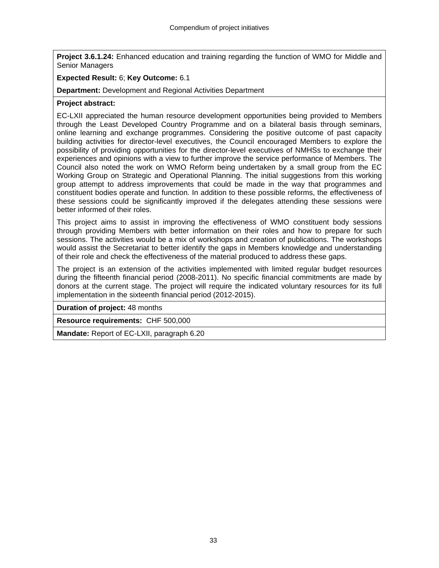**Project 3.6.1.24:** Enhanced education and training regarding the function of WMO for Middle and Senior Managers

## **Expected Result:** 6; **Key Outcome:** 6.1

**Department:** Development and Regional Activities Department

## **Project abstract:**

EC-LXII appreciated the human resource development opportunities being provided to Members through the Least Developed Country Programme and on a bilateral basis through seminars, online learning and exchange programmes. Considering the positive outcome of past capacity building activities for director-level executives, the Council encouraged Members to explore the possibility of providing opportunities for the director-level executives of NMHSs to exchange their experiences and opinions with a view to further improve the service performance of Members. The Council also noted the work on WMO Reform being undertaken by a small group from the EC Working Group on Strategic and Operational Planning. The initial suggestions from this working group attempt to address improvements that could be made in the way that programmes and constituent bodies operate and function. In addition to these possible reforms, the effectiveness of these sessions could be significantly improved if the delegates attending these sessions were better informed of their roles.

This project aims to assist in improving the effectiveness of WMO constituent body sessions through providing Members with better information on their roles and how to prepare for such sessions. The activities would be a mix of workshops and creation of publications. The workshops would assist the Secretariat to better identify the gaps in Members knowledge and understanding of their role and check the effectiveness of the material produced to address these gaps.

The project is an extension of the activities implemented with limited regular budget resources during the fifteenth financial period (2008-2011). No specific financial commitments are made by donors at the current stage. The project will require the indicated voluntary resources for its full implementation in the sixteenth financial period (2012-2015).

**Duration of project:** 48 months

**Resource requirements:** CHF 500,000

**Mandate:** Report of EC-LXII, paragraph 6.20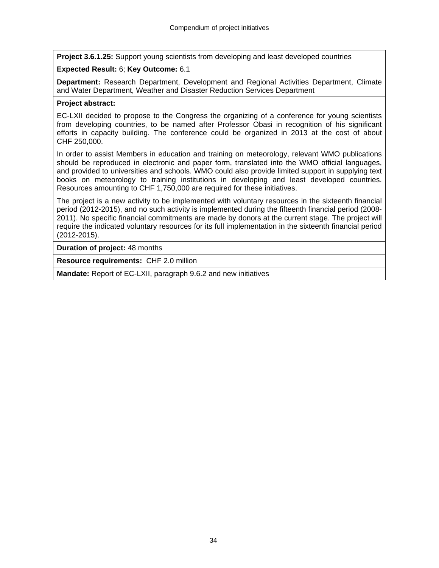**Project 3.6.1.25:** Support young scientists from developing and least developed countries

# **Expected Result:** 6; **Key Outcome:** 6.1

**Department:** Research Department, Development and Regional Activities Department, Climate and Water Department, Weather and Disaster Reduction Services Department

# **Project abstract:**

EC-LXII decided to propose to the Congress the organizing of a conference for young scientists from developing countries, to be named after Professor Obasi in recognition of his significant efforts in capacity building. The conference could be organized in 2013 at the cost of about CHF 250,000.

In order to assist Members in education and training on meteorology, relevant WMO publications should be reproduced in electronic and paper form, translated into the WMO official languages, and provided to universities and schools. WMO could also provide limited support in supplying text books on meteorology to training institutions in developing and least developed countries. Resources amounting to CHF 1,750,000 are required for these initiatives.

The project is a new activity to be implemented with voluntary resources in the sixteenth financial period (2012-2015), and no such activity is implemented during the fifteenth financial period (2008- 2011). No specific financial commitments are made by donors at the current stage. The project will require the indicated voluntary resources for its full implementation in the sixteenth financial period (2012-2015).

**Duration of project:** 48 months

**Resource requirements:** CHF 2.0 million

**Mandate:** Report of EC-LXII, paragraph 9.6.2 and new initiatives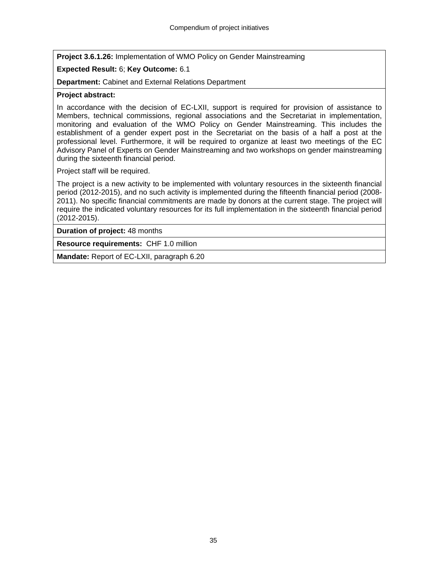**Project 3.6.1.26:** Implementation of WMO Policy on Gender Mainstreaming

# **Expected Result:** 6; **Key Outcome:** 6.1

**Department:** Cabinet and External Relations Department

## **Project abstract:**

In accordance with the decision of EC-LXII, support is required for provision of assistance to Members, technical commissions, regional associations and the Secretariat in implementation, monitoring and evaluation of the WMO Policy on Gender Mainstreaming. This includes the establishment of a gender expert post in the Secretariat on the basis of a half a post at the professional level. Furthermore, it will be required to organize at least two meetings of the EC Advisory Panel of Experts on Gender Mainstreaming and two workshops on gender mainstreaming during the sixteenth financial period.

Project staff will be required.

The project is a new activity to be implemented with voluntary resources in the sixteenth financial period (2012-2015), and no such activity is implemented during the fifteenth financial period (2008- 2011). No specific financial commitments are made by donors at the current stage. The project will require the indicated voluntary resources for its full implementation in the sixteenth financial period (2012-2015).

**Duration of project:** 48 months

**Resource requirements:** CHF 1.0 million

**Mandate:** Report of EC-LXII, paragraph 6.20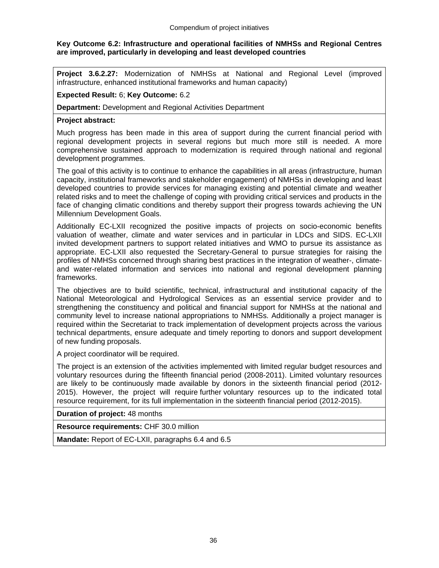## **Key Outcome 6.2: Infrastructure and operational facilities of NMHSs and Regional Centres are improved, particularly in developing and least developed countries**

**Project 3.6.2.27:** Modernization of NMHSs at National and Regional Level (improved infrastructure, enhanced institutional frameworks and human capacity)

## **Expected Result:** 6; **Key Outcome:** 6.2

**Department:** Development and Regional Activities Department

## **Project abstract:**

Much progress has been made in this area of support during the current financial period with regional development projects in several regions but much more still is needed. A more comprehensive sustained approach to modernization is required through national and regional development programmes.

The goal of this activity is to continue to enhance the capabilities in all areas (infrastructure, human capacity, institutional frameworks and stakeholder engagement) of NMHSs in developing and least developed countries to provide services for managing existing and potential climate and weather related risks and to meet the challenge of coping with providing critical services and products in the face of changing climatic conditions and thereby support their progress towards achieving the UN Millennium Development Goals.

Additionally EC-LXII recognized the positive impacts of projects on socio-economic benefits valuation of weather, climate and water services and in particular in LDCs and SIDS. EC-LXII invited development partners to support related initiatives and WMO to pursue its assistance as appropriate. EC-LXII also requested the Secretary-General to pursue strategies for raising the profiles of NMHSs concerned through sharing best practices in the integration of weather-, climateand water-related information and services into national and regional development planning frameworks.

The objectives are to build scientific, technical, infrastructural and institutional capacity of the National Meteorological and Hydrological Services as an essential service provider and to strengthening the constituency and political and financial support for NMHSs at the national and community level to increase national appropriations to NMHSs. Additionally a project manager is required within the Secretariat to track implementation of development projects across the various technical departments, ensure adequate and timely reporting to donors and support development of new funding proposals.

A project coordinator will be required.

The project is an extension of the activities implemented with limited regular budget resources and voluntary resources during the fifteenth financial period (2008-2011). Limited voluntary resources are likely to be continuously made available by donors in the sixteenth financial period (2012- 2015). However, the project will require further voluntary resources up to the indicated total resource requirement, for its full implementation in the sixteenth financial period (2012-2015).

**Duration of project:** 48 months

**Resource requirements:** CHF 30.0 million

**Mandate:** Report of EC-LXII, paragraphs 6.4 and 6.5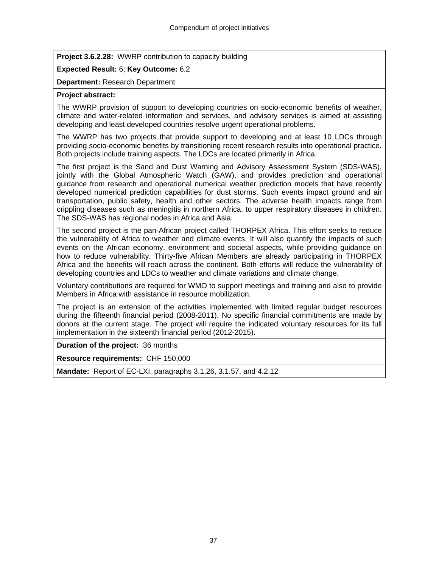**Project 3.6.2.28:** WWRP contribution to capacity building

## **Expected Result:** 6; **Key Outcome:** 6.2

## **Department:** Research Department

## **Project abstract:**

The WWRP provision of support to developing countries on socio-economic benefits of weather, climate and water-related information and services, and advisory services is aimed at assisting developing and least developed countries resolve urgent operational problems.

The WWRP has two projects that provide support to developing and at least 10 LDCs through providing socio-economic benefits by transitioning recent research results into operational practice. Both projects include training aspects. The LDCs are located primarily in Africa.

The first project is the Sand and Dust Warning and Advisory Assessment System (SDS-WAS), jointly with the Global Atmospheric Watch (GAW), and provides prediction and operational guidance from research and operational numerical weather prediction models that have recently developed numerical prediction capabilities for dust storms. Such events impact ground and air transportation, public safety, health and other sectors. The adverse health impacts range from crippling diseases such as meningitis in northern Africa, to upper respiratory diseases in children. The SDS-WAS has regional nodes in Africa and Asia.

The second project is the pan-African project called THORPEX Africa. This effort seeks to reduce the vulnerability of Africa to weather and climate events. It will also quantify the impacts of such events on the African economy, environment and societal aspects, while providing guidance on how to reduce vulnerability. Thirty-five African Members are already participating in THORPEX Africa and the benefits will reach across the continent. Both efforts will reduce the vulnerability of developing countries and LDCs to weather and climate variations and climate change.

Voluntary contributions are required for WMO to support meetings and training and also to provide Members in Africa with assistance in resource mobilization.

The project is an extension of the activities implemented with limited regular budget resources during the fifteenth financial period (2008-2011). No specific financial commitments are made by donors at the current stage. The project will require the indicated voluntary resources for its full implementation in the sixteenth financial period (2012-2015).

**Duration of the project:** 36 months

**Resource requirements:** CHF 150,000

**Mandate:** Report of EC-LXI, paragraphs 3.1.26, 3.1.57, and 4.2.12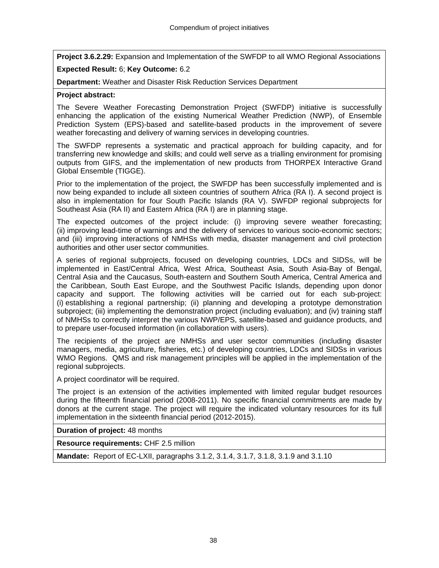**Project 3.6.2.29:** Expansion and Implementation of the SWFDP to all WMO Regional Associations

# **Expected Result:** 6; **Key Outcome:** 6.2

**Department:** Weather and Disaster Risk Reduction Services Department

## **Project abstract:**

The Severe Weather Forecasting Demonstration Project (SWFDP) initiative is successfully enhancing the application of the existing Numerical Weather Prediction (NWP), of Ensemble Prediction System (EPS)-based and satellite-based products in the improvement of severe weather forecasting and delivery of warning services in developing countries.

The SWFDP represents a systematic and practical approach for building capacity, and for transferring new knowledge and skills; and could well serve as a trialling environment for promising outputs from GIFS, and the implementation of new products from THORPEX Interactive Grand Global Ensemble (TIGGE).

Prior to the implementation of the project, the SWFDP has been successfully implemented and is now being expanded to include all sixteen countries of southern Africa (RA I). A second project is also in implementation for four South Pacific Islands (RA V). SWFDP regional subprojects for Southeast Asia (RA II) and Eastern Africa (RA I) are in planning stage.

The expected outcomes of the project include: (i) improving severe weather forecasting; (ii) improving lead-time of warnings and the delivery of services to various socio-economic sectors; and (iii) improving interactions of NMHSs with media, disaster management and civil protection authorities and other user sector communities.

A series of regional subprojects, focused on developing countries, LDCs and SIDSs, will be implemented in East/Central Africa, West Africa, Southeast Asia, South Asia-Bay of Bengal, Central Asia and the Caucasus, South-eastern and Southern South America, Central America and the Caribbean, South East Europe, and the Southwest Pacific Islands, depending upon donor capacity and support. The following activities will be carried out for each sub-project: (i) establishing a regional partnership; (ii) planning and developing a prototype demonstration subproject; (iii) implementing the demonstration project (including evaluation); and (iv) training staff of NMHSs to correctly interpret the various NWP/EPS, satellite-based and guidance products, and to prepare user-focused information (in collaboration with users).

The recipients of the project are NMHSs and user sector communities (including disaster managers, media, agriculture, fisheries, etc.) of developing countries, LDCs and SIDSs in various WMO Regions. QMS and risk management principles will be applied in the implementation of the regional subprojects.

A project coordinator will be required.

The project is an extension of the activities implemented with limited regular budget resources during the fifteenth financial period (2008-2011). No specific financial commitments are made by donors at the current stage. The project will require the indicated voluntary resources for its full implementation in the sixteenth financial period (2012-2015).

**Duration of project:** 48 months

**Resource requirements:** CHF 2.5 million

**Mandate:** Report of EC-LXII, paragraphs 3.1.2, 3.1.4, 3.1.7, 3.1.8, 3.1.9 and 3.1.10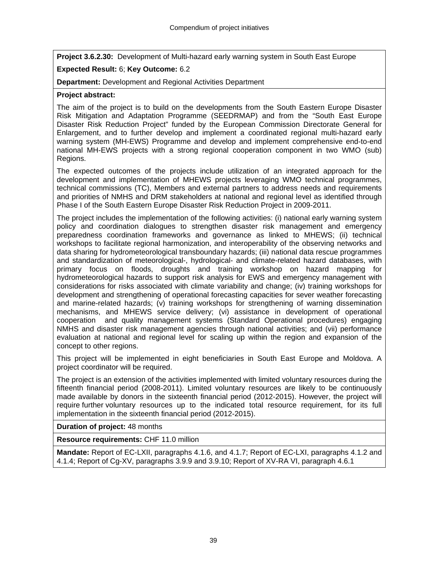**Project 3.6.2.30:** Development of Multi-hazard early warning system in South East Europe

# **Expected Result:** 6; **Key Outcome:** 6.2

**Department:** Development and Regional Activities Department

#### **Project abstract:**

The aim of the project is to build on the developments from the South Eastern Europe Disaster Risk Mitigation and Adaptation Programme (SEEDRMAP) and from the "South East Europe Disaster Risk Reduction Project" funded by the European Commission Directorate General for Enlargement, and to further develop and implement a coordinated regional multi-hazard early warning system (MH-EWS) Programme and develop and implement comprehensive end-to-end national MH-EWS projects with a strong regional cooperation component in two WMO (sub) Regions.

The expected outcomes of the projects include utilization of an integrated approach for the development and implementation of MHEWS projects leveraging WMO technical programmes, technical commissions (TC), Members and external partners to address needs and requirements and priorities of NMHS and DRM stakeholders at national and regional level as identified through Phase I of the South Eastern Europe Disaster Risk Reduction Project in 2009-2011.

The project includes the implementation of the following activities: (i) national early warning system policy and coordination dialogues to strengthen disaster risk management and emergency preparedness coordination frameworks and governance as linked to MHEWS; (ii) technical workshops to facilitate regional harmonization, and interoperability of the observing networks and data sharing for hydrometeorological transboundary hazards; (iii) national data rescue programmes and standardization of meteorological-, hydrological- and climate-related hazard databases, with primary focus on floods, droughts and training workshop on hazard mapping for hydrometeorological hazards to support risk analysis for EWS and emergency management with considerations for risks associated with climate variability and change; (iv) training workshops for development and strengthening of operational forecasting capacities for sever weather forecasting and marine-related hazards; (v) training workshops for strengthening of warning dissemination mechanisms, and MHEWS service delivery; (vi) assistance in development of operational cooperation and quality management systems (Standard Operational procedures) engaging NMHS and disaster risk management agencies through national activities; and (vii) performance evaluation at national and regional level for scaling up within the region and expansion of the concept to other regions.

This project will be implemented in eight beneficiaries in South East Europe and Moldova. A project coordinator will be required.

The project is an extension of the activities implemented with limited voluntary resources during the fifteenth financial period (2008-2011). Limited voluntary resources are likely to be continuously made available by donors in the sixteenth financial period (2012-2015). However, the project will require further voluntary resources up to the indicated total resource requirement, for its full implementation in the sixteenth financial period (2012-2015).

**Duration of project:** 48 months

**Resource requirements:** CHF 11.0 million

**Mandate:** Report of EC-LXII, paragraphs 4.1.6, and 4.1.7; Report of EC-LXI, paragraphs 4.1.2 and 4.1.4; Report of Cg-XV, paragraphs 3.9.9 and 3.9.10; Report of XV-RA VI, paragraph 4.6.1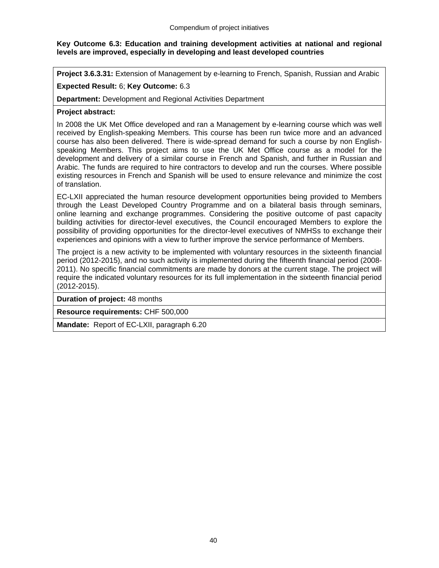## **Key Outcome 6.3: Education and training development activities at national and regional levels are improved, especially in developing and least developed countries**

**Project 3.6.3.31:** Extension of Management by e-learning to French, Spanish, Russian and Arabic

# **Expected Result:** 6; **Key Outcome:** 6.3

**Department:** Development and Regional Activities Department

## **Project abstract:**

In 2008 the UK Met Office developed and ran a Management by e-learning course which was well received by English-speaking Members. This course has been run twice more and an advanced course has also been delivered. There is wide-spread demand for such a course by non Englishspeaking Members. This project aims to use the UK Met Office course as a model for the development and delivery of a similar course in French and Spanish, and further in Russian and Arabic. The funds are required to hire contractors to develop and run the courses. Where possible existing resources in French and Spanish will be used to ensure relevance and minimize the cost of translation.

EC-LXII appreciated the human resource development opportunities being provided to Members through the Least Developed Country Programme and on a bilateral basis through seminars, online learning and exchange programmes. Considering the positive outcome of past capacity building activities for director-level executives, the Council encouraged Members to explore the possibility of providing opportunities for the director-level executives of NMHSs to exchange their experiences and opinions with a view to further improve the service performance of Members.

The project is a new activity to be implemented with voluntary resources in the sixteenth financial period (2012-2015), and no such activity is implemented during the fifteenth financial period (2008- 2011). No specific financial commitments are made by donors at the current stage. The project will require the indicated voluntary resources for its full implementation in the sixteenth financial period (2012-2015).

**Duration of project:** 48 months

**Resource requirements:** CHF 500,000

**Mandate:** Report of EC-LXII, paragraph 6.20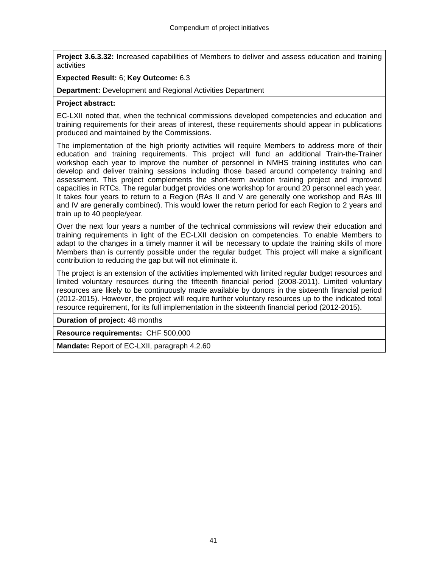**Project 3.6.3.32:** Increased capabilities of Members to deliver and assess education and training activities

#### **Expected Result:** 6; **Key Outcome:** 6.3

**Department:** Development and Regional Activities Department

#### **Project abstract:**

EC-LXII noted that, when the technical commissions developed competencies and education and training requirements for their areas of interest, these requirements should appear in publications produced and maintained by the Commissions.

The implementation of the high priority activities will require Members to address more of their education and training requirements. This project will fund an additional Train-the-Trainer workshop each year to improve the number of personnel in NMHS training institutes who can develop and deliver training sessions including those based around competency training and assessment. This project complements the short-term aviation training project and improved capacities in RTCs. The regular budget provides one workshop for around 20 personnel each year. It takes four years to return to a Region (RAs II and V are generally one workshop and RAs III and IV are generally combined). This would lower the return period for each Region to 2 years and train up to 40 people/year.

Over the next four years a number of the technical commissions will review their education and training requirements in light of the EC-LXII decision on competencies. To enable Members to adapt to the changes in a timely manner it will be necessary to update the training skills of more Members than is currently possible under the regular budget. This project will make a significant contribution to reducing the gap but will not eliminate it.

The project is an extension of the activities implemented with limited regular budget resources and limited voluntary resources during the fifteenth financial period (2008-2011). Limited voluntary resources are likely to be continuously made available by donors in the sixteenth financial period (2012-2015). However, the project will require further voluntary resources up to the indicated total resource requirement, for its full implementation in the sixteenth financial period (2012-2015).

**Duration of project:** 48 months

**Resource requirements:** CHF 500,000

**Mandate:** Report of EC-LXII, paragraph 4.2.60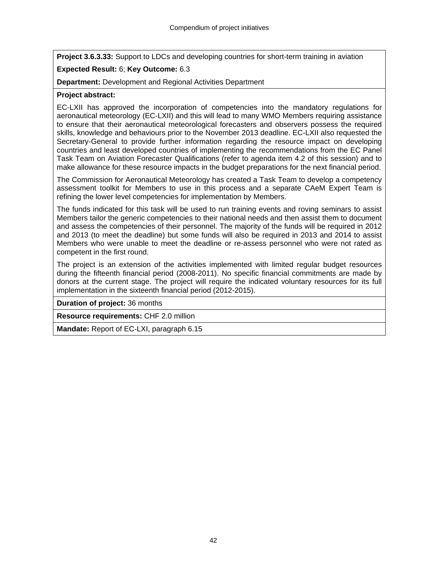**Project 3.6.3.33:** Support to LDCs and developing countries for short-term training in aviation

# **Expected Result:** 6; **Key Outcome:** 6.3

**Department:** Development and Regional Activities Department

#### **Project abstract:**

EC-LXII has approved the incorporation of competencies into the mandatory regulations for aeronautical meteorology (EC-LXII) and this will lead to many WMO Members requiring assistance to ensure that their aeronautical meteorological forecasters and observers possess the required skills, knowledge and behaviours prior to the November 2013 deadline. EC-LXII also requested the Secretary-General to provide further information regarding the resource impact on developing countries and least developed countries of implementing the recommendations from the EC Panel Task Team on Aviation Forecaster Qualifications (refer to agenda item 4.2 of this session) and to make allowance for these resource impacts in the budget preparations for the next financial period.

The Commission for Aeronautical Meteorology has created a Task Team to develop a competency assessment toolkit for Members to use in this process and a separate CAeM Expert Team is refining the lower level competencies for implementation by Members.

The funds indicated for this task will be used to run training events and roving seminars to assist Members tailor the generic competencies to their national needs and then assist them to document and assess the competencies of their personnel. The majority of the funds will be required in 2012 and 2013 (to meet the deadline) but some funds will also be required in 2013 and 2014 to assist Members who were unable to meet the deadline or re-assess personnel who were not rated as competent in the first round.

The project is an extension of the activities implemented with limited regular budget resources during the fifteenth financial period (2008-2011). No specific financial commitments are made by donors at the current stage. The project will require the indicated voluntary resources for its full implementation in the sixteenth financial period (2012-2015).

**Duration of project:** 36 months

**Resource requirements:** CHF 2.0 million

**Mandate:** Report of EC-LXI, paragraph 6.15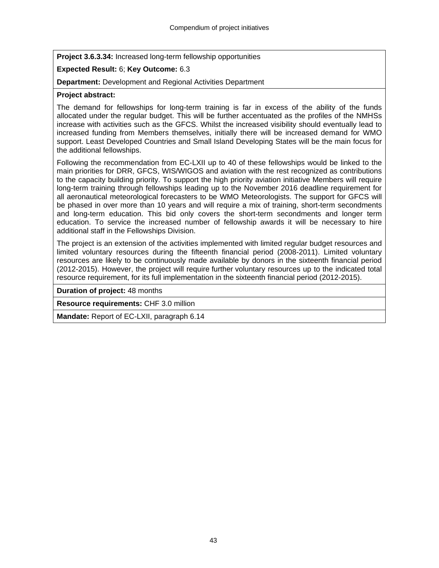**Project 3.6.3.34:** Increased long-term fellowship opportunities

# **Expected Result:** 6; **Key Outcome:** 6.3

**Department:** Development and Regional Activities Department

## **Project abstract:**

The demand for fellowships for long-term training is far in excess of the ability of the funds allocated under the regular budget. This will be further accentuated as the profiles of the NMHSs increase with activities such as the GFCS. Whilst the increased visibility should eventually lead to increased funding from Members themselves, initially there will be increased demand for WMO support. Least Developed Countries and Small Island Developing States will be the main focus for the additional fellowships.

Following the recommendation from EC-LXII up to 40 of these fellowships would be linked to the main priorities for DRR, GFCS, WIS/WIGOS and aviation with the rest recognized as contributions to the capacity building priority. To support the high priority aviation initiative Members will require long-term training through fellowships leading up to the November 2016 deadline requirement for all aeronautical meteorological forecasters to be WMO Meteorologists. The support for GFCS will be phased in over more than 10 years and will require a mix of training, short-term secondments and long-term education. This bid only covers the short-term secondments and longer term education. To service the increased number of fellowship awards it will be necessary to hire additional staff in the Fellowships Division.

The project is an extension of the activities implemented with limited regular budget resources and limited voluntary resources during the fifteenth financial period (2008-2011). Limited voluntary resources are likely to be continuously made available by donors in the sixteenth financial period (2012-2015). However, the project will require further voluntary resources up to the indicated total resource requirement, for its full implementation in the sixteenth financial period (2012-2015).

**Duration of project:** 48 months

**Resource requirements:** CHF 3.0 million

**Mandate:** Report of EC-LXII, paragraph 6.14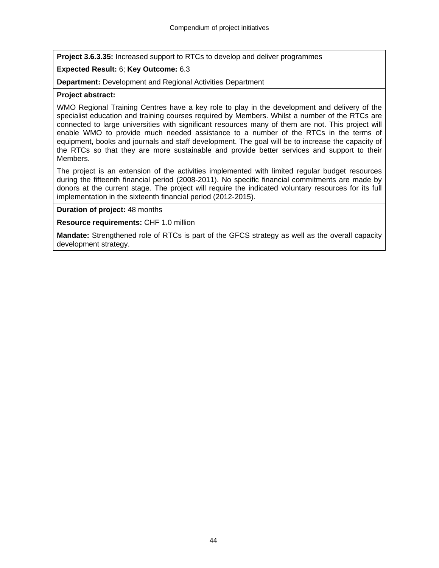**Project 3.6.3.35:** Increased support to RTCs to develop and deliver programmes

# **Expected Result:** 6; **Key Outcome:** 6.3

**Department:** Development and Regional Activities Department

#### **Project abstract:**

WMO Regional Training Centres have a key role to play in the development and delivery of the specialist education and training courses required by Members. Whilst a number of the RTCs are connected to large universities with significant resources many of them are not. This project will enable WMO to provide much needed assistance to a number of the RTCs in the terms of equipment, books and journals and staff development. The goal will be to increase the capacity of the RTCs so that they are more sustainable and provide better services and support to their Members.

The project is an extension of the activities implemented with limited regular budget resources during the fifteenth financial period (2008-2011). No specific financial commitments are made by donors at the current stage. The project will require the indicated voluntary resources for its full implementation in the sixteenth financial period (2012-2015).

#### **Duration of project:** 48 months

**Resource requirements:** CHF 1.0 million

**Mandate:** Strengthened role of RTCs is part of the GFCS strategy as well as the overall capacity development strategy.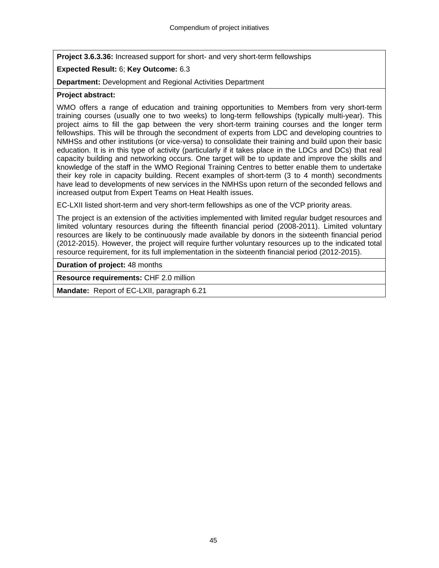**Project 3.6.3.36:** Increased support for short- and very short-term fellowships

# **Expected Result:** 6; **Key Outcome:** 6.3

**Department:** Development and Regional Activities Department

#### **Project abstract:**

WMO offers a range of education and training opportunities to Members from very short-term training courses (usually one to two weeks) to long-term fellowships (typically multi-year). This project aims to fill the gap between the very short-term training courses and the longer term fellowships. This will be through the secondment of experts from LDC and developing countries to NMHSs and other institutions (or vice-versa) to consolidate their training and build upon their basic education. It is in this type of activity (particularly if it takes place in the LDCs and DCs) that real capacity building and networking occurs. One target will be to update and improve the skills and knowledge of the staff in the WMO Regional Training Centres to better enable them to undertake their key role in capacity building. Recent examples of short-term (3 to 4 month) secondments have lead to developments of new services in the NMHSs upon return of the seconded fellows and increased output from Expert Teams on Heat Health issues.

EC-LXII listed short-term and very short-term fellowships as one of the VCP priority areas.

The project is an extension of the activities implemented with limited regular budget resources and limited voluntary resources during the fifteenth financial period (2008-2011). Limited voluntary resources are likely to be continuously made available by donors in the sixteenth financial period (2012-2015). However, the project will require further voluntary resources up to the indicated total resource requirement, for its full implementation in the sixteenth financial period (2012-2015).

**Duration of project:** 48 months

**Resource requirements:** CHF 2.0 million

**Mandate:** Report of EC-LXII, paragraph 6.21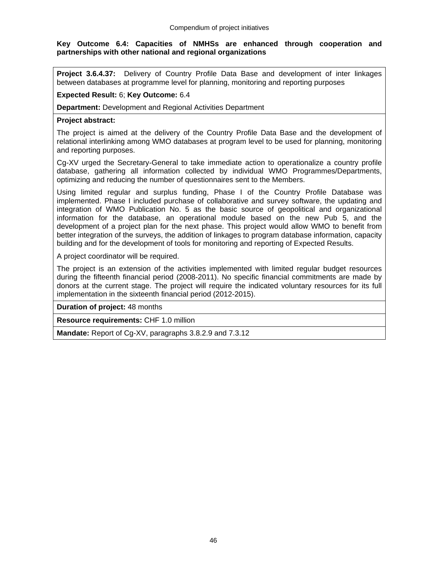#### **Key Outcome 6.4: Capacities of NMHSs are enhanced through cooperation and partnerships with other national and regional organizations**

**Project 3.6.4.37:** Delivery of Country Profile Data Base and development of inter linkages between databases at programme level for planning, monitoring and reporting purposes

#### **Expected Result:** 6; **Key Outcome:** 6.4

**Department:** Development and Regional Activities Department

#### **Project abstract:**

The project is aimed at the delivery of the Country Profile Data Base and the development of relational interlinking among WMO databases at program level to be used for planning, monitoring and reporting purposes.

Cg-XV urged the Secretary-General to take immediate action to operationalize a country profile database, gathering all information collected by individual WMO Programmes/Departments, optimizing and reducing the number of questionnaires sent to the Members.

Using limited regular and surplus funding, Phase I of the Country Profile Database was implemented. Phase I included purchase of collaborative and survey software, the updating and integration of WMO Publication No. 5 as the basic source of geopolitical and organizational information for the database, an operational module based on the new Pub 5, and the development of a project plan for the next phase. This project would allow WMO to benefit from better integration of the surveys, the addition of linkages to program database information, capacity building and for the development of tools for monitoring and reporting of Expected Results.

A project coordinator will be required.

The project is an extension of the activities implemented with limited regular budget resources during the fifteenth financial period (2008-2011). No specific financial commitments are made by donors at the current stage. The project will require the indicated voluntary resources for its full implementation in the sixteenth financial period (2012-2015).

**Duration of project:** 48 months

**Resource requirements:** CHF 1.0 million

**Mandate:** Report of Cg-XV, paragraphs 3.8.2.9 and 7.3.12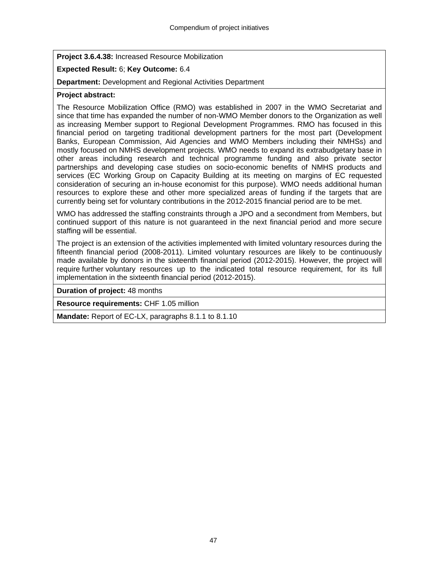**Project 3.6.4.38:** Increased Resource Mobilization

# **Expected Result:** 6; **Key Outcome:** 6.4

**Department:** Development and Regional Activities Department

#### **Project abstract:**

The Resource Mobilization Office (RMO) was established in 2007 in the WMO Secretariat and since that time has expanded the number of non-WMO Member donors to the Organization as well as increasing Member support to Regional Development Programmes. RMO has focused in this financial period on targeting traditional development partners for the most part (Development Banks, European Commission, Aid Agencies and WMO Members including their NMHSs) and mostly focused on NMHS development projects. WMO needs to expand its extrabudgetary base in other areas including research and technical programme funding and also private sector partnerships and developing case studies on socio-economic benefits of NMHS products and services (EC Working Group on Capacity Building at its meeting on margins of EC requested consideration of securing an in-house economist for this purpose). WMO needs additional human resources to explore these and other more specialized areas of funding if the targets that are currently being set for voluntary contributions in the 2012-2015 financial period are to be met.

WMO has addressed the staffing constraints through a JPO and a secondment from Members, but continued support of this nature is not guaranteed in the next financial period and more secure staffing will be essential.

The project is an extension of the activities implemented with limited voluntary resources during the fifteenth financial period (2008-2011). Limited voluntary resources are likely to be continuously made available by donors in the sixteenth financial period (2012-2015). However, the project will require further voluntary resources up to the indicated total resource requirement, for its full implementation in the sixteenth financial period (2012-2015).

**Duration of project:** 48 months

**Resource requirements:** CHF 1.05 million

**Mandate:** Report of EC-LX, paragraphs 8.1.1 to 8.1.10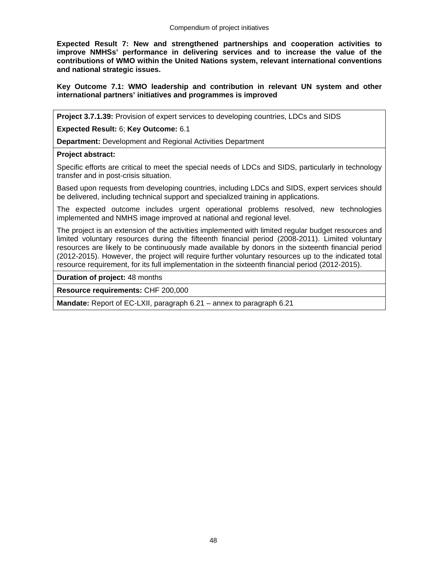**Expected Result 7: New and strengthened partnerships and cooperation activities to improve NMHSs' performance in delivering services and to increase the value of the contributions of WMO within the United Nations system, relevant international conventions and national strategic issues.** 

**Key Outcome 7.1: WMO leadership and contribution in relevant UN system and other international partners' initiatives and programmes is improved** 

**Project 3.7.1.39:** Provision of expert services to developing countries, LDCs and SIDS

**Expected Result:** 6; **Key Outcome:** 6.1

**Department:** Development and Regional Activities Department

#### **Project abstract:**

Specific efforts are critical to meet the special needs of LDCs and SIDS, particularly in technology transfer and in post-crisis situation.

Based upon requests from developing countries, including LDCs and SIDS, expert services should be delivered, including technical support and specialized training in applications.

The expected outcome includes urgent operational problems resolved, new technologies implemented and NMHS image improved at national and regional level.

The project is an extension of the activities implemented with limited regular budget resources and limited voluntary resources during the fifteenth financial period (2008-2011). Limited voluntary resources are likely to be continuously made available by donors in the sixteenth financial period (2012-2015). However, the project will require further voluntary resources up to the indicated total resource requirement, for its full implementation in the sixteenth financial period (2012-2015).

**Duration of project:** 48 months

**Resource requirements:** CHF 200,000

**Mandate:** Report of EC-LXII, paragraph 6.21 – annex to paragraph 6.21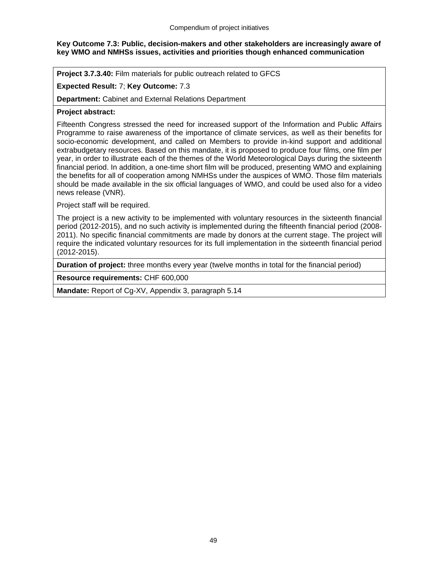## **Key Outcome 7.3: Public, decision-makers and other stakeholders are increasingly aware of key WMO and NMHSs issues, activities and priorities though enhanced communication**

**Project 3.7.3.40:** Film materials for public outreach related to GFCS

## **Expected Result:** 7; **Key Outcome:** 7.3

**Department:** Cabinet and External Relations Department

#### **Project abstract:**

Fifteenth Congress stressed the need for increased support of the Information and Public Affairs Programme to raise awareness of the importance of climate services, as well as their benefits for socio-economic development, and called on Members to provide in-kind support and additional extrabudgetary resources. Based on this mandate, it is proposed to produce four films, one film per year, in order to illustrate each of the themes of the World Meteorological Days during the sixteenth financial period. In addition, a one-time short film will be produced, presenting WMO and explaining the benefits for all of cooperation among NMHSs under the auspices of WMO. Those film materials should be made available in the six official languages of WMO, and could be used also for a video news release (VNR).

Project staff will be required.

The project is a new activity to be implemented with voluntary resources in the sixteenth financial period (2012-2015), and no such activity is implemented during the fifteenth financial period (2008- 2011). No specific financial commitments are made by donors at the current stage. The project will require the indicated voluntary resources for its full implementation in the sixteenth financial period (2012-2015).

**Duration of project:** three months every year (twelve months in total for the financial period)

**Resource requirements:** CHF 600,000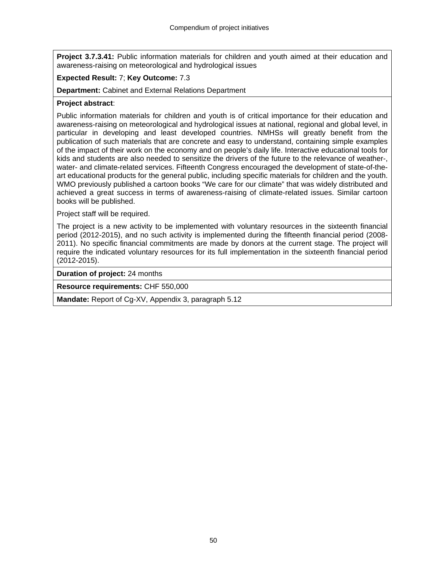**Project 3.7.3.41:** Public information materials for children and youth aimed at their education and awareness-raising on meteorological and hydrological issues

#### **Expected Result:** 7; **Key Outcome:** 7.3

**Department:** Cabinet and External Relations Department

#### **Project abstract**:

Public information materials for children and youth is of critical importance for their education and awareness-raising on meteorological and hydrological issues at national, regional and global level, in particular in developing and least developed countries. NMHSs will greatly benefit from the publication of such materials that are concrete and easy to understand, containing simple examples of the impact of their work on the economy and on people's daily life. Interactive educational tools for kids and students are also needed to sensitize the drivers of the future to the relevance of weather-, water- and climate-related services. Fifteenth Congress encouraged the development of state-of-theart educational products for the general public, including specific materials for children and the youth. WMO previously published a cartoon books "We care for our climate" that was widely distributed and achieved a great success in terms of awareness-raising of climate-related issues. Similar cartoon books will be published.

Project staff will be required.

The project is a new activity to be implemented with voluntary resources in the sixteenth financial period (2012-2015), and no such activity is implemented during the fifteenth financial period (2008- 2011). No specific financial commitments are made by donors at the current stage. The project will require the indicated voluntary resources for its full implementation in the sixteenth financial period (2012-2015).

**Duration of project:** 24 months

**Resource requirements:** CHF 550,000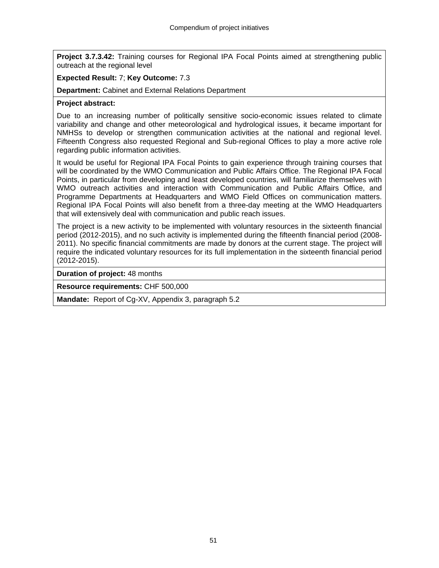**Project 3.7.3.42:** Training courses for Regional IPA Focal Points aimed at strengthening public outreach at the regional level

#### **Expected Result:** 7; **Key Outcome:** 7.3

**Department:** Cabinet and External Relations Department

#### **Project abstract:**

Due to an increasing number of politically sensitive socio-economic issues related to climate variability and change and other meteorological and hydrological issues, it became important for NMHSs to develop or strengthen communication activities at the national and regional level. Fifteenth Congress also requested Regional and Sub-regional Offices to play a more active role regarding public information activities.

It would be useful for Regional IPA Focal Points to gain experience through training courses that will be coordinated by the WMO Communication and Public Affairs Office. The Regional IPA Focal Points, in particular from developing and least developed countries, will familiarize themselves with WMO outreach activities and interaction with Communication and Public Affairs Office, and Programme Departments at Headquarters and WMO Field Offices on communication matters. Regional IPA Focal Points will also benefit from a three-day meeting at the WMO Headquarters that will extensively deal with communication and public reach issues.

The project is a new activity to be implemented with voluntary resources in the sixteenth financial period (2012-2015), and no such activity is implemented during the fifteenth financial period (2008- 2011). No specific financial commitments are made by donors at the current stage. The project will require the indicated voluntary resources for its full implementation in the sixteenth financial period (2012-2015).

**Duration of project:** 48 months

**Resource requirements:** CHF 500,000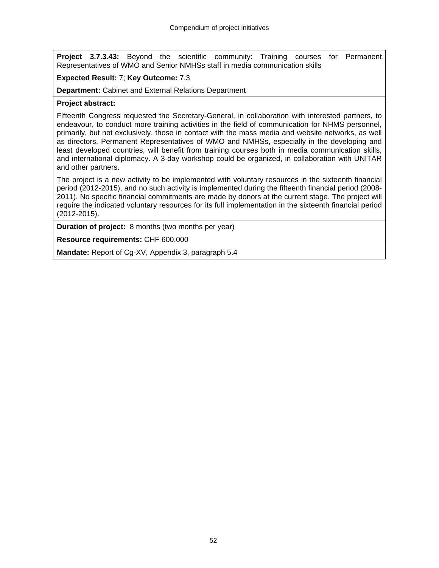**Project 3.7.3.43:** Beyond the scientific community: Training courses for Permanent Representatives of WMO and Senior NMHSs staff in media communication skills

# **Expected Result:** 7; **Key Outcome:** 7.3

**Department:** Cabinet and External Relations Department

#### **Project abstract:**

Fifteenth Congress requested the Secretary-General, in collaboration with interested partners, to endeavour, to conduct more training activities in the field of communication for NHMS personnel, primarily, but not exclusively, those in contact with the mass media and website networks, as well as directors. Permanent Representatives of WMO and NMHSs, especially in the developing and least developed countries, will benefit from training courses both in media communication skills, and international diplomacy. A 3-day workshop could be organized, in collaboration with UNITAR and other partners.

The project is a new activity to be implemented with voluntary resources in the sixteenth financial period (2012-2015), and no such activity is implemented during the fifteenth financial period (2008- 2011). No specific financial commitments are made by donors at the current stage. The project will require the indicated voluntary resources for its full implementation in the sixteenth financial period (2012-2015).

**Duration of project:** 8 months (two months per year)

**Resource requirements:** CHF 600,000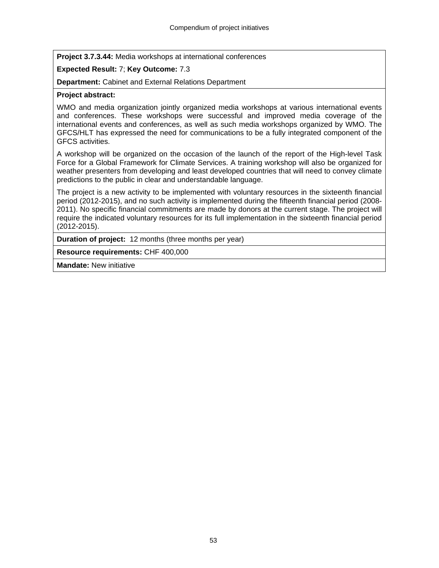**Project 3.7.3.44:** Media workshops at international conferences

# **Expected Result:** 7; **Key Outcome:** 7.3

**Department:** Cabinet and External Relations Department

## **Project abstract:**

WMO and media organization jointly organized media workshops at various international events and conferences. These workshops were successful and improved media coverage of the international events and conferences, as well as such media workshops organized by WMO. The GFCS/HLT has expressed the need for communications to be a fully integrated component of the GFCS activities.

A workshop will be organized on the occasion of the launch of the report of the High-level Task Force for a Global Framework for Climate Services. A training workshop will also be organized for weather presenters from developing and least developed countries that will need to convey climate predictions to the public in clear and understandable language.

The project is a new activity to be implemented with voluntary resources in the sixteenth financial period (2012-2015), and no such activity is implemented during the fifteenth financial period (2008- 2011). No specific financial commitments are made by donors at the current stage. The project will require the indicated voluntary resources for its full implementation in the sixteenth financial period (2012-2015).

**Duration of project:** 12 months (three months per year)

**Resource requirements:** CHF 400,000

**Mandate:** New initiative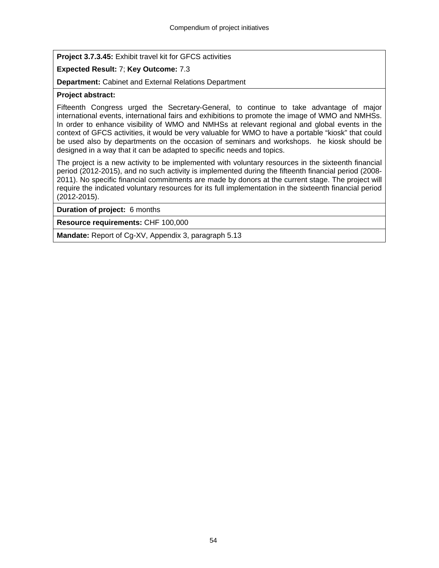**Project 3.7.3.45:** Exhibit travel kit for GFCS activities

# **Expected Result:** 7; **Key Outcome:** 7.3

**Department:** Cabinet and External Relations Department

## **Project abstract:**

Fifteenth Congress urged the Secretary-General, to continue to take advantage of major international events, international fairs and exhibitions to promote the image of WMO and NMHSs. In order to enhance visibility of WMO and NMHSs at relevant regional and global events in the context of GFCS activities, it would be very valuable for WMO to have a portable "kiosk" that could be used also by departments on the occasion of seminars and workshops. he kiosk should be designed in a way that it can be adapted to specific needs and topics.

The project is a new activity to be implemented with voluntary resources in the sixteenth financial period (2012-2015), and no such activity is implemented during the fifteenth financial period (2008- 2011). No specific financial commitments are made by donors at the current stage. The project will require the indicated voluntary resources for its full implementation in the sixteenth financial period (2012-2015).

**Duration of project:** 6 months

**Resource requirements:** CHF 100,000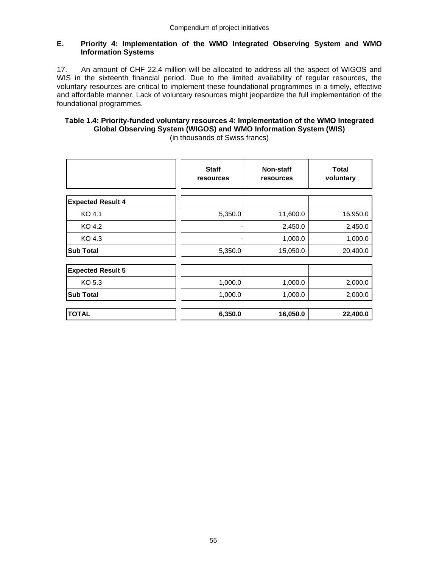## **E. Priority 4: Implementation of the WMO Integrated Observing System and WMO Information Systems**

17. An amount of CHF 22.4 million will be allocated to address all the aspect of WIGOS and WIS in the sixteenth financial period. Due to the limited availability of regular resources, the voluntary resources are critical to implement these foundational programmes in a timely, effective and affordable manner. Lack of voluntary resources might jeopardize the full implementation of the foundational programmes.

# **Table 1.4: Priority-funded voluntary resources 4: Implementation of the WMO Integrated Global Observing System (WIGOS) and WMO Information System (WIS)**

|                          | <b>Staff</b><br>resources | Non-staff<br>resources | <b>Total</b><br>voluntary |
|--------------------------|---------------------------|------------------------|---------------------------|
| <b>Expected Result 4</b> |                           |                        |                           |
| KO 4.1                   | 5,350.0                   | 11,600.0               | 16,950.0                  |
| KO 4.2                   | -                         | 2,450.0                | 2,450.0                   |
| KO 4.3                   | -                         | 1,000.0                | 1,000.0                   |
| <b>Sub Total</b>         | 5,350.0                   | 15,050.0               | 20,400.0                  |
| <b>Expected Result 5</b> |                           |                        |                           |
| KO 5.3                   | 1,000.0                   | 1,000.0                | 2,000.0                   |
| <b>Sub Total</b>         | 1,000.0                   | 1,000.0                | 2,000.0                   |
| <b>TOTAL</b>             | 6,350.0                   | 16,050.0               | 22,400.0                  |

(in thousands of Swiss francs)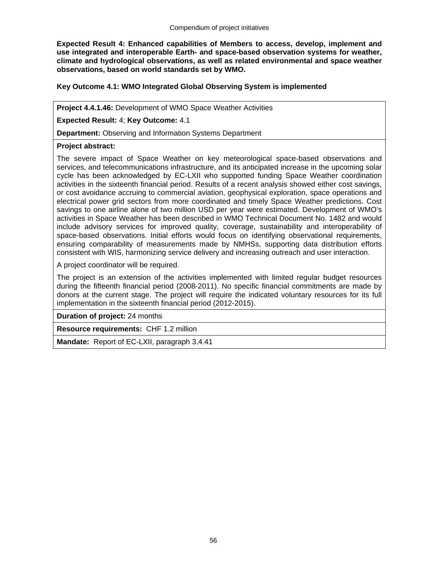**Expected Result 4: Enhanced capabilities of Members to access, develop, implement and use integrated and interoperable Earth- and space-based observation systems for weather, climate and hydrological observations, as well as related environmental and space weather observations, based on world standards set by WMO.** 

## **Key Outcome 4.1: WMO Integrated Global Observing System is implemented**

**Project 4.4.1.46:** Development of WMO Space Weather Activities

**Expected Result:** 4; **Key Outcome:** 4.1

**Department:** Observing and Information Systems Department

## **Project abstract:**

The severe impact of Space Weather on key meteorological space-based observations and services, and telecommunications infrastructure, and its anticipated increase in the upcoming solar cycle has been acknowledged by EC-LXII who supported funding Space Weather coordination activities in the sixteenth financial period. Results of a recent analysis showed either cost savings, or cost avoidance accruing to commercial aviation, geophysical exploration, space operations and electrical power grid sectors from more coordinated and timely Space Weather predictions. Cost savings to one airline alone of two million USD per year were estimated. Development of WMO's activities in Space Weather has been described in WMO Technical Document No. 1482 and would include advisory services for improved quality, coverage, sustainability and interoperability of space-based observations. Initial efforts would focus on identifying observational requirements, ensuring comparability of measurements made by NMHSs, supporting data distribution efforts consistent with WIS, harmonizing service delivery and increasing outreach and user interaction.

A project coordinator will be required.

The project is an extension of the activities implemented with limited regular budget resources during the fifteenth financial period (2008-2011). No specific financial commitments are made by donors at the current stage. The project will require the indicated voluntary resources for its full implementation in the sixteenth financial period (2012-2015).

**Duration of project:** 24 months

**Resource requirements:** CHF 1.2 million

**Mandate:** Report of EC-LXII, paragraph 3.4.41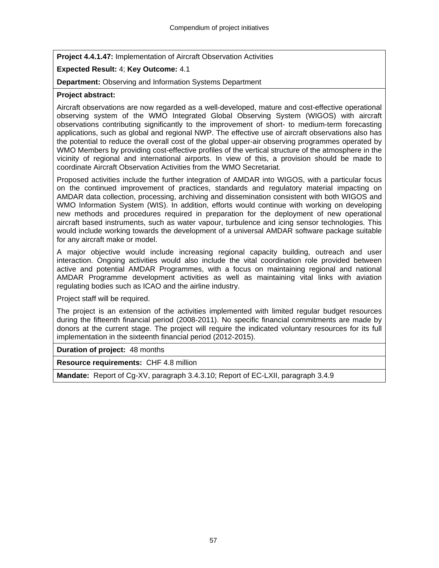**Project 4.4.1.47:** Implementation of Aircraft Observation Activities

# **Expected Result:** 4; **Key Outcome:** 4.1

**Department:** Observing and Information Systems Department

#### **Project abstract:**

Aircraft observations are now regarded as a well-developed, mature and cost-effective operational observing system of the WMO Integrated Global Observing System (WIGOS) with aircraft observations contributing significantly to the improvement of short- to medium-term forecasting applications, such as global and regional NWP. The effective use of aircraft observations also has the potential to reduce the overall cost of the global upper-air observing programmes operated by WMO Members by providing cost-effective profiles of the vertical structure of the atmosphere in the vicinity of regional and international airports. In view of this, a provision should be made to coordinate Aircraft Observation Activities from the WMO Secretariat.

Proposed activities include the further integration of AMDAR into WIGOS, with a particular focus on the continued improvement of practices, standards and regulatory material impacting on AMDAR data collection, processing, archiving and dissemination consistent with both WIGOS and WMO Information System (WIS). In addition, efforts would continue with working on developing new methods and procedures required in preparation for the deployment of new operational aircraft based instruments, such as water vapour, turbulence and icing sensor technologies. This would include working towards the development of a universal AMDAR software package suitable for any aircraft make or model.

A major objective would include increasing regional capacity building, outreach and user interaction. Ongoing activities would also include the vital coordination role provided between active and potential AMDAR Programmes, with a focus on maintaining regional and national AMDAR Programme development activities as well as maintaining vital links with aviation regulating bodies such as ICAO and the airline industry.

Project staff will be required.

The project is an extension of the activities implemented with limited regular budget resources during the fifteenth financial period (2008-2011). No specific financial commitments are made by donors at the current stage. The project will require the indicated voluntary resources for its full implementation in the sixteenth financial period (2012-2015).

**Duration of project:** 48 months

**Resource requirements:** CHF 4.8 million

**Mandate:** Report of Cg-XV, paragraph 3.4.3.10; Report of EC-LXII, paragraph 3.4.9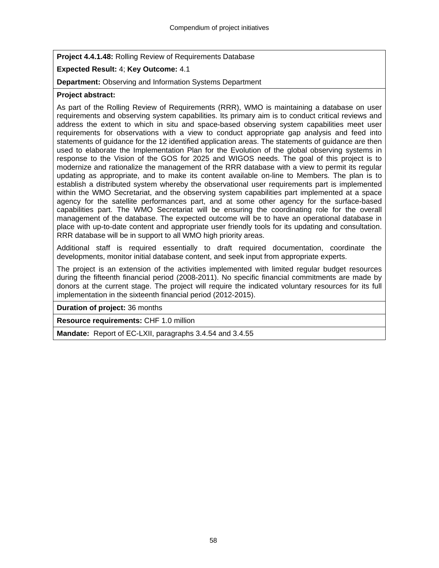**Project 4.4.1.48:** Rolling Review of Requirements Database

# **Expected Result:** 4; **Key Outcome:** 4.1

**Department:** Observing and Information Systems Department

## **Project abstract:**

As part of the Rolling Review of Requirements (RRR), WMO is maintaining a database on user requirements and observing system capabilities. Its primary aim is to conduct critical reviews and address the extent to which in situ and space-based observing system capabilities meet user requirements for observations with a view to conduct appropriate gap analysis and feed into statements of guidance for the 12 identified application areas. The statements of guidance are then used to elaborate the Implementation Plan for the Evolution of the global observing systems in response to the Vision of the GOS for 2025 and WIGOS needs. The goal of this project is to modernize and rationalize the management of the RRR database with a view to permit its regular updating as appropriate, and to make its content available on-line to Members. The plan is to establish a distributed system whereby the observational user requirements part is implemented within the WMO Secretariat, and the observing system capabilities part implemented at a space agency for the satellite performances part, and at some other agency for the surface-based capabilities part. The WMO Secretariat will be ensuring the coordinating role for the overall management of the database. The expected outcome will be to have an operational database in place with up-to-date content and appropriate user friendly tools for its updating and consultation. RRR database will be in support to all WMO high priority areas.

Additional staff is required essentially to draft required documentation, coordinate the developments, monitor initial database content, and seek input from appropriate experts.

The project is an extension of the activities implemented with limited regular budget resources during the fifteenth financial period (2008-2011). No specific financial commitments are made by donors at the current stage. The project will require the indicated voluntary resources for its full implementation in the sixteenth financial period (2012-2015).

**Duration of project:** 36 months

**Resource requirements:** CHF 1.0 million

**Mandate:** Report of EC-LXII, paragraphs 3.4.54 and 3.4.55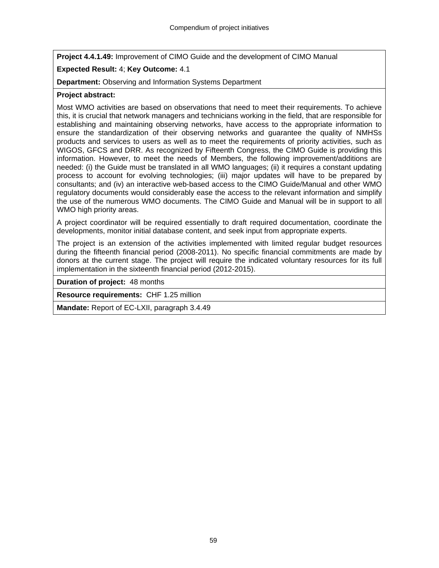**Project 4.4.1.49:** Improvement of CIMO Guide and the development of CIMO Manual

# **Expected Result:** 4; **Key Outcome:** 4.1

**Department:** Observing and Information Systems Department

# **Project abstract:**

Most WMO activities are based on observations that need to meet their requirements. To achieve this, it is crucial that network managers and technicians working in the field, that are responsible for establishing and maintaining observing networks, have access to the appropriate information to ensure the standardization of their observing networks and guarantee the quality of NMHSs products and services to users as well as to meet the requirements of priority activities, such as WIGOS, GFCS and DRR. As recognized by Fifteenth Congress, the CIMO Guide is providing this information. However, to meet the needs of Members, the following improvement/additions are needed: (i) the Guide must be translated in all WMO languages; (ii) it requires a constant updating process to account for evolving technologies; (iii) major updates will have to be prepared by consultants; and (iv) an interactive web-based access to the CIMO Guide/Manual and other WMO regulatory documents would considerably ease the access to the relevant information and simplify the use of the numerous WMO documents. The CIMO Guide and Manual will be in support to all WMO high priority areas.

A project coordinator will be required essentially to draft required documentation, coordinate the developments, monitor initial database content, and seek input from appropriate experts.

The project is an extension of the activities implemented with limited regular budget resources during the fifteenth financial period (2008-2011). No specific financial commitments are made by donors at the current stage. The project will require the indicated voluntary resources for its full implementation in the sixteenth financial period (2012-2015).

**Duration of project:** 48 months

**Resource requirements:** CHF 1.25 million

**Mandate:** Report of EC-LXII, paragraph 3.4.49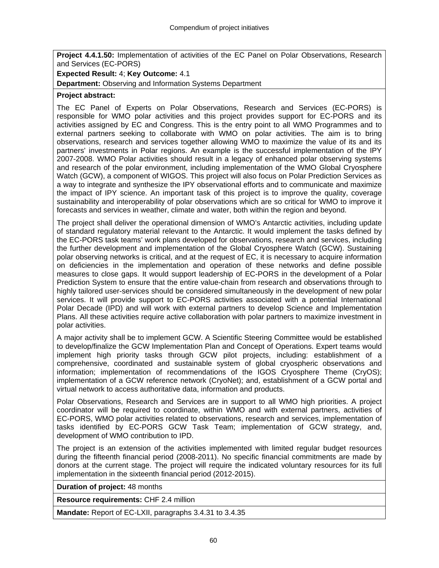**Project 4.4.1.50:** Implementation of activities of the EC Panel on Polar Observations, Research and Services (EC-PORS)

## **Expected Result:** 4; **Key Outcome:** 4.1

**Department:** Observing and Information Systems Department

#### **Project abstract:**

The EC Panel of Experts on Polar Observations, Research and Services (EC-PORS) is responsible for WMO polar activities and this project provides support for EC-PORS and its activities assigned by EC and Congress. This is the entry point to all WMO Programmes and to external partners seeking to collaborate with WMO on polar activities. The aim is to bring observations, research and services together allowing WMO to maximize the value of its and its partners' investments in Polar regions. An example is the successful implementation of the IPY 2007-2008. WMO Polar activities should result in a legacy of enhanced polar observing systems and research of the polar environment, including implementation of the WMO Global Cryosphere Watch (GCW), a component of WIGOS. This project will also focus on Polar Prediction Services as a way to integrate and synthesize the IPY observational efforts and to communicate and maximize the impact of IPY science. An important task of this project is to improve the quality, coverage sustainability and interoperability of polar observations which are so critical for WMO to improve it forecasts and services in weather, climate and water, both within the region and beyond.

The project shall deliver the operational dimension of WMO's Antarctic activities, including update of standard regulatory material relevant to the Antarctic. It would implement the tasks defined by the EC-PORS task teams' work plans developed for observations, research and services, including the further development and implementation of the Global Cryosphere Watch (GCW). Sustaining polar observing networks is critical, and at the request of EC, it is necessary to acquire information on deficiencies in the implementation and operation of these networks and define possible measures to close gaps. It would support leadership of EC-PORS in the development of a Polar Prediction System to ensure that the entire value-chain from research and observations through to highly tailored user-services should be considered simultaneously in the development of new polar services. It will provide support to EC-PORS activities associated with a potential International Polar Decade (IPD) and will work with external partners to develop Science and Implementation Plans. All these activities require active collaboration with polar partners to maximize investment in polar activities.

A major activity shall be to implement GCW. A Scientific Steering Committee would be established to develop/finalize the GCW Implementation Plan and Concept of Operations. Expert teams would implement high priority tasks through GCW pilot projects, including: establishment of a comprehensive, coordinated and sustainable system of global cryospheric observations and information; implementation of recommendations of the IGOS Cryosphere Theme (CryOS); implementation of a GCW reference network (CryoNet); and, establishment of a GCW portal and virtual network to access authoritative data, information and products.

Polar Observations, Research and Services are in support to all WMO high priorities. A project coordinator will be required to coordinate, within WMO and with external partners, activities of EC-PORS, WMO polar activities related to observations, research and services, implementation of tasks identified by EC-PORS GCW Task Team; implementation of GCW strategy, and, development of WMO contribution to IPD.

The project is an extension of the activities implemented with limited regular budget resources during the fifteenth financial period (2008-2011). No specific financial commitments are made by donors at the current stage. The project will require the indicated voluntary resources for its full implementation in the sixteenth financial period (2012-2015).

**Duration of project:** 48 months

**Resource requirements:** CHF 2.4 million

**Mandate:** Report of EC-LXII, paragraphs 3.4.31 to 3.4.35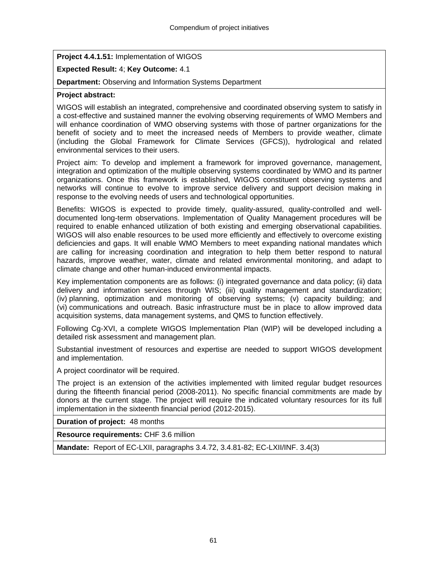**Project 4.4.1.51:** Implementation of WIGOS

# **Expected Result:** 4; **Key Outcome:** 4.1

**Department:** Observing and Information Systems Department

# **Project abstract:**

WIGOS will establish an integrated, comprehensive and coordinated observing system to satisfy in a cost-effective and sustained manner the evolving observing requirements of WMO Members and will enhance coordination of WMO observing systems with those of partner organizations for the benefit of society and to meet the increased needs of Members to provide weather, climate (including the Global Framework for Climate Services (GFCS)), hydrological and related environmental services to their users.

Project aim: To develop and implement a framework for improved governance, management, integration and optimization of the multiple observing systems coordinated by WMO and its partner organizations. Once this framework is established, WIGOS constituent observing systems and networks will continue to evolve to improve service delivery and support decision making in response to the evolving needs of users and technological opportunities.

Benefits: WIGOS is expected to provide timely, quality-assured, quality-controlled and welldocumented long-term observations. Implementation of Quality Management procedures will be required to enable enhanced utilization of both existing and emerging observational capabilities. WIGOS will also enable resources to be used more efficiently and effectively to overcome existing deficiencies and gaps. It will enable WMO Members to meet expanding national mandates which are calling for increasing coordination and integration to help them better respond to natural hazards, improve weather, water, climate and related environmental monitoring, and adapt to climate change and other human-induced environmental impacts.

Key implementation components are as follows: (i) integrated governance and data policy; (ii) data delivery and information services through WIS; (iii) quality management and standardization; (iv) planning, optimization and monitoring of observing systems; (v) capacity building; and (vi) communications and outreach. Basic infrastructure must be in place to allow improved data acquisition systems, data management systems, and QMS to function effectively.

Following Cg-XVI, a complete WIGOS Implementation Plan (WIP) will be developed including a detailed risk assessment and management plan.

Substantial investment of resources and expertise are needed to support WIGOS development and implementation.

A project coordinator will be required.

The project is an extension of the activities implemented with limited regular budget resources during the fifteenth financial period (2008-2011). No specific financial commitments are made by donors at the current stage. The project will require the indicated voluntary resources for its full implementation in the sixteenth financial period (2012-2015).

**Duration of project:** 48 months

**Resource requirements:** CHF 3.6 million

**Mandate:** Report of EC-LXII, paragraphs 3.4.72, 3.4.81-82; EC-LXII/INF. 3.4(3)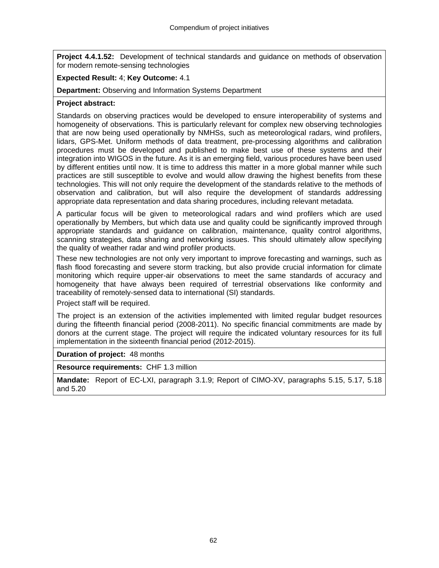**Project 4.4.1.52:** Development of technical standards and guidance on methods of observation for modern remote-sensing technologies

#### **Expected Result:** 4; **Key Outcome:** 4.1

**Department:** Observing and Information Systems Department

#### **Project abstract:**

Standards on observing practices would be developed to ensure interoperability of systems and homogeneity of observations. This is particularly relevant for complex new observing technologies that are now being used operationally by NMHSs, such as meteorological radars, wind profilers, lidars, GPS-Met. Uniform methods of data treatment, pre-processing algorithms and calibration procedures must be developed and published to make best use of these systems and their integration into WIGOS in the future. As it is an emerging field, various procedures have been used by different entities until now. It is time to address this matter in a more global manner while such practices are still susceptible to evolve and would allow drawing the highest benefits from these technologies. This will not only require the development of the standards relative to the methods of observation and calibration, but will also require the development of standards addressing appropriate data representation and data sharing procedures, including relevant metadata.

A particular focus will be given to meteorological radars and wind profilers which are used operationally by Members, but which data use and quality could be significantly improved through appropriate standards and guidance on calibration, maintenance, quality control algorithms, scanning strategies, data sharing and networking issues. This should ultimately allow specifying the quality of weather radar and wind profiler products.

These new technologies are not only very important to improve forecasting and warnings, such as flash flood forecasting and severe storm tracking, but also provide crucial information for climate monitoring which require upper-air observations to meet the same standards of accuracy and homogeneity that have always been required of terrestrial observations like conformity and traceability of remotely-sensed data to international (SI) standards.

Project staff will be required.

The project is an extension of the activities implemented with limited regular budget resources during the fifteenth financial period (2008-2011). No specific financial commitments are made by donors at the current stage. The project will require the indicated voluntary resources for its full implementation in the sixteenth financial period (2012-2015).

**Duration of project:** 48 months

**Resource requirements:** CHF 1.3 million

**Mandate:** Report of EC-LXI, paragraph 3.1.9; Report of CIMO-XV, paragraphs 5.15, 5.17, 5.18 and 5.20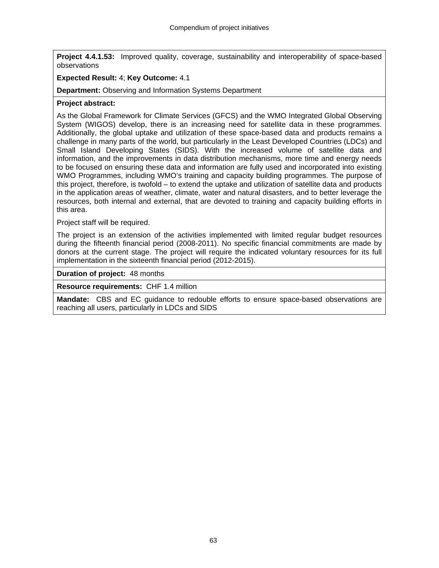**Project 4.4.1.53:** Improved quality, coverage, sustainability and interoperability of space-based observations

#### **Expected Result:** 4; **Key Outcome:** 4.1

**Department:** Observing and Information Systems Department

#### **Project abstract:**

As the Global Framework for Climate Services (GFCS) and the WMO Integrated Global Observing System (WIGOS) develop, there is an increasing need for satellite data in these programmes. Additionally, the global uptake and utilization of these space-based data and products remains a challenge in many parts of the world, but particularly in the Least Developed Countries (LDCs) and Small Island Developing States (SIDS). With the increased volume of satellite data and information, and the improvements in data distribution mechanisms, more time and energy needs to be focused on ensuring these data and information are fully used and incorporated into existing WMO Programmes, including WMO's training and capacity building programmes. The purpose of this project, therefore, is twofold – to extend the uptake and utilization of satellite data and products in the application areas of weather, climate, water and natural disasters, and to better leverage the resources, both internal and external, that are devoted to training and capacity building efforts in this area.

Project staff will be required.

The project is an extension of the activities implemented with limited regular budget resources during the fifteenth financial period (2008-2011). No specific financial commitments are made by donors at the current stage. The project will require the indicated voluntary resources for its full implementation in the sixteenth financial period (2012-2015).

**Duration of project:** 48 months

**Resource requirements:** CHF 1.4 million

**Mandate:** CBS and EC guidance to redouble efforts to ensure space-based observations are reaching all users, particularly in LDCs and SIDS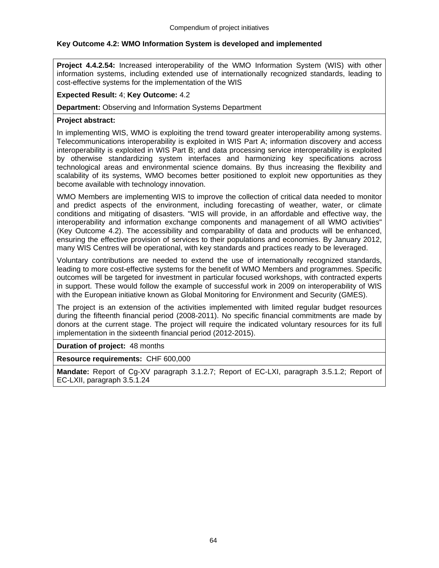# **Key Outcome 4.2: WMO Information System is developed and implemented**

**Project 4.4.2.54:** Increased interoperability of the WMO Information System (WIS) with other information systems, including extended use of internationally recognized standards, leading to cost-effective systems for the implementation of the WIS

#### **Expected Result:** 4; **Key Outcome:** 4.2

**Department:** Observing and Information Systems Department

#### **Project abstract:**

In implementing WIS, WMO is exploiting the trend toward greater interoperability among systems. Telecommunications interoperability is exploited in WIS Part A; information discovery and access interoperability is exploited in WIS Part B; and data processing service interoperability is exploited by otherwise standardizing system interfaces and harmonizing key specifications across technological areas and environmental science domains. By thus increasing the flexibility and scalability of its systems, WMO becomes better positioned to exploit new opportunities as they become available with technology innovation.

WMO Members are implementing WIS to improve the collection of critical data needed to monitor and predict aspects of the environment, including forecasting of weather, water, or climate conditions and mitigating of disasters. "WIS will provide, in an affordable and effective way, the interoperability and information exchange components and management of all WMO activities" (Key Outcome 4.2). The accessibility and comparability of data and products will be enhanced, ensuring the effective provision of services to their populations and economies. By January 2012, many WIS Centres will be operational, with key standards and practices ready to be leveraged.

Voluntary contributions are needed to extend the use of internationally recognized standards, leading to more cost-effective systems for the benefit of WMO Members and programmes. Specific outcomes will be targeted for investment in particular focused workshops, with contracted experts in support. These would follow the example of successful work in 2009 on interoperability of WIS with the European initiative known as Global Monitoring for Environment and Security (GMES).

The project is an extension of the activities implemented with limited regular budget resources during the fifteenth financial period (2008-2011). No specific financial commitments are made by donors at the current stage. The project will require the indicated voluntary resources for its full implementation in the sixteenth financial period (2012-2015).

**Duration of project:** 48 months

**Resource requirements:** CHF 600,000

**Mandate:** Report of Cg-XV paragraph 3.1.2.7; Report of EC-LXI, paragraph 3.5.1.2; Report of EC-LXII, paragraph 3.5.1.24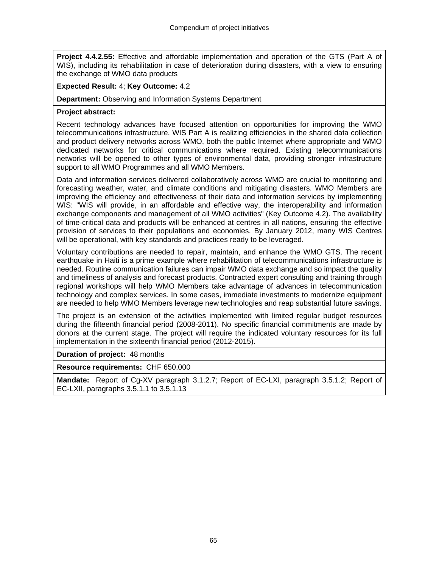**Project 4.4.2.55:** Effective and affordable implementation and operation of the GTS (Part A of WIS), including its rehabilitation in case of deterioration during disasters, with a view to ensuring the exchange of WMO data products

#### **Expected Result:** 4; **Key Outcome:** 4.2

**Department:** Observing and Information Systems Department

## **Project abstract:**

Recent technology advances have focused attention on opportunities for improving the WMO telecommunications infrastructure. WIS Part A is realizing efficiencies in the shared data collection and product delivery networks across WMO, both the public Internet where appropriate and WMO dedicated networks for critical communications where required. Existing telecommunications networks will be opened to other types of environmental data, providing stronger infrastructure support to all WMO Programmes and all WMO Members.

Data and information services delivered collaboratively across WMO are crucial to monitoring and forecasting weather, water, and climate conditions and mitigating disasters. WMO Members are improving the efficiency and effectiveness of their data and information services by implementing WIS: "WIS will provide, in an affordable and effective way, the interoperability and information exchange components and management of all WMO activities" (Key Outcome 4.2). The availability of time-critical data and products will be enhanced at centres in all nations, ensuring the effective provision of services to their populations and economies. By January 2012, many WIS Centres will be operational, with key standards and practices ready to be leveraged.

Voluntary contributions are needed to repair, maintain, and enhance the WMO GTS. The recent earthquake in Haiti is a prime example where rehabilitation of telecommunications infrastructure is needed. Routine communication failures can impair WMO data exchange and so impact the quality and timeliness of analysis and forecast products. Contracted expert consulting and training through regional workshops will help WMO Members take advantage of advances in telecommunication technology and complex services. In some cases, immediate investments to modernize equipment are needed to help WMO Members leverage new technologies and reap substantial future savings.

The project is an extension of the activities implemented with limited regular budget resources during the fifteenth financial period (2008-2011). No specific financial commitments are made by donors at the current stage. The project will require the indicated voluntary resources for its full implementation in the sixteenth financial period (2012-2015).

**Duration of project:** 48 months

**Resource requirements:** CHF 650,000

**Mandate:** Report of Cg-XV paragraph 3.1.2.7; Report of EC-LXI, paragraph 3.5.1.2; Report of EC-LXII, paragraphs 3.5.1.1 to 3.5.1.13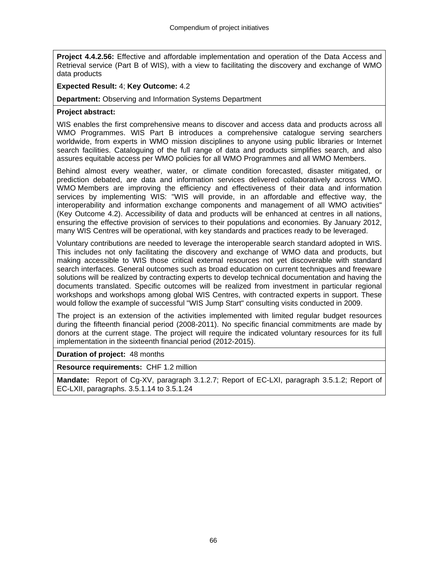**Project 4.4.2.56:** Effective and affordable implementation and operation of the Data Access and Retrieval service (Part B of WIS), with a view to facilitating the discovery and exchange of WMO data products

## **Expected Result:** 4; **Key Outcome:** 4.2

**Department:** Observing and Information Systems Department

## **Project abstract:**

WIS enables the first comprehensive means to discover and access data and products across all WMO Programmes. WIS Part B introduces a comprehensive catalogue serving searchers worldwide, from experts in WMO mission disciplines to anyone using public libraries or Internet search facilities. Cataloguing of the full range of data and products simplifies search, and also assures equitable access per WMO policies for all WMO Programmes and all WMO Members.

Behind almost every weather, water, or climate condition forecasted, disaster mitigated, or prediction debated, are data and information services delivered collaboratively across WMO. WMO Members are improving the efficiency and effectiveness of their data and information services by implementing WIS: "WIS will provide, in an affordable and effective way, the interoperability and information exchange components and management of all WMO activities" (Key Outcome 4.2). Accessibility of data and products will be enhanced at centres in all nations, ensuring the effective provision of services to their populations and economies. By January 2012, many WIS Centres will be operational, with key standards and practices ready to be leveraged.

Voluntary contributions are needed to leverage the interoperable search standard adopted in WIS. This includes not only facilitating the discovery and exchange of WMO data and products, but making accessible to WIS those critical external resources not yet discoverable with standard search interfaces. General outcomes such as broad education on current techniques and freeware solutions will be realized by contracting experts to develop technical documentation and having the documents translated. Specific outcomes will be realized from investment in particular regional workshops and workshops among global WIS Centres, with contracted experts in support. These would follow the example of successful "WIS Jump Start" consulting visits conducted in 2009.

The project is an extension of the activities implemented with limited regular budget resources during the fifteenth financial period (2008-2011). No specific financial commitments are made by donors at the current stage. The project will require the indicated voluntary resources for its full implementation in the sixteenth financial period (2012-2015).

**Duration of project:** 48 months

**Resource requirements:** CHF 1.2 million

**Mandate:** Report of Cg-XV, paragraph 3.1.2.7; Report of EC-LXI, paragraph 3.5.1.2; Report of EC-LXII, paragraphs. 3.5.1.14 to 3.5.1.24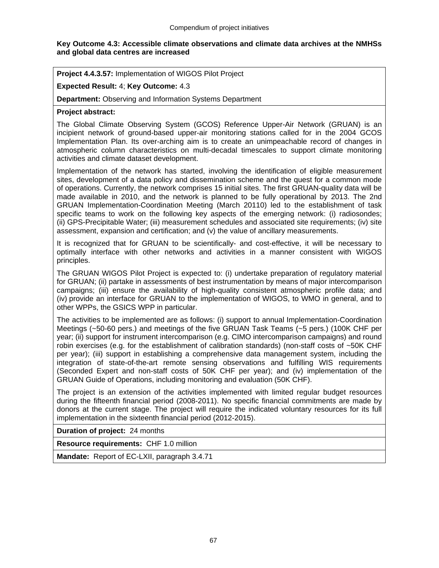#### **Key Outcome 4.3: Accessible climate observations and climate data archives at the NMHSs and global data centres are increased**

**Project 4.4.3.57:** Implementation of WIGOS Pilot Project

**Expected Result:** 4; **Key Outcome:** 4.3

**Department:** Observing and Information Systems Department

#### **Project abstract:**

The Global Climate Observing System (GCOS) Reference Upper-Air Network (GRUAN) is an incipient network of ground-based upper-air monitoring stations called for in the 2004 GCOS Implementation Plan. Its over-arching aim is to create an unimpeachable record of changes in atmospheric column characteristics on multi-decadal timescales to support climate monitoring activities and climate dataset development.

Implementation of the network has started, involving the identification of eligible measurement sites, development of a data policy and dissemination scheme and the quest for a common mode of operations. Currently, the network comprises 15 initial sites. The first GRUAN-quality data will be made available in 2010, and the network is planned to be fully operational by 2013. The 2nd GRUAN Implementation-Coordination Meeting (March 20110) led to the establishment of task specific teams to work on the following key aspects of the emerging network: (i) radiosondes; (ii) GPS-Precipitable Water; (iii) measurement schedules and associated site requirements; (iv) site assessment, expansion and certification; and (v) the value of ancillary measurements.

It is recognized that for GRUAN to be scientifically- and cost-effective, it will be necessary to optimally interface with other networks and activities in a manner consistent with WIGOS principles.

The GRUAN WIGOS Pilot Project is expected to: (i) undertake preparation of regulatory material for GRUAN; (ii) partake in assessments of best instrumentation by means of major intercomparison campaigns; (iii) ensure the availability of high-quality consistent atmospheric profile data; and (iv) provide an interface for GRUAN to the implementation of WIGOS, to WMO in general, and to other WPPs, the GSICS WPP in particular.

The activities to be implemented are as follows: (i) support to annual Implementation-Coordination Meetings (~50-60 pers.) and meetings of the five GRUAN Task Teams (~5 pers.) (100K CHF per year; (ii) support for instrument intercomparison (e.g. CIMO intercomparison campaigns) and round robin exercises (e.g. for the establishment of calibration standards) (non-staff costs of ~50K CHF per year); (iii) support in establishing a comprehensive data management system, including the integration of state-of-the-art remote sensing observations and fulfilling WIS requirements (Seconded Expert and non-staff costs of 50K CHF per year); and (iv) implementation of the GRUAN Guide of Operations, including monitoring and evaluation (50K CHF).

The project is an extension of the activities implemented with limited regular budget resources during the fifteenth financial period (2008-2011). No specific financial commitments are made by donors at the current stage. The project will require the indicated voluntary resources for its full implementation in the sixteenth financial period (2012-2015).

**Duration of project:** 24 months

**Resource requirements:** CHF 1.0 million

**Mandate:** Report of EC-LXII, paragraph 3.4.71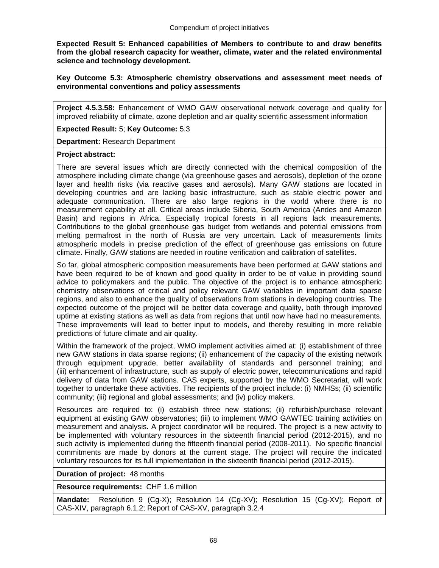**Expected Result 5: Enhanced capabilities of Members to contribute to and draw benefits from the global research capacity for weather, climate, water and the related environmental science and technology development.** 

**Key Outcome 5.3: Atmospheric chemistry observations and assessment meet needs of environmental conventions and policy assessments** 

**Project 4.5.3.58:** Enhancement of WMO GAW observational network coverage and quality for improved reliability of climate, ozone depletion and air quality scientific assessment information

**Expected Result:** 5; **Key Outcome:** 5.3

**Department:** Research Department

#### **Project abstract:**

There are several issues which are directly connected with the chemical composition of the atmosphere including climate change (via greenhouse gases and aerosols), depletion of the ozone layer and health risks (via reactive gases and aerosols). Many GAW stations are located in developing countries and are lacking basic infrastructure, such as stable electric power and adequate communication. There are also large regions in the world where there is no measurement capability at all. Critical areas include Siberia, South America (Andes and Amazon Basin) and regions in Africa. Especially tropical forests in all regions lack measurements. Contributions to the global greenhouse gas budget from wetlands and potential emissions from melting permafrost in the north of Russia are very uncertain. Lack of measurements limits atmospheric models in precise prediction of the effect of greenhouse gas emissions on future climate. Finally, GAW stations are needed in routine verification and calibration of satellites.

So far, global atmospheric composition measurements have been performed at GAW stations and have been required to be of known and good quality in order to be of value in providing sound advice to policymakers and the public. The objective of the project is to enhance atmospheric chemistry observations of critical and policy relevant GAW variables in important data sparse regions, and also to enhance the quality of observations from stations in developing countries. The expected outcome of the project will be better data coverage and quality, both through improved uptime at existing stations as well as data from regions that until now have had no measurements. These improvements will lead to better input to models, and thereby resulting in more reliable predictions of future climate and air quality.

Within the framework of the project, WMO implement activities aimed at: (i) establishment of three new GAW stations in data sparse regions; (ii) enhancement of the capacity of the existing network through equipment upgrade, better availability of standards and personnel training; and (iii) enhancement of infrastructure, such as supply of electric power, telecommunications and rapid delivery of data from GAW stations. CAS experts, supported by the WMO Secretariat, will work together to undertake these activities. The recipients of the project include: (i) NMHSs; (ii) scientific community; (iii) regional and global assessments; and (iv) policy makers.

Resources are required to: (i) establish three new stations; (ii) refurbish/purchase relevant equipment at existing GAW observatories; (iii) to implement WMO GAWTEC training activities on measurement and analysis. A project coordinator will be required. The project is a new activity to be implemented with voluntary resources in the sixteenth financial period (2012-2015), and no such activity is implemented during the fifteenth financial period (2008-2011). No specific financial commitments are made by donors at the current stage. The project will require the indicated voluntary resources for its full implementation in the sixteenth financial period (2012-2015).

#### **Duration of project:** 48 months

**Resource requirements:** CHF 1.6 million

**Mandate:** Resolution 9 (Cg-X); Resolution 14 (Cg-XV); Resolution 15 (Cg-XV); Report of CAS-XIV, paragraph 6.1.2; Report of CAS-XV, paragraph 3.2.4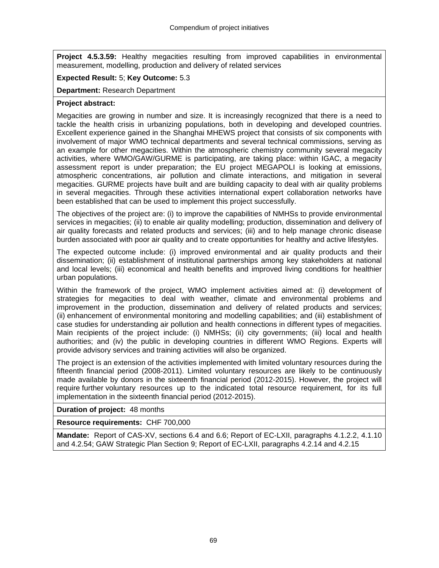**Project 4.5.3.59:** Healthy megacities resulting from improved capabilities in environmental measurement, modelling, production and delivery of related services

## **Expected Result:** 5; **Key Outcome:** 5.3

**Department:** Research Department

#### **Project abstract:**

Megacities are growing in number and size. It is increasingly recognized that there is a need to tackle the health crisis in urbanizing populations, both in developing and developed countries. Excellent experience gained in the Shanghai MHEWS project that consists of six components with involvement of major WMO technical departments and several technical commissions, serving as an example for other megacities. Within the atmospheric chemistry community several megacity activities, where WMO/GAW/GURME is participating, are taking place: within IGAC, a megacity assessment report is under preparation; the EU project MEGAPOLI is looking at emissions, atmospheric concentrations, air pollution and climate interactions, and mitigation in several megacities. GURME projects have built and are building capacity to deal with air quality problems in several megacities. Through these activities international expert collaboration networks have been established that can be used to implement this project successfully.

The objectives of the project are: (i) to improve the capabilities of NMHSs to provide environmental services in megacities; (ii) to enable air quality modelling; production, dissemination and delivery of air quality forecasts and related products and services; (iii) and to help manage chronic disease burden associated with poor air quality and to create opportunities for healthy and active lifestyles.

The expected outcome include: (i) improved environmental and air quality products and their dissemination; (ii) establishment of institutional partnerships among key stakeholders at national and local levels; (iii) economical and health benefits and improved living conditions for healthier urban populations.

Within the framework of the project, WMO implement activities aimed at: (i) development of strategies for megacities to deal with weather, climate and environmental problems and improvement in the production, dissemination and delivery of related products and services; (ii) enhancement of environmental monitoring and modelling capabilities; and (iii) establishment of case studies for understanding air pollution and health connections in different types of megacities. Main recipients of the project include: (i) NMHSs; (ii) city governments; (iii) local and health authorities; and (iv) the public in developing countries in different WMO Regions. Experts will provide advisory services and training activities will also be organized.

The project is an extension of the activities implemented with limited voluntary resources during the fifteenth financial period (2008-2011). Limited voluntary resources are likely to be continuously made available by donors in the sixteenth financial period (2012-2015). However, the project will require further voluntary resources up to the indicated total resource requirement, for its full implementation in the sixteenth financial period (2012-2015).

#### **Duration of project:** 48 months

**Resource requirements:** CHF 700,000

**Mandate:** Report of CAS-XV, sections 6.4 and 6.6; Report of EC-LXII, paragraphs 4.1.2.2, 4.1.10 and 4.2.54; GAW Strategic Plan Section 9; Report of EC-LXII, paragraphs 4.2.14 and 4.2.15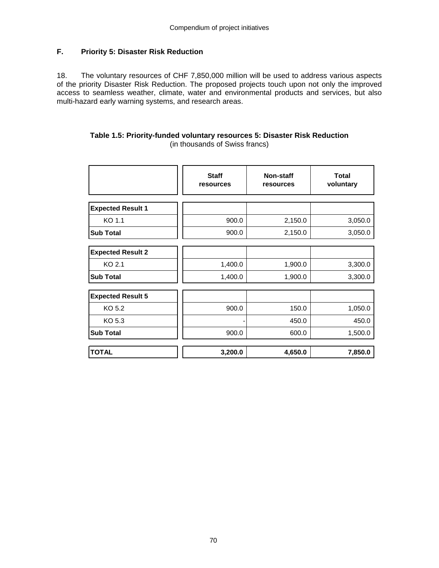# **F. Priority 5: Disaster Risk Reduction**

18. The voluntary resources of CHF 7,850,000 million will be used to address various aspects of the priority Disaster Risk Reduction. The proposed projects touch upon not only the improved access to seamless weather, climate, water and environmental products and services, but also multi-hazard early warning systems, and research areas.

#### **Table 1.5: Priority-funded voluntary resources 5: Disaster Risk Reduction**  (in thousands of Swiss francs)

|                          | <b>Staff</b><br>resources | Non-staff<br>resources | <b>Total</b><br>voluntary |
|--------------------------|---------------------------|------------------------|---------------------------|
| <b>Expected Result 1</b> |                           |                        |                           |
| KO 1.1                   | 900.0                     | 2,150.0                | 3,050.0                   |
| <b>Sub Total</b>         | 900.0                     | 2,150.0                | 3,050.0                   |
|                          |                           |                        |                           |
| <b>Expected Result 2</b> |                           |                        |                           |
| KO 2.1                   | 1,400.0                   | 1,900.0                | 3,300.0                   |
| <b>Sub Total</b>         | 1,400.0                   | 1,900.0                | 3,300.0                   |
|                          |                           |                        |                           |
| <b>Expected Result 5</b> |                           |                        |                           |
| KO 5.2                   | 900.0                     | 150.0                  | 1,050.0                   |
| KO 5.3                   |                           | 450.0                  | 450.0                     |
| <b>Sub Total</b>         | 900.0                     | 600.0                  | 1,500.0                   |
|                          |                           |                        |                           |
| <b>TOTAL</b>             | 3,200.0                   | 4,650.0                | 7,850.0                   |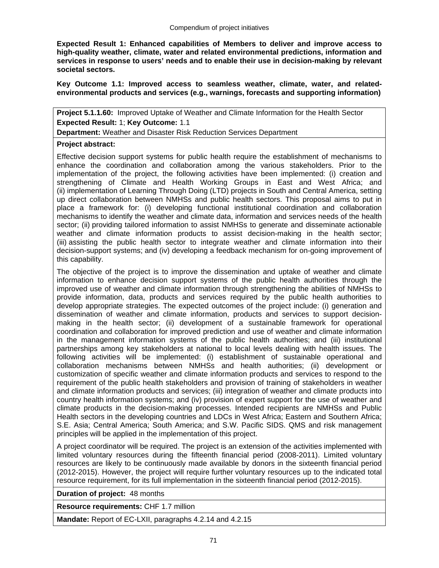**Expected Result 1: Enhanced capabilities of Members to deliver and improve access to high-quality weather, climate, water and related environmental predictions, information and services in response to users' needs and to enable their use in decision-making by relevant societal sectors.** 

**Key Outcome 1.1: Improved access to seamless weather, climate, water, and relatedenvironmental products and services (e.g., warnings, forecasts and supporting information)** 

**Project 5.1.1.60:** Improved Uptake of Weather and Climate Information for the Health Sector **Expected Result:** 1; **Key Outcome:** 1.1

**Department:** Weather and Disaster Risk Reduction Services Department

## **Project abstract:**

Effective decision support systems for public health require the establishment of mechanisms to enhance the coordination and collaboration among the various stakeholders. Prior to the implementation of the project, the following activities have been implemented: (i) creation and strengthening of Climate and Health Working Groups in East and West Africa; and (ii) implementation of Learning Through Doing (LTD) projects in South and Central America, setting up direct collaboration between NMHSs and public health sectors. This proposal aims to put in place a framework for: (i) developing functional institutional coordination and collaboration mechanisms to identify the weather and climate data, information and services needs of the health sector; (ii) providing tailored information to assist NMHSs to generate and disseminate actionable weather and climate information products to assist decision-making in the health sector; (iii) assisting the public health sector to integrate weather and climate information into their decision-support systems; and (iv) developing a feedback mechanism for on-going improvement of this capability.

The objective of the project is to improve the dissemination and uptake of weather and climate information to enhance decision support systems of the public health authorities through the improved use of weather and climate information through strengthening the abilities of NMHSs to provide information, data, products and services required by the public health authorities to develop appropriate strategies. The expected outcomes of the project include: (i) generation and dissemination of weather and climate information, products and services to support decisionmaking in the health sector; (ii) development of a sustainable framework for operational coordination and collaboration for improved prediction and use of weather and climate information in the management information systems of the public health authorities; and (iii) institutional partnerships among key stakeholders at national to local levels dealing with health issues. The following activities will be implemented: (i) establishment of sustainable operational and collaboration mechanisms between NMHSs and health authorities; (ii) development or customization of specific weather and climate information products and services to respond to the requirement of the public health stakeholders and provision of training of stakeholders in weather and climate information products and services; (iii) integration of weather and climate products into country health information systems; and (iv) provision of expert support for the use of weather and climate products in the decision-making processes. Intended recipients are NMHSs and Public Health sectors in the developing countries and LDCs in West Africa; Eastern and Southern Africa; S.E. Asia; Central America; South America; and S.W. Pacific SIDS. QMS and risk management principles will be applied in the implementation of this project.

A project coordinator will be required. The project is an extension of the activities implemented with limited voluntary resources during the fifteenth financial period (2008-2011). Limited voluntary resources are likely to be continuously made available by donors in the sixteenth financial period (2012-2015). However, the project will require further voluntary resources up to the indicated total resource requirement, for its full implementation in the sixteenth financial period (2012-2015).

**Duration of project:** 48 months

**Resource requirements:** CHF 1.7 million

**Mandate:** Report of EC-LXII, paragraphs 4.2.14 and 4.2.15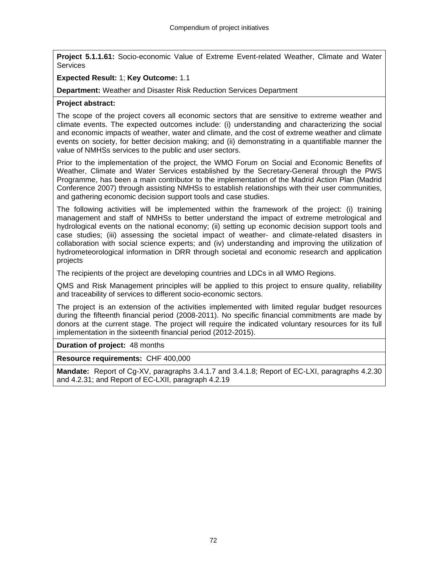**Project 5.1.1.61:** Socio-economic Value of Extreme Event-related Weather, Climate and Water **Services** 

## **Expected Result:** 1; **Key Outcome:** 1.1

**Department:** Weather and Disaster Risk Reduction Services Department

## **Project abstract:**

The scope of the project covers all economic sectors that are sensitive to extreme weather and climate events. The expected outcomes include: (i) understanding and characterizing the social and economic impacts of weather, water and climate, and the cost of extreme weather and climate events on society, for better decision making; and (ii) demonstrating in a quantifiable manner the value of NMHSs services to the public and user sectors.

Prior to the implementation of the project, the WMO Forum on Social and Economic Benefits of Weather, Climate and Water Services established by the Secretary-General through the PWS Programme, has been a main contributor to the implementation of the Madrid Action Plan (Madrid Conference 2007) through assisting NMHSs to establish relationships with their user communities, and gathering economic decision support tools and case studies.

The following activities will be implemented within the framework of the project: (i) training management and staff of NMHSs to better understand the impact of extreme metrological and hydrological events on the national economy; (ii) setting up economic decision support tools and case studies; (iii) assessing the societal impact of weather- and climate-related disasters in collaboration with social science experts; and (iv) understanding and improving the utilization of hydrometeorological information in DRR through societal and economic research and application projects

The recipients of the project are developing countries and LDCs in all WMO Regions.

QMS and Risk Management principles will be applied to this project to ensure quality, reliability and traceability of services to different socio-economic sectors.

The project is an extension of the activities implemented with limited regular budget resources during the fifteenth financial period (2008-2011). No specific financial commitments are made by donors at the current stage. The project will require the indicated voluntary resources for its full implementation in the sixteenth financial period (2012-2015).

## **Duration of project:** 48 months

**Resource requirements:** CHF 400,000

**Mandate:** Report of Cg-XV, paragraphs 3.4.1.7 and 3.4.1.8; Report of EC-LXI, paragraphs 4.2.30 and 4.2.31; and Report of EC-LXII, paragraph 4.2.19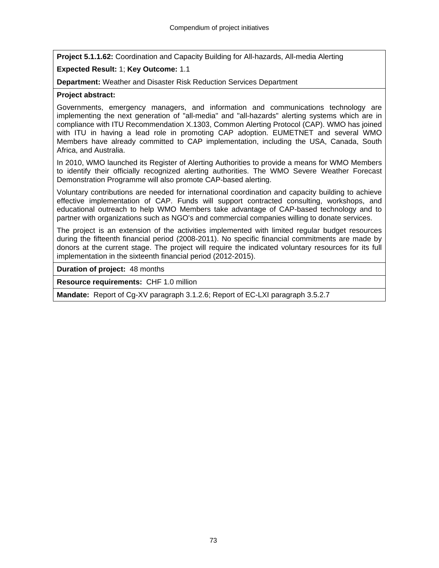**Project 5.1.1.62:** Coordination and Capacity Building for All-hazards, All-media Alerting

# **Expected Result:** 1; **Key Outcome:** 1.1

**Department:** Weather and Disaster Risk Reduction Services Department

## **Project abstract:**

Governments, emergency managers, and information and communications technology are implementing the next generation of "all-media" and "all-hazards" alerting systems which are in compliance with ITU Recommendation X.1303, Common Alerting Protocol (CAP). WMO has joined with ITU in having a lead role in promoting CAP adoption. EUMETNET and several WMO Members have already committed to CAP implementation, including the USA, Canada, South Africa, and Australia.

In 2010, WMO launched its Register of Alerting Authorities to provide a means for WMO Members to identify their officially recognized alerting authorities. The WMO Severe Weather Forecast Demonstration Programme will also promote CAP-based alerting.

Voluntary contributions are needed for international coordination and capacity building to achieve effective implementation of CAP. Funds will support contracted consulting, workshops, and educational outreach to help WMO Members take advantage of CAP-based technology and to partner with organizations such as NGO's and commercial companies willing to donate services.

The project is an extension of the activities implemented with limited regular budget resources during the fifteenth financial period (2008-2011). No specific financial commitments are made by donors at the current stage. The project will require the indicated voluntary resources for its full implementation in the sixteenth financial period (2012-2015).

**Duration of project:** 48 months

**Resource requirements:** CHF 1.0 million

**Mandate:** Report of Cg-XV paragraph 3.1.2.6; Report of EC-LXI paragraph 3.5.2.7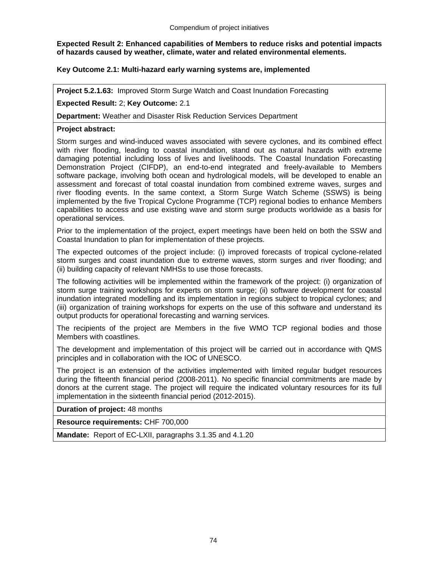## **Expected Result 2: Enhanced capabilities of Members to reduce risks and potential impacts of hazards caused by weather, climate, water and related environmental elements.**

# **Key Outcome 2.1: Multi-hazard early warning systems are, implemented**

**Project 5.2.1.63:** Improved Storm Surge Watch and Coast Inundation Forecasting

## **Expected Result:** 2; **Key Outcome:** 2.1

**Department:** Weather and Disaster Risk Reduction Services Department

## **Project abstract:**

Storm surges and wind-induced waves associated with severe cyclones, and its combined effect with river flooding, leading to coastal inundation, stand out as natural hazards with extreme damaging potential including loss of lives and livelihoods. The Coastal Inundation Forecasting Demonstration Project (CIFDP), an end-to-end integrated and freely-available to Members software package, involving both ocean and hydrological models, will be developed to enable an assessment and forecast of total coastal inundation from combined extreme waves, surges and river flooding events. In the same context, a Storm Surge Watch Scheme (SSWS) is being implemented by the five Tropical Cyclone Programme (TCP) regional bodies to enhance Members capabilities to access and use existing wave and storm surge products worldwide as a basis for operational services.

Prior to the implementation of the project, expert meetings have been held on both the SSW and Coastal Inundation to plan for implementation of these projects.

The expected outcomes of the project include: (i) improved forecasts of tropical cyclone-related storm surges and coast inundation due to extreme waves, storm surges and river flooding; and (ii) building capacity of relevant NMHSs to use those forecasts.

The following activities will be implemented within the framework of the project: (i) organization of storm surge training workshops for experts on storm surge; (ii) software development for coastal inundation integrated modelling and its implementation in regions subject to tropical cyclones; and (iii) organization of training workshops for experts on the use of this software and understand its output products for operational forecasting and warning services.

The recipients of the project are Members in the five WMO TCP regional bodies and those Members with coastlines.

The development and implementation of this project will be carried out in accordance with QMS principles and in collaboration with the IOC of UNESCO.

The project is an extension of the activities implemented with limited regular budget resources during the fifteenth financial period (2008-2011). No specific financial commitments are made by donors at the current stage. The project will require the indicated voluntary resources for its full implementation in the sixteenth financial period (2012-2015).

**Duration of project:** 48 months

**Resource requirements:** CHF 700,000

**Mandate:** Report of EC-LXII, paragraphs 3.1.35 and 4.1.20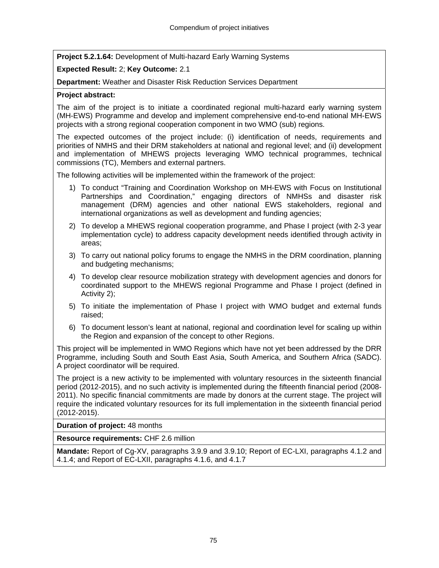**Project 5.2.1.64:** Development of Multi-hazard Early Warning Systems

# **Expected Result:** 2; **Key Outcome:** 2.1

**Department:** Weather and Disaster Risk Reduction Services Department

## **Project abstract:**

The aim of the project is to initiate a coordinated regional multi-hazard early warning system (MH-EWS) Programme and develop and implement comprehensive end-to-end national MH-EWS projects with a strong regional cooperation component in two WMO (sub) regions.

The expected outcomes of the project include: (i) identification of needs, requirements and priorities of NMHS and their DRM stakeholders at national and regional level; and (ii) development and implementation of MHEWS projects leveraging WMO technical programmes, technical commissions (TC), Members and external partners.

The following activities will be implemented within the framework of the project:

- 1) To conduct "Training and Coordination Workshop on MH-EWS with Focus on Institutional Partnerships and Coordination," engaging directors of NMHSs and disaster risk management (DRM) agencies and other national EWS stakeholders, regional and international organizations as well as development and funding agencies;
- 2) To develop a MHEWS regional cooperation programme, and Phase I project (with 2-3 year implementation cycle) to address capacity development needs identified through activity in areas;
- 3) To carry out national policy forums to engage the NMHS in the DRM coordination, planning and budgeting mechanisms;
- 4) To develop clear resource mobilization strategy with development agencies and donors for coordinated support to the MHEWS regional Programme and Phase I project (defined in Activity 2);
- 5) To initiate the implementation of Phase I project with WMO budget and external funds raised;
- 6) To document lesson's leant at national, regional and coordination level for scaling up within the Region and expansion of the concept to other Regions.

This project will be implemented in WMO Regions which have not yet been addressed by the DRR Programme, including South and South East Asia, South America, and Southern Africa (SADC). A project coordinator will be required.

The project is a new activity to be implemented with voluntary resources in the sixteenth financial period (2012-2015), and no such activity is implemented during the fifteenth financial period (2008- 2011). No specific financial commitments are made by donors at the current stage. The project will require the indicated voluntary resources for its full implementation in the sixteenth financial period (2012-2015).

**Duration of project:** 48 months

**Resource requirements:** CHF 2.6 million

**Mandate:** Report of Cg-XV, paragraphs 3.9.9 and 3.9.10; Report of EC-LXI, paragraphs 4.1.2 and 4.1.4; and Report of EC-LXII, paragraphs 4.1.6, and 4.1.7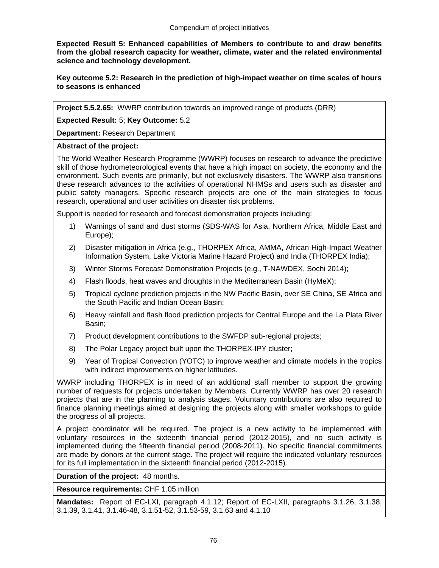**Expected Result 5: Enhanced capabilities of Members to contribute to and draw benefits from the global research capacity for weather, climate, water and the related environmental science and technology development.** 

**Key outcome 5.2: Research in the prediction of high-impact weather on time scales of hours to seasons is enhanced** 

**Project 5.5.2.65:** WWRP contribution towards an improved range of products (DRR)

**Expected Result:** 5; **Key Outcome:** 5.2

**Department:** Research Department

## **Abstract of the project:**

The World Weather Research Programme (WWRP) focuses on research to advance the predictive skill of those hydrometeorological events that have a high impact on society, the economy and the environment. Such events are primarily, but not exclusively disasters. The WWRP also transitions these research advances to the activities of operational NHMSs and users such as disaster and public safety managers. Specific research projects are one of the main strategies to focus research, operational and user activities on disaster risk problems.

Support is needed for research and forecast demonstration projects including:

- 1) Warnings of sand and dust storms (SDS-WAS for Asia, Northern Africa, Middle East and Europe);
- 2) Disaster mitigation in Africa (e.g., THORPEX Africa, AMMA, African High-Impact Weather Information System, Lake Victoria Marine Hazard Project) and India (THORPEX India);
- 3) Winter Storms Forecast Demonstration Projects (e.g., T-NAWDEX, Sochi 2014);
- 4) Flash floods, heat waves and droughts in the Mediterranean Basin (HyMeX);
- 5) Tropical cyclone prediction projects in the NW Pacific Basin, over SE China, SE Africa and the South Pacific and Indian Ocean Basin;
- 6) Heavy rainfall and flash flood prediction projects for Central Europe and the La Plata River Basin;
- 7) Product development contributions to the SWFDP sub-regional projects;
- 8) The Polar Legacy project built upon the THORPEX-IPY cluster;
- 9) Year of Tropical Convection (YOTC) to improve weather and climate models in the tropics with indirect improvements on higher latitudes.

WWRP including THORPEX is in need of an additional staff member to support the growing number of requests for projects undertaken by Members. Currently WWRP has over 20 research projects that are in the planning to analysis stages. Voluntary contributions are also required to finance planning meetings aimed at designing the projects along with smaller workshops to guide the progress of all projects.

A project coordinator will be required. The project is a new activity to be implemented with voluntary resources in the sixteenth financial period (2012-2015), and no such activity is implemented during the fifteenth financial period (2008-2011). No specific financial commitments are made by donors at the current stage. The project will require the indicated voluntary resources for its full implementation in the sixteenth financial period (2012-2015).

## **Duration of the project:** 48 months.

**Resource requirements:** CHF 1.05 million

**Mandates:** Report of EC-LXI, paragraph 4.1.12; Report of EC-LXII, paragraphs 3.1.26, 3.1.38, 3.1.39, 3.1.41, 3.1.46-48, 3.1.51-52, 3.1.53-59, 3.1.63 and 4.1.10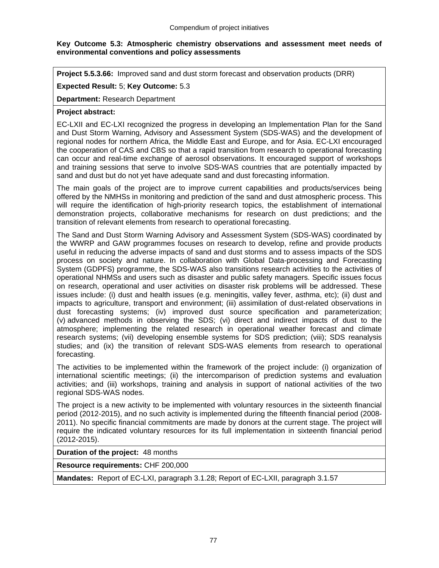## **Key Outcome 5.3: Atmospheric chemistry observations and assessment meet needs of environmental conventions and policy assessments**

**Project 5.5.3.66:** Improved sand and dust storm forecast and observation products (DRR)

## **Expected Result:** 5; **Key Outcome:** 5.3

**Department:** Research Department

## **Project abstract:**

EC-LXII and EC-LXI recognized the progress in developing an Implementation Plan for the Sand and Dust Storm Warning, Advisory and Assessment System (SDS-WAS) and the development of regional nodes for northern Africa, the Middle East and Europe, and for Asia. EC-LXI encouraged the cooperation of CAS and CBS so that a rapid transition from research to operational forecasting can occur and real-time exchange of aerosol observations. It encouraged support of workshops and training sessions that serve to involve SDS-WAS countries that are potentially impacted by sand and dust but do not yet have adequate sand and dust forecasting information.

The main goals of the project are to improve current capabilities and products/services being offered by the NMHSs in monitoring and prediction of the sand and dust atmospheric process. This will require the identification of high-priority research topics, the establishment of international demonstration projects, collaborative mechanisms for research on dust predictions; and the transition of relevant elements from research to operational forecasting.

The Sand and Dust Storm Warning Advisory and Assessment System (SDS-WAS) coordinated by the WWRP and GAW programmes focuses on research to develop, refine and provide products useful in reducing the adverse impacts of sand and dust storms and to assess impacts of the SDS process on society and nature. In collaboration with Global Data-processing and Forecasting System (GDPFS) programme, the SDS-WAS also transitions research activities to the activities of operational NHMSs and users such as disaster and public safety managers. Specific issues focus on research, operational and user activities on disaster risk problems will be addressed. These issues include: (i) dust and health issues (e.g. meningitis, valley fever, asthma, etc); (ii) dust and impacts to agriculture, transport and environment; (iii) assimilation of dust-related observations in dust forecasting systems; (iv) improved dust source specification and parameterization; (v) advanced methods in observing the SDS; (vi) direct and indirect impacts of dust to the atmosphere; implementing the related research in operational weather forecast and climate research systems; (vii) developing ensemble systems for SDS prediction; (viii); SDS reanalysis studies; and (ix) the transition of relevant SDS-WAS elements from research to operational forecasting.

The activities to be implemented within the framework of the project include: (i) organization of international scientific meetings; (ii) the intercomparison of prediction systems and evaluation activities; and (iii) workshops, training and analysis in support of national activities of the two regional SDS-WAS nodes.

The project is a new activity to be implemented with voluntary resources in the sixteenth financial period (2012-2015), and no such activity is implemented during the fifteenth financial period (2008- 2011). No specific financial commitments are made by donors at the current stage. The project will require the indicated voluntary resources for its full implementation in sixteenth financial period (2012-2015).

**Duration of the project:** 48 months

**Resource requirements:** CHF 200,000

**Mandates:** Report of EC-LXI, paragraph 3.1.28; Report of EC-LXII, paragraph 3.1.57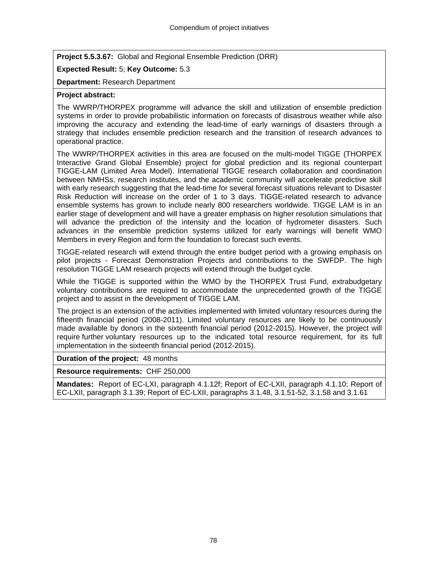**Project 5.5.3.67:** Global and Regional Ensemble Prediction (DRR)

# **Expected Result:** 5; **Key Outcome:** 5.3

**Department:** Research Department

# **Project abstract:**

The WWRP/THORPEX programme will advance the skill and utilization of ensemble prediction systems in order to provide probabilistic information on forecasts of disastrous weather while also improving the accuracy and extending the lead-time of early warnings of disasters through a strategy that includes ensemble prediction research and the transition of research advances to operational practice.

The WWRP/THORPEX activities in this area are focused on the multi-model TIGGE (THORPEX Interactive Grand Global Ensemble) project for global prediction and its regional counterpart TIGGE-LAM (Limited Area Model). International TIGGE research collaboration and coordination between NMHSs, research institutes, and the academic community will accelerate predictive skill with early research suggesting that the lead-time for several forecast situations relevant to Disaster Risk Reduction will increase on the order of 1 to 3 days. TIGGE-related research to advance ensemble systems has grown to include nearly 800 researchers worldwide. TIGGE LAM is in an earlier stage of development and will have a greater emphasis on higher resolution simulations that will advance the prediction of the intensity and the location of hydrometer disasters. Such advances in the ensemble prediction systems utilized for early warnings will benefit WMO Members in every Region and form the foundation to forecast such events.

TIGGE-related research will extend through the entire budget period with a growing emphasis on pilot projects - Forecast Demonstration Projects and contributions to the SWFDP. The high resolution TIGGE LAM research projects will extend through the budget cycle.

While the TIGGE is supported within the WMO by the THORPEX Trust Fund, extrabudgetary voluntary contributions are required to accommodate the unprecedented growth of the TIGGE project and to assist in the development of TIGGE LAM.

The project is an extension of the activities implemented with limited voluntary resources during the fifteenth financial period (2008-2011). Limited voluntary resources are likely to be continuously made available by donors in the sixteenth financial period (2012-2015). However, the project will require further voluntary resources up to the indicated total resource requirement, for its full implementation in the sixteenth financial period (2012-2015).

## **Duration of the project:** 48 months

**Resource requirements:** CHF 250,000

**Mandates:** Report of EC-LXI, paragraph 4.1.12f; Report of EC-LXII, paragraph 4.1.10; Report of EC-LXII, paragraph 3.1.39; Report of EC-LXII, paragraphs 3.1.48, 3.1.51-52, 3.1.58 and 3.1.61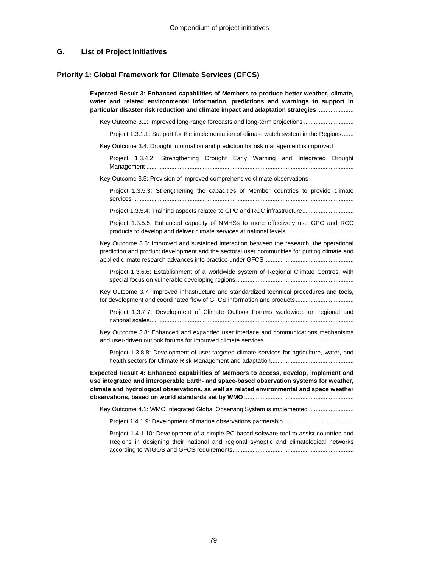#### **G. List of Project Initiatives**

#### **Priority 1: Global Framework for Climate Services (GFCS)**

**Expected Result 3: Enhanced capabilities of Members to produce better weather, climate, water and related environmental information, predictions and warnings to support in particular disaster risk reduction and climate impact and adaptation strategies** ......................

Key Outcome 3.1: Improved long-range forecasts and long-term projections ...........................

Project 1.3.1.1: Support for the implementation of climate watch system in the Regions.......

Key Outcome 3.4: Drought information and prediction for risk management is improved

Project 1.3.4.2: Strengthening Drought Early Warning and Integrated Drought Management .............................................................................................................................

Key Outcome 3.5: Provision of improved comprehensive climate observations

Project 1.3.5.3: Strengthening the capacities of Member countries to provide climate services .....................................................................................................................................

Project 1.3.5.4: Training aspects related to GPC and RCC infrastructure...............................

Project 1.3.5.5: Enhanced capacity of NMHSs to more effectively use GPC and RCC products to develop and deliver climate services at national levels.........................................

Key Outcome 3.6: Improved and sustained interaction between the research, the operational prediction and product development and the sectoral user communities for putting climate and applied climate research advances into practice under GFCS......................................................

Project 1.3.6.6: Establishment of a worldwide system of Regional Climate Centres, with special focus on vulnerable developing regions.......................................................................

Key Outcome 3.7: Improved infrastructure and standardized technical procedures and tools, for development and coordinated flow of GFCS information and products ...................................

Project 1.3.7.7: Development of Climate Outlook Forums worldwide, on regional and national scales...........................................................................................................................

Key Outcome 3.8: Enhanced and expanded user interface and communications mechanisms and user-driven outlook forums for improved climate services......................................................

Project 1.3.8.8: Development of user-targeted climate services for agriculture, water, and health sectors for Climate Risk Management and adaptation..................................................

**Expected Result 4: Enhanced capabilities of Members to access, develop, implement and use integrated and interoperable Earth- and space-based observation systems for weather, climate and hydrological observations, as well as related environmental and space weather observations, based on world standards set by WMO** ..................................................................

Key Outcome 4.1: WMO Integrated Global Observing System is implemented .........................

Project 1.4.1.9: Development of marine observations partnership ..........................................

Project 1.4.1.10: Development of a simple PC-based software tool to assist countries and Regions in designing their national and regional synoptic and climatological networks according to WIGOS and GFCS requirements.........................................................................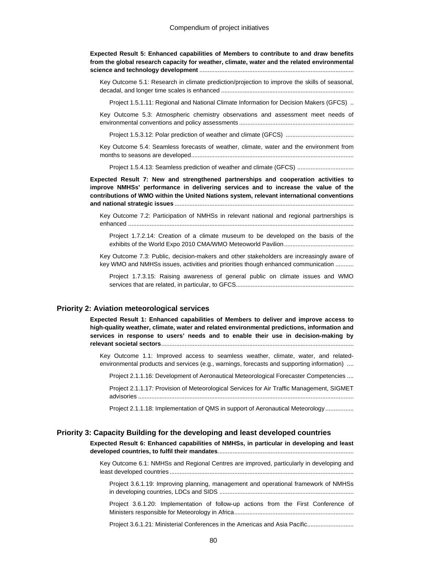**Expected Result 5: Enhanced capabilities of Members to contribute to and draw benefits from the global research capacity for weather, climate, water and the related environmental science and technology development** .............................................................................................

Key Outcome 5.1: Research in climate prediction/projection to improve the skills of seasonal, decadal, and longer time scales is enhanced ................................................................................

Project 1.5.1.11: Regional and National Climate Information for Decision Makers (GFCS) ..

Key Outcome 5.3: Atmospheric chemistry observations and assessment meet needs of environmental conventions and policy assessments .....................................................................

Project 1.5.3.12: Polar prediction of weather and climate (GFCS) .........................................

Key Outcome 5.4: Seamless forecasts of weather, climate, water and the environment from months to seasons are developed..................................................................................................

Project 1.5.4.13: Seamless prediction of weather and climate (GFCS) ..................................

**Expected Result 7: New and strengthened partnerships and cooperation activities to improve NMHSs' performance in delivering services and to increase the value of the contributions of WMO within the United Nations system, relevant international conventions and national strategic issues** ............................................................................................................

Key Outcome 7.2: Participation of NMHSs in relevant national and regional partnerships is enhanced ........................................................................................................................................

Project 1.7.2.14: Creation of a climate museum to be developed on the basis of the exhibits of the World Expo 2010 CMA/WMO Meteoworld Pavilion..........................................

Key Outcome 7.3: Public, decision-makers and other stakeholders are increasingly aware of key WMO and NMHSs issues, activities and priorities though enhanced communication ...........

Project 1.7.3.15: Raising awareness of general public on climate issues and WMO services that are related, in particular, to GFCS.......................................................................

#### **Priority 2: Aviation meteorological services**

**Expected Result 1: Enhanced capabilities of Members to deliver and improve access to high-quality weather, climate, water and related environmental predictions, information and services in response to users' needs and to enable their use in decision-making by relevant societal sectors**....................................................................................................................

Key Outcome 1.1: Improved access to seamless weather, climate, water, and relatedenvironmental products and services (e.g., warnings, forecasts and supporting information) ....

Project 2.1.1.16: Development of Aeronautical Meteorological Forecaster Competencies ....

Project 2.1.1.17: Provision of Meteorological Services for Air Traffic Management, SIGMET advisories ..................................................................................................................................

Project 2.1.1.18: Implementation of QMS in support of Aeronautical Meteorology................

#### **Priority 3: Capacity Building for the developing and least developed countries**

**Expected Result 6: Enhanced capabilities of NMHSs, in particular in developing and least developed countries, to fulfil their mandates**.................................................................................. Key Outcome 6.1: NMHSs and Regional Centres are improved, particularly in developing and

least developed countries ............................................................................................................... Project 3.6.1.19: Improving planning, management and operational framework of NMHSs

in developing countries, LDCs and SIDS .................................................................................

Project 3.6.1.20: Implementation of follow-up actions from the First Conference of Ministers responsible for Meteorology in Africa........................................................................

Project 3.6.1.21: Ministerial Conferences in the Americas and Asia Pacific............................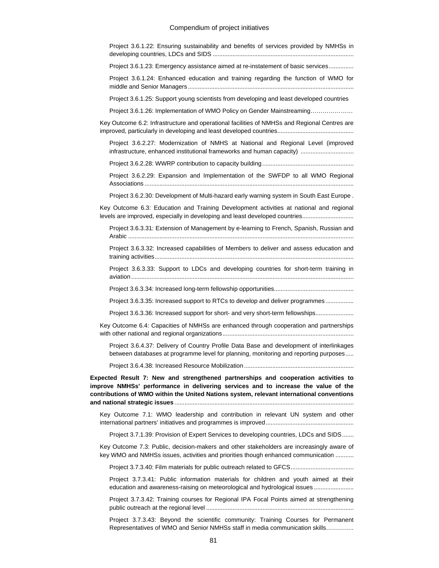#### Compendium of project initiatives

| Project 3.6.1.22: Ensuring sustainability and benefits of services provided by NMHSs in                                                                                                                                                                               |
|-----------------------------------------------------------------------------------------------------------------------------------------------------------------------------------------------------------------------------------------------------------------------|
| Project 3.6.1.23: Emergency assistance aimed at re-instatement of basic services                                                                                                                                                                                      |
| Project 3.6.1.24: Enhanced education and training regarding the function of WMO for                                                                                                                                                                                   |
| Project 3.6.1.25: Support young scientists from developing and least developed countries                                                                                                                                                                              |
| Project 3.6.1.26: Implementation of WMO Policy on Gender Mainstreaming                                                                                                                                                                                                |
| Key Outcome 6.2: Infrastructure and operational facilities of NMHSs and Regional Centres are                                                                                                                                                                          |
| Project 3.6.2.27: Modernization of NMHS at National and Regional Level (improved<br>infrastructure, enhanced institutional frameworks and human capacity)                                                                                                             |
|                                                                                                                                                                                                                                                                       |
| Project 3.6.2.29: Expansion and Implementation of the SWFDP to all WMO Regional                                                                                                                                                                                       |
| Project 3.6.2.30: Development of Multi-hazard early warning system in South East Europe.                                                                                                                                                                              |
| Key Outcome 6.3: Education and Training Development activities at national and regional<br>levels are improved, especially in developing and least developed countries                                                                                                |
| Project 3.6.3.31: Extension of Management by e-learning to French, Spanish, Russian and                                                                                                                                                                               |
| Project 3.6.3.32: Increased capabilities of Members to deliver and assess education and                                                                                                                                                                               |
| Project 3.6.3.33: Support to LDCs and developing countries for short-term training in                                                                                                                                                                                 |
|                                                                                                                                                                                                                                                                       |
| Project 3.6.3.35: Increased support to RTCs to develop and deliver programmes                                                                                                                                                                                         |
| Project 3.6.3.36: Increased support for short- and very short-term fellowships                                                                                                                                                                                        |
| Key Outcome 6.4: Capacities of NMHSs are enhanced through cooperation and partnerships                                                                                                                                                                                |
| Project 3.6.4.37: Delivery of Country Profile Data Base and development of interlinkages<br>between databases at programme level for planning, monitoring and reporting purposes                                                                                      |
|                                                                                                                                                                                                                                                                       |
| Expected Result 7: New and strengthened partnerships and cooperation activities to<br>improve NMHSs' performance in delivering services and to increase the value of the<br>contributions of WMO within the United Nations system, relevant international conventions |
| Key Outcome 7.1: WMO leadership and contribution in relevant UN system and other                                                                                                                                                                                      |
| Project 3.7.1.39: Provision of Expert Services to developing countries, LDCs and SIDS                                                                                                                                                                                 |
| Key Outcome 7.3: Public, decision-makers and other stakeholders are increasingly aware of<br>key WMO and NMHSs issues, activities and priorities though enhanced communication                                                                                        |
|                                                                                                                                                                                                                                                                       |
| Project 3.7.3.41: Public information materials for children and youth aimed at their<br>education and awareness-raising on meteorological and hydrological issues                                                                                                     |
|                                                                                                                                                                                                                                                                       |

Project 3.7.3.42: Training courses for Regional IPA Focal Points aimed at strengthening public outreach at the regional level .........................................................................................

Project 3.7.3.43: Beyond the scientific community: Training Courses for Permanent Representatives of WMO and Senior NMHSs staff in media communication skills…………..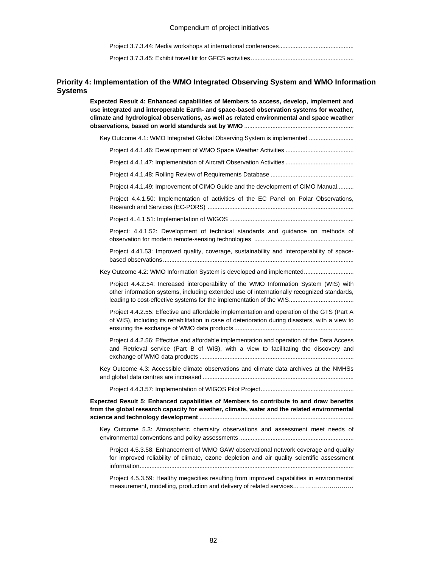Project 3.7.3.44: Media workshops at international conferences.............................................

Project 3.7.3.45: Exhibit travel kit for GFCS activities..............................................................

### **Priority 4: Implementation of the WMO Integrated Observing System and WMO Information Systems**

**Expected Result 4: Enhanced capabilities of Members to access, develop, implement and use integrated and interoperable Earth- and space-based observation systems for weather, climate and hydrological observations, as well as related environmental and space weather observations, based on world standards set by WMO** .................................................................. Key Outcome 4.1: WMO Integrated Global Observing System is implemented ......................... Project 4.4.1.46: Development of WMO Space Weather Activities ......................................... Project 4.4.1.47: Implementation of Aircraft Observation Activities ......................................... Project 4.4.1.48: Rolling Review of Requirements Database .................................................. Project 4.4.1.49: Improvement of CIMO Guide and the development of CIMO Manual.......... Project 4.4.1.50: Implementation of activities of the EC Panel on Polar Observations, Research and Services (EC-PORS) ........................................................................................ Project 4..4.1.51: Implementation of WIGOS ........................................................................... Project: 4.4.1.52: Development of technical standards and guidance on methods of observation for modern remote-sensing technologies ............................................................ Project 4.41.53: Improved quality, coverage, sustainability and interoperability of spacebased observations ................................................................................................................... Key Outcome 4.2: WMO Information System is developed and implemented.............................. Project 4.4.2.54: Increased interoperability of the WMO Information System (WIS) with other information systems, including extended use of internationally recognized standards, leading to cost-effective systems for the implementation of the WIS....................................... Project 4.4.2.55: Effective and affordable implementation and operation of the GTS (Part A of WIS), including its rehabilitation in case of deterioration during disasters, with a view to ensuring the exchange of WMO data products ........................................................................ Project 4.4.2.56: Effective and affordable implementation and operation of the Data Access and Retrieval service (Part B of WIS), with a view to facilitating the discovery and exchange of WMO data products ............................................................................................. Key Outcome 4.3: Accessible climate observations and climate data archives at the NMHSs and global data centres are increased ........................................................................................... Project 4.4.3.57: Implementation of WIGOS Pilot Project........................................................ **Expected Result 5: Enhanced capabilities of Members to contribute to and draw benefits from the global research capacity for weather, climate, water and the related environmental science and technology development** ............................................................................................. Key Outcome 5.3: Atmospheric chemistry observations and assessment meet needs of environmental conventions and policy assessments ..................................................................... Project 4.5.3.58: Enhancement of WMO GAW observational network coverage and quality for improved reliability of climate, ozone depletion and air quality scientific assessment information................................................................................................................................. Project 4.5.3.59: Healthy megacities resulting from improved capabilities in environmental measurement, modelling, production and delivery of related services................................